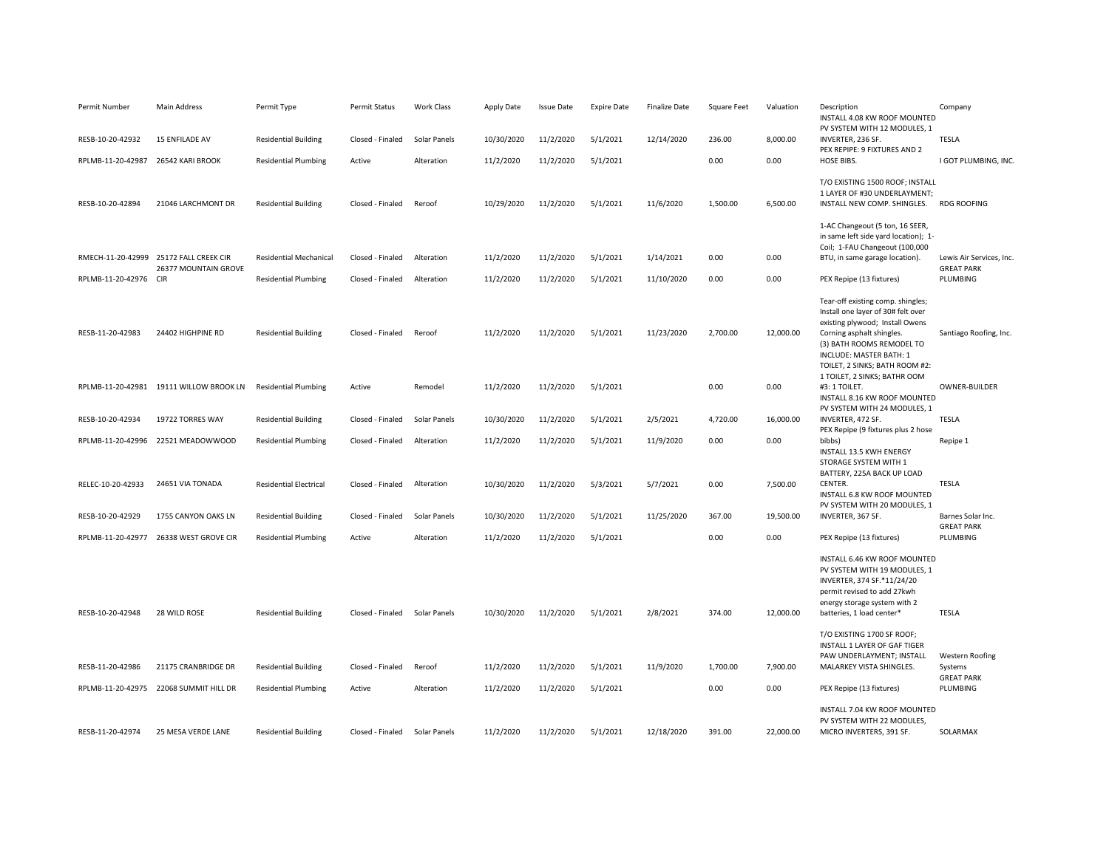| Permit Number                      | Main Address                            | Permit Type                   | Permit Status    | <b>Work Class</b> | Apply Date | Issue Date | <b>Expire Date</b> | <b>Finalize Date</b> | Square Feet | Valuation | Description<br>INSTALL 4.08 KW ROOF MOUNTED<br>PV SYSTEM WITH 12 MODULES, 1                                                                                                                                                                                       | Company                                |
|------------------------------------|-----------------------------------------|-------------------------------|------------------|-------------------|------------|------------|--------------------|----------------------|-------------|-----------|-------------------------------------------------------------------------------------------------------------------------------------------------------------------------------------------------------------------------------------------------------------------|----------------------------------------|
| RESB-10-20-42932                   | <b>15 ENFILADE AV</b>                   | <b>Residential Building</b>   | Closed - Finaled | Solar Panels      | 10/30/2020 | 11/2/2020  | 5/1/2021           | 12/14/2020           | 236.00      | 8,000.00  | INVERTER, 236 SF.<br>PEX REPIPE: 9 FIXTURES AND 2                                                                                                                                                                                                                 | TESLA                                  |
| RPLMB-11-20-42987 26542 KARI BROOK |                                         | <b>Residential Plumbing</b>   | Active           | Alteration        | 11/2/2020  | 11/2/2020  | 5/1/2021           |                      | 0.00        | 0.00      | HOSE BIBS.                                                                                                                                                                                                                                                        | I GOT PLUMBING, INC.                   |
| RESB-10-20-42894                   | 21046 LARCHMONT DR                      | <b>Residential Building</b>   | Closed - Finaled | Reroof            | 10/29/2020 | 11/2/2020  | 5/1/2021           | 11/6/2020            | 1,500.00    | 6,500.00  | T/O EXISTING 1500 ROOF; INSTALL<br>1 LAYER OF #30 UNDERLAYMENT;<br>INSTALL NEW COMP. SHINGLES.                                                                                                                                                                    | <b>RDG ROOFING</b>                     |
|                                    | RMECH-11-20-42999 25172 FALL CREEK CIR  | <b>Residential Mechanical</b> | Closed - Finaled | Alteration        | 11/2/2020  | 11/2/2020  | 5/1/2021           | 1/14/2021            | 0.00        | 0.00      | 1-AC Changeout (5 ton, 16 SEER,<br>in same left side yard location); 1-<br>Coil; 1-FAU Changeout (100,000<br>BTU, in same garage location).                                                                                                                       | Lewis Air Services, Inc.               |
|                                    | 26377 MOUNTAIN GROVE                    |                               |                  | Alteration        | 11/2/2020  | 11/2/2020  | 5/1/2021           | 11/10/2020           | 0.00        | 0.00      | PEX Repipe (13 fixtures)                                                                                                                                                                                                                                          | <b>GREAT PARK</b><br>PLUMBING          |
| RPLMB-11-20-42976 CIR              |                                         | <b>Residential Plumbing</b>   | Closed - Finaled |                   |            |            |                    |                      |             |           |                                                                                                                                                                                                                                                                   |                                        |
| RESB-11-20-42983                   | 24402 HIGHPINE RD                       | <b>Residential Building</b>   | Closed - Finaled | Reroof            | 11/2/2020  | 11/2/2020  | 5/1/2021           | 11/23/2020           | 2,700.00    | 12,000.00 | Tear-off existing comp. shingles;<br>Install one layer of 30# felt over<br>existing plywood; Install Owens<br>Corning asphalt shingles.<br>(3) BATH ROOMS REMODEL TO<br>INCLUDE: MASTER BATH: 1<br>TOILET, 2 SINKS; BATH ROOM #2:<br>1 TOILET, 2 SINKS; BATHR OOM | Santiago Roofing, Inc.                 |
|                                    | RPLMB-11-20-42981 19111 WILLOW BROOK LN | <b>Residential Plumbing</b>   | Active           | Remodel           | 11/2/2020  | 11/2/2020  | 5/1/2021           |                      | 0.00        | 0.00      | #3: 1 TOILET.<br>INSTALL 8.16 KW ROOF MOUNTED                                                                                                                                                                                                                     | OWNER-BUILDER                          |
| RESB-10-20-42934                   | 19722 TORRES WAY                        | <b>Residential Building</b>   | Closed - Finaled | Solar Panels      | 10/30/2020 | 11/2/2020  | 5/1/2021           | 2/5/2021             | 4,720.00    | 16,000.00 | PV SYSTEM WITH 24 MODULES. 1<br>INVERTER, 472 SF.<br>PEX Repipe (9 fixtures plus 2 hose                                                                                                                                                                           | <b>TESLA</b>                           |
|                                    | RPLMB-11-20-42996 22521 MEADOWWOOD      | <b>Residential Plumbing</b>   | Closed - Finaled | Alteration        | 11/2/2020  | 11/2/2020  | 5/1/2021           | 11/9/2020            | 0.00        | 0.00      | bibbs)<br>INSTALL 13.5 KWH ENERGY<br>STORAGE SYSTEM WITH 1<br>BATTERY, 225A BACK UP LOAD                                                                                                                                                                          | Repipe 1                               |
| RELEC-10-20-42933                  | 24651 VIA TONADA                        | <b>Residential Electrical</b> | Closed - Finaled | Alteration        | 10/30/2020 | 11/2/2020  | 5/3/2021           | 5/7/2021             | 0.00        | 7,500.00  | CENTER.<br>INSTALL 6.8 KW ROOF MOUNTED<br>PV SYSTEM WITH 20 MODULES, 1                                                                                                                                                                                            | <b>TESLA</b>                           |
| RESB-10-20-42929                   | 1755 CANYON OAKS LN                     | <b>Residential Building</b>   | Closed - Finaled | Solar Panels      | 10/30/2020 | 11/2/2020  | 5/1/2021           | 11/25/2020           | 367.00      | 19,500.00 | INVERTER, 367 SF.                                                                                                                                                                                                                                                 | Barnes Solar Inc.<br><b>GREAT PARK</b> |
| RPLMB-11-20-42977                  | 26338 WEST GROVE CIR                    | <b>Residential Plumbing</b>   | Active           | Alteration        | 11/2/2020  | 11/2/2020  | 5/1/2021           |                      | 0.00        | 0.00      | PEX Repipe (13 fixtures)                                                                                                                                                                                                                                          | PLUMBING                               |
| RESB-10-20-42948                   | 28 WILD ROSE                            | <b>Residential Building</b>   | Closed - Finaled | Solar Panels      | 10/30/2020 | 11/2/2020  | 5/1/2021           | 2/8/2021             | 374.00      | 12,000.00 | INSTALL 6.46 KW ROOF MOUNTED<br>PV SYSTEM WITH 19 MODULES, 1<br>INVERTER, 374 SF.*11/24/20<br>permit revised to add 27kwh<br>energy storage system with 2<br>batteries, 1 load center*                                                                            | <b>TESLA</b>                           |
|                                    |                                         |                               |                  |                   |            |            |                    |                      |             |           | T/O EXISTING 1700 SF ROOF;                                                                                                                                                                                                                                        |                                        |
|                                    |                                         |                               |                  |                   |            |            |                    |                      |             |           | INSTALL 1 LAYER OF GAF TIGER<br>PAW UNDERLAYMENT; INSTALL                                                                                                                                                                                                         | Western Roofing                        |
| RESB-11-20-42986                   | 21175 CRANBRIDGE DR                     | <b>Residential Building</b>   | Closed - Finaled | Reroof            | 11/2/2020  | 11/2/2020  | 5/1/2021           | 11/9/2020            | 1,700.00    | 7,900.00  | MALARKEY VISTA SHINGLES.                                                                                                                                                                                                                                          | Systems<br><b>GREAT PARK</b>           |
|                                    | RPLMB-11-20-42975 22068 SUMMIT HILL DR  | <b>Residential Plumbing</b>   | Active           | Alteration        | 11/2/2020  | 11/2/2020  | 5/1/2021           |                      | 0.00        | 0.00      | PEX Repipe (13 fixtures)                                                                                                                                                                                                                                          | PLUMBING                               |
| RESB-11-20-42974                   | 25 MESA VERDE LANE                      | <b>Residential Building</b>   | Closed - Finaled | Solar Panels      | 11/2/2020  | 11/2/2020  | 5/1/2021           | 12/18/2020           | 391.00      | 22,000.00 | INSTALL 7.04 KW ROOF MOUNTED<br>PV SYSTEM WITH 22 MODULES,<br>MICRO INVERTERS, 391 SF.                                                                                                                                                                            | SOLARMAX                               |
|                                    |                                         |                               |                  |                   |            |            |                    |                      |             |           |                                                                                                                                                                                                                                                                   |                                        |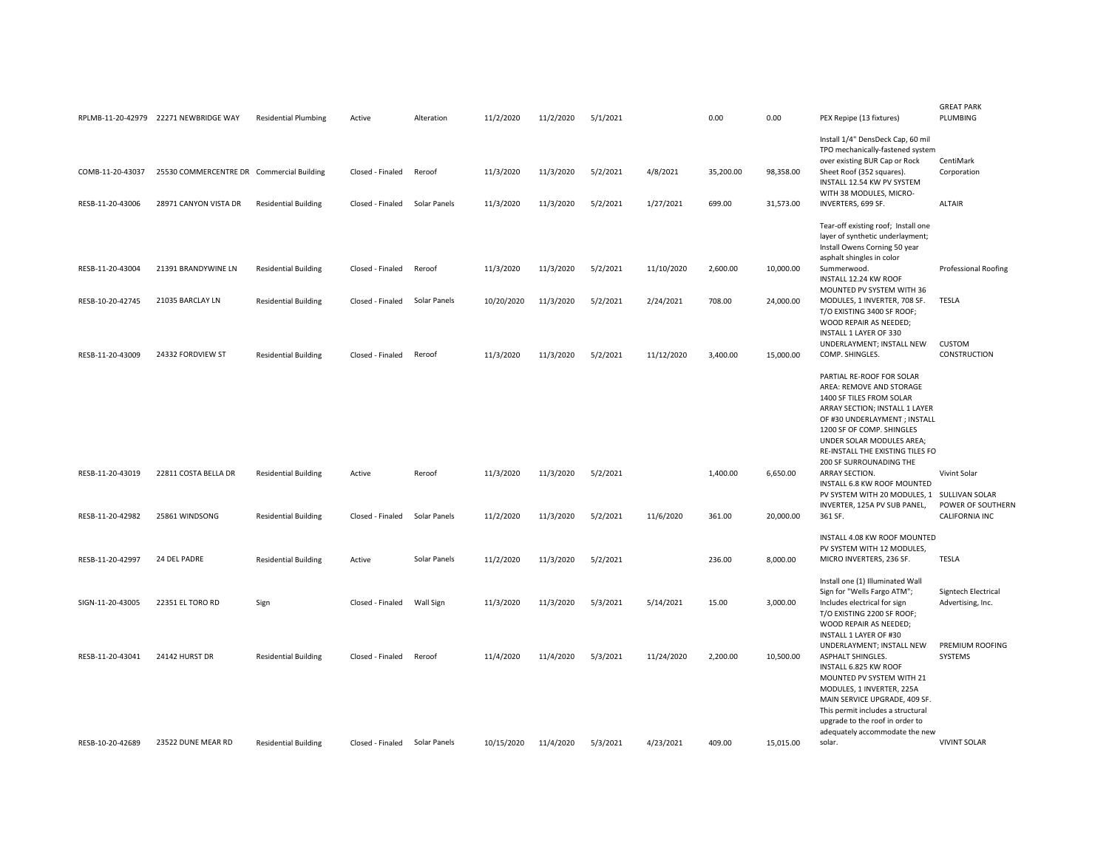|                  | RPLMB-11-20-42979 22271 NEWBRIDGE WAY     | <b>Residential Plumbing</b> | Active           | Alteration   | 11/2/2020  | 11/2/2020 | 5/1/2021 |            | 0.00      | 0.00      | PEX Repipe (13 fixtures)                                                                                                                                                                                                                                                           | <b>GREAT PARK</b><br>PLUMBING                         |
|------------------|-------------------------------------------|-----------------------------|------------------|--------------|------------|-----------|----------|------------|-----------|-----------|------------------------------------------------------------------------------------------------------------------------------------------------------------------------------------------------------------------------------------------------------------------------------------|-------------------------------------------------------|
| COMB-11-20-43037 | 25530 COMMERCENTRE DR Commercial Building |                             | Closed - Finaled | Reroof       | 11/3/2020  | 11/3/2020 | 5/2/2021 | 4/8/2021   | 35,200.00 | 98,358.00 | Install 1/4" DensDeck Cap, 60 mil<br>TPO mechanically-fastened system<br>over existing BUR Cap or Rock<br>Sheet Roof (352 squares).<br>INSTALL 12.54 KW PV SYSTEM<br>WITH 38 MODULES, MICRO-                                                                                       | CentiMark<br>Corporation                              |
| RESB-11-20-43006 | 28971 CANYON VISTA DR                     | <b>Residential Building</b> | Closed - Finaled | Solar Panels | 11/3/2020  | 11/3/2020 | 5/2/2021 | 1/27/2021  | 699.00    | 31,573.00 | INVERTERS, 699 SF.                                                                                                                                                                                                                                                                 | <b>ALTAIR</b>                                         |
| RESB-11-20-43004 | 21391 BRANDYWINE LN                       | <b>Residential Building</b> | Closed - Finaled | Reroof       | 11/3/2020  | 11/3/2020 | 5/2/2021 | 11/10/2020 | 2,600.00  | 10,000.00 | Tear-off existing roof; Install one<br>layer of synthetic underlayment;<br>Install Owens Corning 50 year<br>asphalt shingles in color<br>Summerwood.<br>INSTALL 12.24 KW ROOF                                                                                                      | Professional Roofing                                  |
| RESB-10-20-42745 | 21035 BARCLAY LN                          | <b>Residential Building</b> | Closed - Finaled | Solar Panels | 10/20/2020 | 11/3/2020 | 5/2/2021 | 2/24/2021  | 708.00    | 24,000.00 | MOUNTED PV SYSTEM WITH 36<br>MODULES, 1 INVERTER, 708 SF.<br>T/O EXISTING 3400 SF ROOF;<br>WOOD REPAIR AS NEEDED;<br>INSTALL 1 LAYER OF 330                                                                                                                                        | <b>TESLA</b>                                          |
| RESB-11-20-43009 | 24332 FORDVIEW ST                         | <b>Residential Building</b> | Closed - Finaled | Reroof       | 11/3/2020  | 11/3/2020 | 5/2/2021 | 11/12/2020 | 3,400.00  | 15,000.00 | UNDERLAYMENT; INSTALL NEW<br>COMP. SHINGLES.                                                                                                                                                                                                                                       | <b>CUSTOM</b><br>CONSTRUCTION                         |
|                  |                                           |                             |                  |              |            |           |          |            |           |           | PARTIAL RE-ROOF FOR SOLAR<br>AREA: REMOVE AND STORAGE<br>1400 SF TILES FROM SOLAR<br>ARRAY SECTION; INSTALL 1 LAYER<br>OF #30 UNDERLAYMENT ; INSTALL<br>1200 SF OF COMP. SHINGLES<br>UNDER SOLAR MODULES AREA;<br>RE-INSTALL THE EXISTING TILES FO<br>200 SF SURROUNADING THE      |                                                       |
| RESB-11-20-43019 | 22811 COSTA BELLA DR                      | <b>Residential Building</b> | Active           | Reroof       | 11/3/2020  | 11/3/2020 | 5/2/2021 |            | 1,400.00  | 6,650.00  | ARRAY SECTION.<br>INSTALL 6.8 KW ROOF MOUNTED                                                                                                                                                                                                                                      | Vivint Solar                                          |
| RESB-11-20-42982 | 25861 WINDSONG                            | <b>Residential Building</b> | Closed - Finaled | Solar Panels | 11/2/2020  | 11/3/2020 | 5/2/2021 | 11/6/2020  | 361.00    | 20,000.00 | PV SYSTEM WITH 20 MODULES, 1<br>INVERTER, 125A PV SUB PANEL,<br>361 SF.                                                                                                                                                                                                            | SULLIVAN SOLAR<br>POWER OF SOUTHERN<br>CALIFORNIA INC |
|                  |                                           |                             |                  |              |            |           |          |            |           |           |                                                                                                                                                                                                                                                                                    |                                                       |
| RESB-11-20-42997 | 24 DEL PADRE                              | <b>Residential Building</b> | Active           | Solar Panels | 11/2/2020  | 11/3/2020 | 5/2/2021 |            | 236.00    | 8,000.00  | INSTALL 4.08 KW ROOF MOUNTED<br>PV SYSTEM WITH 12 MODULES,<br>MICRO INVERTERS, 236 SF.                                                                                                                                                                                             | <b>TESLA</b>                                          |
| SIGN-11-20-43005 | 22351 EL TORO RD                          | Sign                        | Closed - Finaled | Wall Sign    | 11/3/2020  | 11/3/2020 | 5/3/2021 | 5/14/2021  | 15.00     | 3,000.00  | Install one (1) Illuminated Wall<br>Sign for "Wells Fargo ATM";<br>Includes electrical for sign<br>T/O EXISTING 2200 SF ROOF;<br>WOOD REPAIR AS NEEDED;<br>INSTALL 1 LAYER OF #30                                                                                                  | Signtech Electrical<br>Advertising, Inc.              |
| RESB-11-20-43041 | 24142 HURST DR                            | <b>Residential Building</b> | Closed - Finaled | Reroof       | 11/4/2020  | 11/4/2020 | 5/3/2021 | 11/24/2020 | 2,200.00  | 10.500.00 | UNDERLAYMENT; INSTALL NEW<br><b>ASPHALT SHINGLES</b><br>INSTALL 6.825 KW ROOF<br>MOUNTED PV SYSTEM WITH 21<br>MODULES, 1 INVERTER, 225A<br>MAIN SERVICE UPGRADE, 409 SF.<br>This permit includes a structural<br>upgrade to the roof in order to<br>adequately accommodate the new | PREMIUM ROOFING<br>SYSTEMS                            |
| RESB-10-20-42689 | 23522 DUNE MEAR RD                        | <b>Residential Building</b> | Closed - Finaled | Solar Panels | 10/15/2020 | 11/4/2020 | 5/3/2021 | 4/23/2021  | 409.00    | 15.015.00 | solar.                                                                                                                                                                                                                                                                             | <b>VIVINT SOLAR</b>                                   |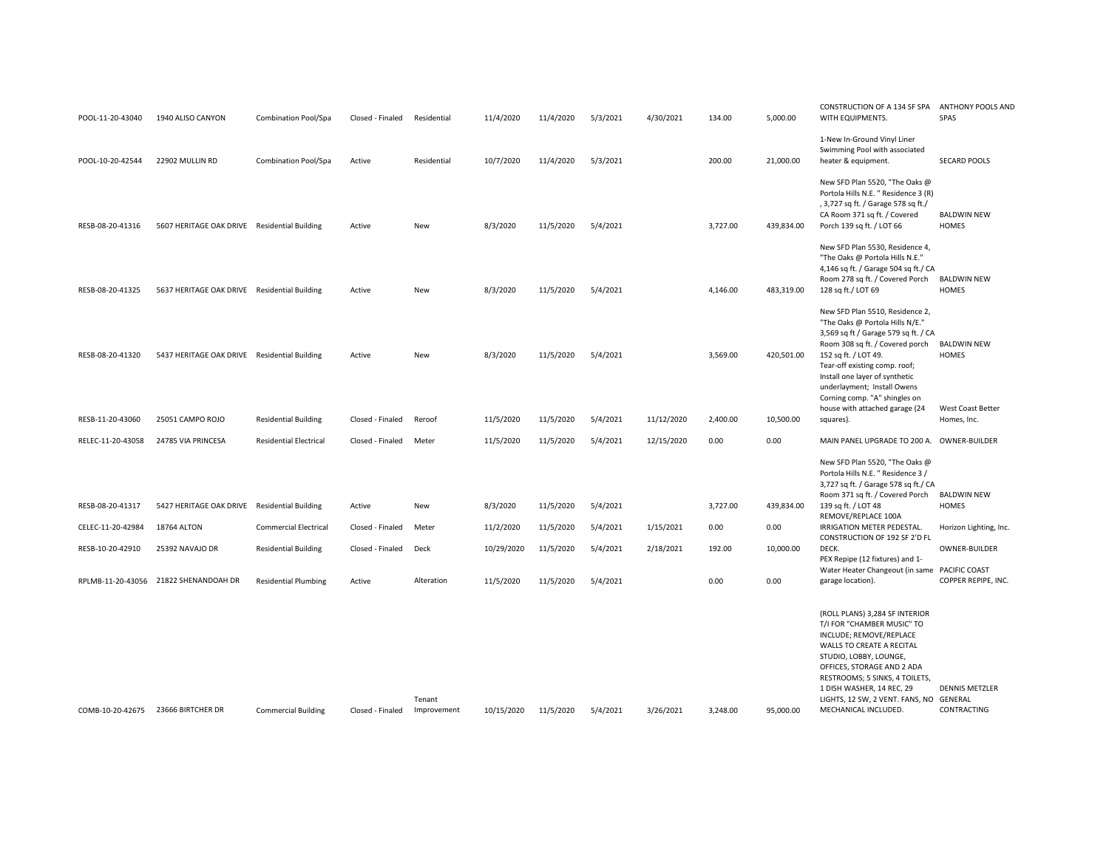| POOL-11-20-43040  | 1940 ALISO CANYON                            | Combination Pool/Spa          | Closed - Finaled | Residential           | 11/4/2020  | 11/4/2020 | 5/3/2021 | 4/30/2021  | 134.00   | 5,000.00   | CONSTRUCTION OF A 134 SF SPA<br>WITH EQUIPMENTS.                                                                                                                                                                                                                                                               | <b>ANTHONY POOLS AND</b><br>SPAS     |
|-------------------|----------------------------------------------|-------------------------------|------------------|-----------------------|------------|-----------|----------|------------|----------|------------|----------------------------------------------------------------------------------------------------------------------------------------------------------------------------------------------------------------------------------------------------------------------------------------------------------------|--------------------------------------|
| POOL-10-20-42544  | 22902 MULLIN RD                              | Combination Pool/Spa          | Active           | Residential           | 10/7/2020  | 11/4/2020 | 5/3/2021 |            | 200.00   | 21,000.00  | 1-New In-Ground Vinyl Liner<br>Swimming Pool with associated<br>heater & equipment.                                                                                                                                                                                                                            | <b>SECARD POOLS</b>                  |
| RESB-08-20-41316  | 5607 HERITAGE OAK DRIVE Residential Building |                               | Active           | New                   | 8/3/2020   | 11/5/2020 | 5/4/2021 |            | 3,727.00 | 439,834.00 | New SFD Plan 5520, "The Oaks @<br>Portola Hills N.E. " Residence 3 (R)<br>, 3,727 sq ft. / Garage 578 sq ft./<br>CA Room 371 sq ft. / Covered<br>Porch 139 sq ft. / LOT 66                                                                                                                                     | <b>BALDWIN NEW</b><br>HOMES          |
| RESB-08-20-41325  | 5637 HERITAGE OAK DRIVE Residential Building |                               | Active           | New                   | 8/3/2020   | 11/5/2020 | 5/4/2021 |            | 4,146.00 | 483.319.00 | New SFD Plan 5530, Residence 4,<br>"The Oaks @ Portola Hills N.E."<br>4,146 sq ft. / Garage 504 sq ft./ CA<br>Room 278 sq ft. / Covered Porch<br>128 sq ft./ LOT 69                                                                                                                                            | <b>BALDWIN NEW</b><br>HOMES          |
| RESB-08-20-41320  | 5437 HERITAGE OAK DRIVE Residential Building |                               | Active           | New                   | 8/3/2020   | 11/5/2020 | 5/4/2021 |            | 3,569.00 | 420,501.00 | New SFD Plan 5510, Residence 2,<br>"The Oaks @ Portola Hills N/E."<br>3,569 sq ft / Garage 579 sq ft. / CA<br>Room 308 sq ft. / Covered porch<br>152 sq ft. / LOT 49.<br>Tear-off existing comp. roof;<br>Install one layer of synthetic<br>underlayment; Install Owens                                        | <b>BALDWIN NEW</b><br>HOMES          |
| RESB-11-20-43060  | 25051 CAMPO ROJO                             | <b>Residential Building</b>   | Closed - Finaled | Reroof                | 11/5/2020  | 11/5/2020 | 5/4/2021 | 11/12/2020 | 2,400.00 | 10,500.00  | Corning comp. "A" shingles on<br>house with attached garage (24<br>squares).                                                                                                                                                                                                                                   | West Coast Better<br>Homes, Inc.     |
| RELEC-11-20-43058 | 24785 VIA PRINCESA                           | <b>Residential Electrical</b> | Closed - Finaled | Meter                 | 11/5/2020  | 11/5/2020 | 5/4/2021 | 12/15/2020 | 0.00     | 0.00       | MAIN PANEL UPGRADE TO 200 A. OWNER-BUILDER                                                                                                                                                                                                                                                                     |                                      |
|                   |                                              |                               |                  |                       |            |           |          |            |          |            | New SFD Plan 5520, "The Oaks @<br>Portola Hills N.E. " Residence 3 /<br>3,727 sq ft. / Garage 578 sq ft./ CA<br>Room 371 sq ft. / Covered Porch                                                                                                                                                                | <b>BALDWIN NEW</b>                   |
| RESB-08-20-41317  | 5427 HERITAGE OAK DRIVE Residential Building |                               | Active           | New                   | 8/3/2020   | 11/5/2020 | 5/4/2021 |            | 3,727.00 | 439,834.00 | 139 sq ft. / LOT 48<br>REMOVE/REPLACE 100A                                                                                                                                                                                                                                                                     | HOMES                                |
| CELEC-11-20-42984 | <b>18764 ALTON</b>                           | <b>Commercial Electrical</b>  | Closed - Finaled | Meter                 | 11/2/2020  | 11/5/2020 | 5/4/2021 | 1/15/2021  | 0.00     | 0.00       | IRRIGATION METER PEDESTAL.<br>CONSTRUCTION OF 192 SF 2'D FL                                                                                                                                                                                                                                                    | Horizon Lighting, Inc.               |
| RESB-10-20-42910  | 25392 NAVAJO DR                              | <b>Residential Building</b>   | Closed - Finaled | Deck                  | 10/29/2020 | 11/5/2020 | 5/4/2021 | 2/18/2021  | 192.00   | 10,000.00  | DECK.<br>PEX Repipe (12 fixtures) and 1-                                                                                                                                                                                                                                                                       | OWNER-BUILDER                        |
| RPLMB-11-20-43056 | 21822 SHENANDOAH DR                          | <b>Residential Plumbing</b>   | Active           | Alteration            | 11/5/2020  | 11/5/2020 | 5/4/2021 |            | 0.00     | 0.00       | Water Heater Changeout (in same<br>garage location).                                                                                                                                                                                                                                                           | PACIFIC COAST<br>COPPER REPIPE, INC. |
| COMB-10-20-42675  | 23666 BIRTCHER DR                            | <b>Commercial Building</b>    | Closed - Finaled | Tenant<br>Improvement | 10/15/2020 | 11/5/2020 | 5/4/2021 | 3/26/2021  | 3,248.00 | 95,000.00  | (ROLL PLANS) 3,284 SF INTERIOR<br>T/I FOR "CHAMBER MUSIC" TO<br>INCLUDE; REMOVE/REPLACE<br>WALLS TO CREATE A RECITAL<br>STUDIO, LOBBY, LOUNGE,<br>OFFICES, STORAGE AND 2 ADA<br>RESTROOMS; 5 SINKS, 4 TOILETS,<br>1 DISH WASHER, 14 REC, 29<br>LIGHTS, 12 SW, 2 VENT. FANS, NO GENERAL<br>MECHANICAL INCLUDED. | <b>DENNIS METZLER</b><br>CONTRACTING |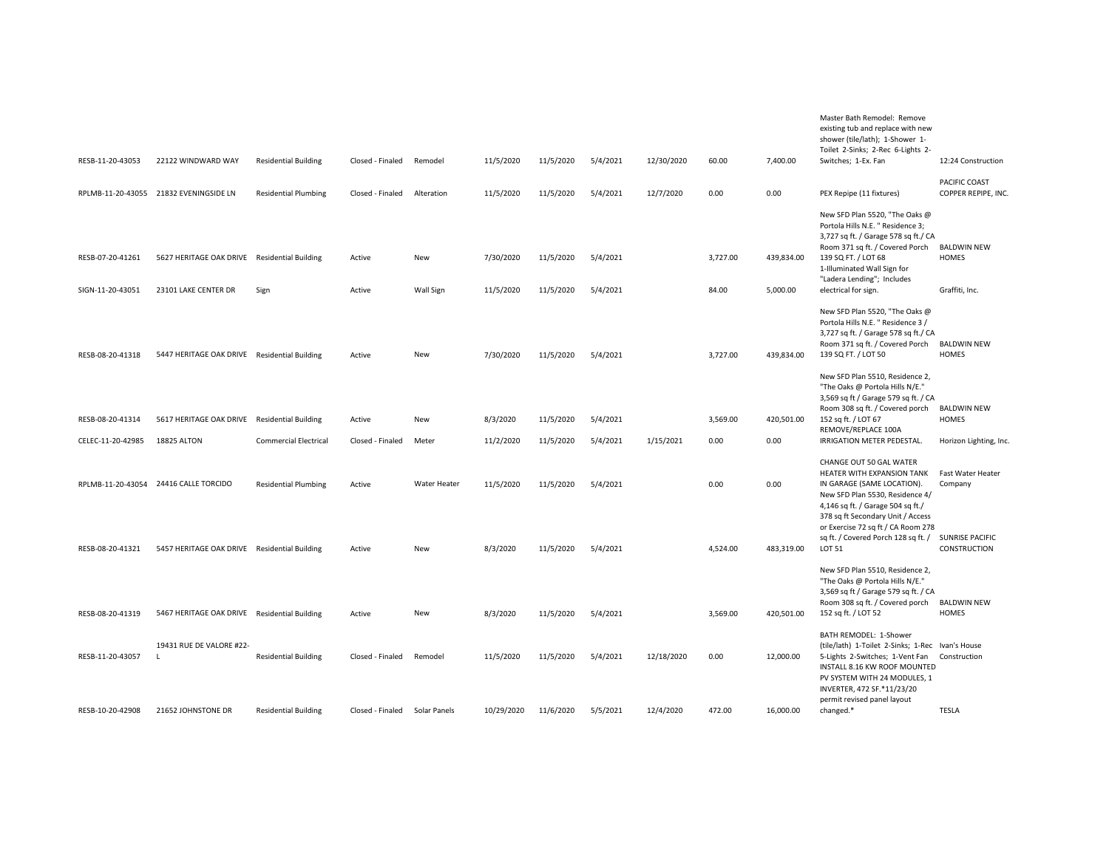| RESB-11-20-43053  | 22122 WINDWARD WAY                           | <b>Residential Building</b>  | Closed - Finaled | Remodel          | 11/5/2020  | 11/5/2020 | 5/4/2021 | 12/30/2020 | 60.00    | 7,400.00   | Master Bath Remodel: Remove<br>existing tub and replace with new<br>shower (tile/lath); 1-Shower 1-<br>Toilet 2-Sinks; 2-Rec 6-Lights 2-<br>Switches; 1-Ex. Fan                                                                        | 12:24 Construction                     |
|-------------------|----------------------------------------------|------------------------------|------------------|------------------|------------|-----------|----------|------------|----------|------------|----------------------------------------------------------------------------------------------------------------------------------------------------------------------------------------------------------------------------------------|----------------------------------------|
|                   | RPLMB-11-20-43055 21832 EVENINGSIDE LN       | <b>Residential Plumbing</b>  | Closed - Finaled | Alteration       | 11/5/2020  | 11/5/2020 | 5/4/2021 | 12/7/2020  | 0.00     | 0.00       | PEX Repipe (11 fixtures)                                                                                                                                                                                                               | PACIFIC COAST<br>COPPER REPIPE, INC.   |
|                   |                                              |                              |                  |                  |            |           |          |            |          |            | New SFD Plan 5520, "The Oaks @<br>Portola Hills N.E. " Residence 3;<br>3,727 sq ft. / Garage 578 sq ft./ CA<br>Room 371 sq ft. / Covered Porch                                                                                         | <b>BALDWIN NEW</b>                     |
| RESB-07-20-41261  | 5627 HERITAGE OAK DRIVE Residential Building |                              | Active           | New              | 7/30/2020  | 11/5/2020 | 5/4/2021 |            | 3,727.00 | 439,834.00 | 139 SQ FT. / LOT 68<br>1-Illuminated Wall Sign for<br>"Ladera Lending"; Includes                                                                                                                                                       | HOMES                                  |
| SIGN-11-20-43051  | 23101 LAKE CENTER DR                         | Sign                         | Active           | <b>Wall Sign</b> | 11/5/2020  | 11/5/2020 | 5/4/2021 |            | 84.00    | 5,000.00   | electrical for sign.                                                                                                                                                                                                                   | Graffiti, Inc.                         |
| RESB-08-20-41318  | 5447 HERITAGE OAK DRIVE Residential Building |                              | Active           | New              | 7/30/2020  | 11/5/2020 | 5/4/2021 |            | 3,727.00 | 439,834.00 | New SFD Plan 5520, "The Oaks @<br>Portola Hills N.E. " Residence 3 /<br>3,727 sq ft. / Garage 578 sq ft./ CA<br>Room 371 sq ft. / Covered Porch<br>139 SQ FT. / LOT 50                                                                 | <b>BALDWIN NEW</b><br>HOMES            |
|                   |                                              |                              |                  |                  |            |           |          |            |          |            | New SFD Plan 5510, Residence 2,<br>"The Oaks @ Portola Hills N/E."<br>3,569 sq ft / Garage 579 sq ft. / CA                                                                                                                             |                                        |
| RESB-08-20-41314  | 5617 HERITAGE OAK DRIVE                      | <b>Residential Building</b>  | Active           | New              | 8/3/2020   | 11/5/2020 | 5/4/2021 |            | 3,569.00 | 420,501.00 | Room 308 sq ft. / Covered porch<br>152 sq ft. / LOT 67<br>REMOVE/REPLACE 100A                                                                                                                                                          | <b>BALDWIN NEW</b><br>HOMES            |
| CELEC-11-20-42985 | 18825 ALTON                                  | <b>Commercial Electrical</b> | Closed - Finaled | Meter            | 11/2/2020  | 11/5/2020 | 5/4/2021 | 1/15/2021  | 0.00     | 0.00       | IRRIGATION METER PEDESTAL.                                                                                                                                                                                                             | Horizon Lighting, Inc.                 |
|                   | RPLMB-11-20-43054 24416 CALLE TORCIDO        | <b>Residential Plumbing</b>  | Active           | Water Heater     | 11/5/2020  | 11/5/2020 | 5/4/2021 |            | 0.00     | 0.00       | CHANGE OUT 50 GAL WATER<br>HEATER WITH EXPANSION TANK<br>IN GARAGE (SAME LOCATION).<br>New SFD Plan 5530, Residence 4/<br>4,146 sq ft. / Garage 504 sq ft./<br>378 sq ft Secondary Unit / Access<br>or Exercise 72 sq ft / CA Room 278 | Fast Water Heater<br>Company           |
| RESB-08-20-41321  | 5457 HERITAGE OAK DRIVE Residential Building |                              | Active           | New              | 8/3/2020   | 11/5/2020 | 5/4/2021 |            | 4,524.00 | 483,319.00 | sq ft. / Covered Porch 128 sq ft. /<br><b>LOT 51</b>                                                                                                                                                                                   | <b>SUNRISE PACIFIC</b><br>CONSTRUCTION |
| RESB-08-20-41319  | 5467 HERITAGE OAK DRIVE Residential Building |                              | Active           | New              | 8/3/2020   | 11/5/2020 | 5/4/2021 |            | 3,569.00 | 420,501.00 | New SFD Plan 5510, Residence 2,<br>"The Oaks @ Portola Hills N/E."<br>3,569 sq ft / Garage 579 sq ft. / CA<br>Room 308 sq ft. / Covered porch<br>152 sq ft. / LOT 52                                                                   | <b>BALDWIN NEW</b><br>HOMES            |
|                   |                                              |                              |                  |                  |            |           |          |            |          |            | BATH REMODEL: 1-Shower                                                                                                                                                                                                                 |                                        |
| RESB-11-20-43057  | 19431 RUE DE VALORE #22-<br>$\perp$          | <b>Residential Building</b>  | Closed - Finaled | Remodel          | 11/5/2020  | 11/5/2020 | 5/4/2021 | 12/18/2020 | 0.00     | 12,000.00  | (tile/lath) 1-Toilet 2-Sinks; 1-Rec Ivan's House<br>5-Lights 2-Switches; 1-Vent Fan<br>INSTALL 8.16 KW ROOF MOUNTED<br>PV SYSTEM WITH 24 MODULES, 1<br>INVERTER, 472 SF.*11/23/20<br>permit revised panel layout                       | Construction                           |
| RESB-10-20-42908  | 21652 JOHNSTONE DR                           | <b>Residential Building</b>  | Closed - Finaled | Solar Panels     | 10/29/2020 | 11/6/2020 | 5/5/2021 | 12/4/2020  | 472.00   | 16,000.00  | changed.*                                                                                                                                                                                                                              | <b>TESLA</b>                           |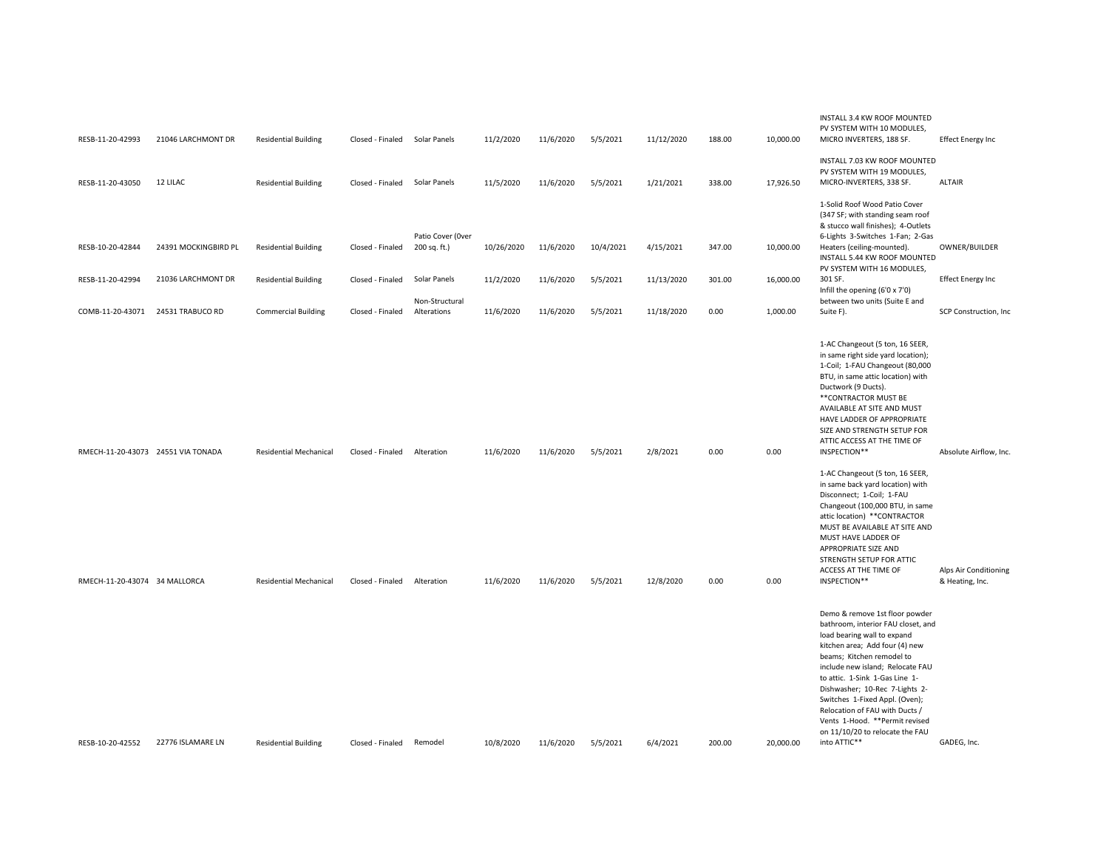|                                    |                      |                               |                  |                               |            |           |           |            |        |           | INSTALL 3.4 KW ROOF MOUNTED                                                                                                                                                                                                                                                                                                                                                                                                          |                                          |
|------------------------------------|----------------------|-------------------------------|------------------|-------------------------------|------------|-----------|-----------|------------|--------|-----------|--------------------------------------------------------------------------------------------------------------------------------------------------------------------------------------------------------------------------------------------------------------------------------------------------------------------------------------------------------------------------------------------------------------------------------------|------------------------------------------|
| RESB-11-20-42993                   | 21046 LARCHMONT DR   | <b>Residential Building</b>   | Closed - Finaled | Solar Panels                  | 11/2/2020  | 11/6/2020 | 5/5/2021  | 11/12/2020 | 188.00 | 10,000.00 | PV SYSTEM WITH 10 MODULES,<br>MICRO INVERTERS, 188 SF.                                                                                                                                                                                                                                                                                                                                                                               | <b>Effect Energy Inc</b>                 |
|                                    |                      |                               |                  |                               |            |           |           |            |        |           | INSTALL 7.03 KW ROOF MOUNTED<br>PV SYSTEM WITH 19 MODULES,                                                                                                                                                                                                                                                                                                                                                                           |                                          |
| RESB-11-20-43050                   | 12 LILAC             | <b>Residential Building</b>   | Closed - Finaled | Solar Panels                  | 11/5/2020  | 11/6/2020 | 5/5/2021  | 1/21/2021  | 338.00 | 17,926.50 | MICRO-INVERTERS, 338 SF.                                                                                                                                                                                                                                                                                                                                                                                                             | <b>ALTAIR</b>                            |
|                                    |                      |                               |                  | Patio Cover (Over             |            |           |           |            |        |           | 1-Solid Roof Wood Patio Cover<br>(347 SF; with standing seam roof<br>& stucco wall finishes); 4-Outlets<br>6-Lights 3-Switches 1-Fan; 2-Gas                                                                                                                                                                                                                                                                                          |                                          |
| RESB-10-20-42844                   | 24391 MOCKINGBIRD PL | <b>Residential Building</b>   | Closed - Finaled | 200 sq. ft.)                  | 10/26/2020 | 11/6/2020 | 10/4/2021 | 4/15/2021  | 347.00 | 10,000.00 | Heaters (ceiling-mounted).<br>INSTALL 5.44 KW ROOF MOUNTED<br>PV SYSTEM WITH 16 MODULES.                                                                                                                                                                                                                                                                                                                                             | OWNER/BUILDER                            |
| RESB-11-20-42994                   | 21036 LARCHMONT DR   | <b>Residential Building</b>   | Closed - Finaled | Solar Panels                  | 11/2/2020  | 11/6/2020 | 5/5/2021  | 11/13/2020 | 301.00 | 16,000.00 | 301 SF.<br>Infill the opening (6'0 x 7'0)                                                                                                                                                                                                                                                                                                                                                                                            | <b>Effect Energy Inc</b>                 |
| COMB-11-20-43071                   | 24531 TRABUCO RD     | <b>Commercial Building</b>    | Closed - Finaled | Non-Structural<br>Alterations | 11/6/2020  | 11/6/2020 | 5/5/2021  | 11/18/2020 | 0.00   | 1,000.00  | between two units (Suite E and<br>Suite F).                                                                                                                                                                                                                                                                                                                                                                                          | SCP Construction, Inc                    |
|                                    |                      |                               |                  |                               |            |           |           |            |        |           | 1-AC Changeout (5 ton, 16 SEER,<br>in same right side yard location);<br>1-Coil; 1-FAU Changeout (80,000<br>BTU, in same attic location) with<br>Ductwork (9 Ducts).<br>** CONTRACTOR MUST BE<br>AVAILABLE AT SITE AND MUST<br>HAVE LADDER OF APPROPRIATE<br>SIZE AND STRENGTH SETUP FOR<br>ATTIC ACCESS AT THE TIME OF                                                                                                              |                                          |
| RMECH-11-20-43073 24551 VIA TONADA |                      | <b>Residential Mechanical</b> | Closed - Finaled | Alteration                    | 11/6/2020  | 11/6/2020 | 5/5/2021  | 2/8/2021   | 0.00   | 0.00      | INSPECTION**<br>1-AC Changeout (5 ton, 16 SEER,<br>in same back yard location) with<br>Disconnect; 1-Coil; 1-FAU<br>Changeout (100,000 BTU, in same<br>attic location) ** CONTRACTOR<br>MUST BE AVAILABLE AT SITE AND<br>MUST HAVE LADDER OF<br>APPROPRIATE SIZE AND<br>STRENGTH SETUP FOR ATTIC                                                                                                                                     | Absolute Airflow, Inc.                   |
| RMECH-11-20-43074 34 MALLORCA      |                      | <b>Residential Mechanical</b> | Closed - Finaled | Alteration                    | 11/6/2020  | 11/6/2020 | 5/5/2021  | 12/8/2020  | 0.00   | 0.00      | ACCESS AT THE TIME OF<br>INSPECTION**                                                                                                                                                                                                                                                                                                                                                                                                | Alps Air Conditioning<br>& Heating, Inc. |
| RESB-10-20-42552                   | 22776 ISLAMARE LN    | <b>Residential Building</b>   | Closed - Finaled | Remodel                       | 10/8/2020  | 11/6/2020 | 5/5/2021  | 6/4/2021   | 200.00 | 20.000.00 | Demo & remove 1st floor powder<br>bathroom, interior FAU closet, and<br>load bearing wall to expand<br>kitchen area; Add four (4) new<br>beams; Kitchen remodel to<br>include new island; Relocate FAU<br>to attic. 1-Sink 1-Gas Line 1-<br>Dishwasher; 10-Rec 7-Lights 2-<br>Switches 1-Fixed Appl. (Oven);<br>Relocation of FAU with Ducts /<br>Vents 1-Hood. ** Permit revised<br>on 11/10/20 to relocate the FAU<br>into ATTIC** | GADEG, Inc.                              |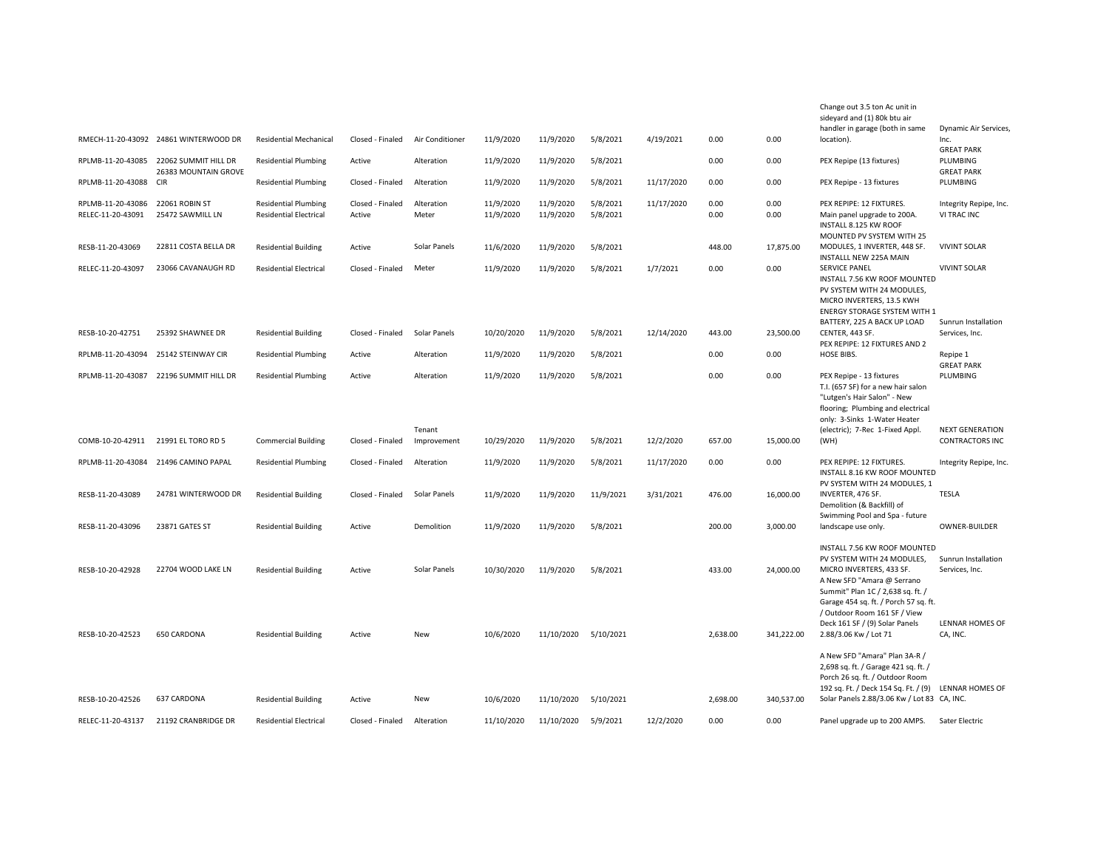|                   |                                                                |                               |                  |                       |            |            |           |            |          |            | Change out 3.5 ton Ac unit in<br>sideyard and (1) 80k btu air<br>handler in garage (both in same                                                                                                   | Dynamic Air Services,                            |
|-------------------|----------------------------------------------------------------|-------------------------------|------------------|-----------------------|------------|------------|-----------|------------|----------|------------|----------------------------------------------------------------------------------------------------------------------------------------------------------------------------------------------------|--------------------------------------------------|
|                   | RMECH-11-20-43092 24861 WINTERWOOD DR                          | <b>Residential Mechanical</b> | Closed - Finaled | Air Conditioner       | 11/9/2020  | 11/9/2020  | 5/8/2021  | 4/19/2021  | 0.00     | 0.00       | location).                                                                                                                                                                                         | Inc.<br><b>GREAT PARK</b>                        |
|                   | RPLMB-11-20-43085 22062 SUMMIT HILL DR<br>26383 MOUNTAIN GROVE | <b>Residential Plumbing</b>   | Active           | Alteration            | 11/9/2020  | 11/9/2020  | 5/8/2021  |            | 0.00     | 0.00       | PEX Repipe (13 fixtures)                                                                                                                                                                           | PLUMBING<br><b>GREAT PARK</b>                    |
| RPLMB-11-20-43088 | <b>CIR</b>                                                     | <b>Residential Plumbing</b>   | Closed - Finaled | Alteration            | 11/9/2020  | 11/9/2020  | 5/8/2021  | 11/17/2020 | 0.00     | 0.00       | PEX Repipe - 13 fixtures                                                                                                                                                                           | PLUMBING                                         |
| RPLMB-11-20-43086 | 22061 ROBIN ST                                                 | <b>Residential Plumbing</b>   | Closed - Finaled | Alteration            | 11/9/2020  | 11/9/2020  | 5/8/2021  | 11/17/2020 | 0.00     | 0.00       | PEX REPIPE: 12 FIXTURES.                                                                                                                                                                           | Integrity Repipe, Inc.                           |
| RELEC-11-20-43091 | 25472 SAWMILL LN                                               | <b>Residential Electrical</b> | Active           | Meter                 | 11/9/2020  | 11/9/2020  | 5/8/2021  |            | 0.00     | 0.00       | Main panel upgrade to 200A.<br>INSTALL 8.125 KW ROOF<br>MOUNTED PV SYSTEM WITH 25                                                                                                                  | VI TRAC INC                                      |
| RESB-11-20-43069  | 22811 COSTA BELLA DR                                           | <b>Residential Building</b>   | Active           | Solar Panels          | 11/6/2020  | 11/9/2020  | 5/8/2021  |            | 448.00   | 17,875.00  | MODULES, 1 INVERTER, 448 SF.<br>INSTALLL NEW 225A MAIN                                                                                                                                             | <b>VIVINT SOLAR</b>                              |
| RELEC-11-20-43097 | 23066 CAVANAUGH RD                                             | <b>Residential Electrical</b> | Closed - Finaled | Meter                 | 11/9/2020  | 11/9/2020  | 5/8/2021  | 1/7/2021   | 0.00     | 0.00       | <b>SERVICE PANEL</b><br>INSTALL 7.56 KW ROOF MOUNTED<br>PV SYSTEM WITH 24 MODULES,<br>MICRO INVERTERS, 13.5 KWH<br><b>ENERGY STORAGE SYSTEM WITH 1</b>                                             | <b>VIVINT SOLAR</b>                              |
| RESB-10-20-42751  | 25392 SHAWNEE DR                                               | <b>Residential Building</b>   | Closed - Finaled | Solar Panels          | 10/20/2020 | 11/9/2020  | 5/8/2021  | 12/14/2020 | 443.00   | 23,500.00  | BATTERY, 225 A BACK UP LOAD<br>CENTER, 443 SF.                                                                                                                                                     | Sunrun Installation<br>Services, Inc.            |
|                   |                                                                |                               |                  |                       |            |            |           |            | 0.00     |            | PEX REPIPE: 12 FIXTURES AND 2                                                                                                                                                                      |                                                  |
| RPLMB-11-20-43094 | 25142 STEINWAY CIR                                             | <b>Residential Plumbing</b>   | Active           | Alteration            | 11/9/2020  | 11/9/2020  | 5/8/2021  |            |          | 0.00       | HOSE BIBS.                                                                                                                                                                                         | Repipe 1<br><b>GREAT PARK</b>                    |
| RPLMB-11-20-43087 | 22196 SUMMIT HILL DR                                           | <b>Residential Plumbing</b>   | Active           | Alteration            | 11/9/2020  | 11/9/2020  | 5/8/2021  |            | 0.00     | 0.00       | PEX Repipe - 13 fixtures<br>T.I. (657 SF) for a new hair salon<br>"Lutgen's Hair Salon" - New<br>flooring; Plumbing and electrical<br>only: 3-Sinks 1-Water Heater                                 | PLUMBING                                         |
| COMB-10-20-42911  | 21991 EL TORO RD 5                                             | <b>Commercial Building</b>    | Closed - Finaled | Tenant<br>Improvement | 10/29/2020 | 11/9/2020  | 5/8/2021  | 12/2/2020  | 657.00   | 15,000.00  | (electric); 7-Rec 1-Fixed Appl.<br>(WH)                                                                                                                                                            | <b>NEXT GENERATION</b><br><b>CONTRACTORS INC</b> |
|                   | RPLMB-11-20-43084 21496 CAMINO PAPAL                           | <b>Residential Plumbing</b>   | Closed - Finaled | Alteration            | 11/9/2020  | 11/9/2020  | 5/8/2021  | 11/17/2020 | 0.00     | 0.00       | PEX REPIPE: 12 FIXTURES.<br>INSTALL 8.16 KW ROOF MOUNTED<br>PV SYSTEM WITH 24 MODULES, 1                                                                                                           | Integrity Repipe, Inc.                           |
| RESB-11-20-43089  | 24781 WINTERWOOD DR                                            | <b>Residential Building</b>   | Closed - Finaled | Solar Panels          | 11/9/2020  | 11/9/2020  | 11/9/2021 | 3/31/2021  | 476.00   | 16,000.00  | INVERTER, 476 SF.<br>Demolition (& Backfill) of                                                                                                                                                    | <b>TESLA</b>                                     |
| RESB-11-20-43096  | 23871 GATES ST                                                 | <b>Residential Building</b>   | Active           | Demolition            | 11/9/2020  | 11/9/2020  | 5/8/2021  |            | 200.00   | 3,000.00   | Swimming Pool and Spa - future<br>landscape use only.                                                                                                                                              | <b>OWNER-BUILDER</b>                             |
| RESB-10-20-42928  | 22704 WOOD LAKE LN                                             | <b>Residential Building</b>   | Active           | Solar Panels          | 10/30/2020 | 11/9/2020  | 5/8/2021  |            | 433.00   | 24,000.00  | INSTALL 7.56 KW ROOF MOUNTED<br>PV SYSTEM WITH 24 MODULES,<br>MICRO INVERTERS, 433 SF.<br>A New SFD "Amara @ Serrano<br>Summit" Plan 1C / 2,638 sq. ft. /<br>Garage 454 sq. ft. / Porch 57 sq. ft. | Sunrun Installation<br>Services, Inc.            |
| RESB-10-20-42523  | 650 CARDONA                                                    | <b>Residential Building</b>   | Active           | New                   | 10/6/2020  | 11/10/2020 | 5/10/2021 |            | 2.638.00 | 341.222.00 | / Outdoor Room 161 SF / View<br>Deck 161 SF / (9) Solar Panels<br>2.88/3.06 Kw / Lot 71<br>A New SFD "Amara" Plan 3A-R /                                                                           | LENNAR HOMES OF<br>CA, INC.                      |
|                   |                                                                |                               |                  |                       |            |            |           |            |          |            | 2,698 sq. ft. / Garage 421 sq. ft. /<br>Porch 26 sq. ft. / Outdoor Room<br>192 sq. Ft. / Deck 154 Sq. Ft. / (9)                                                                                    | LENNAR HOMES OF                                  |
| RESB-10-20-42526  | 637 CARDONA                                                    | <b>Residential Building</b>   | Active           | New                   | 10/6/2020  | 11/10/2020 | 5/10/2021 |            | 2,698.00 | 340,537.00 | Solar Panels 2.88/3.06 Kw / Lot 83 CA, INC.                                                                                                                                                        |                                                  |
| RELEC-11-20-43137 | 21192 CRANBRIDGE DR                                            | <b>Residential Electrical</b> | Closed - Finaled | Alteration            | 11/10/2020 | 11/10/2020 | 5/9/2021  | 12/2/2020  | 0.00     | 0.00       | Panel upgrade up to 200 AMPS.                                                                                                                                                                      | Sater Electric                                   |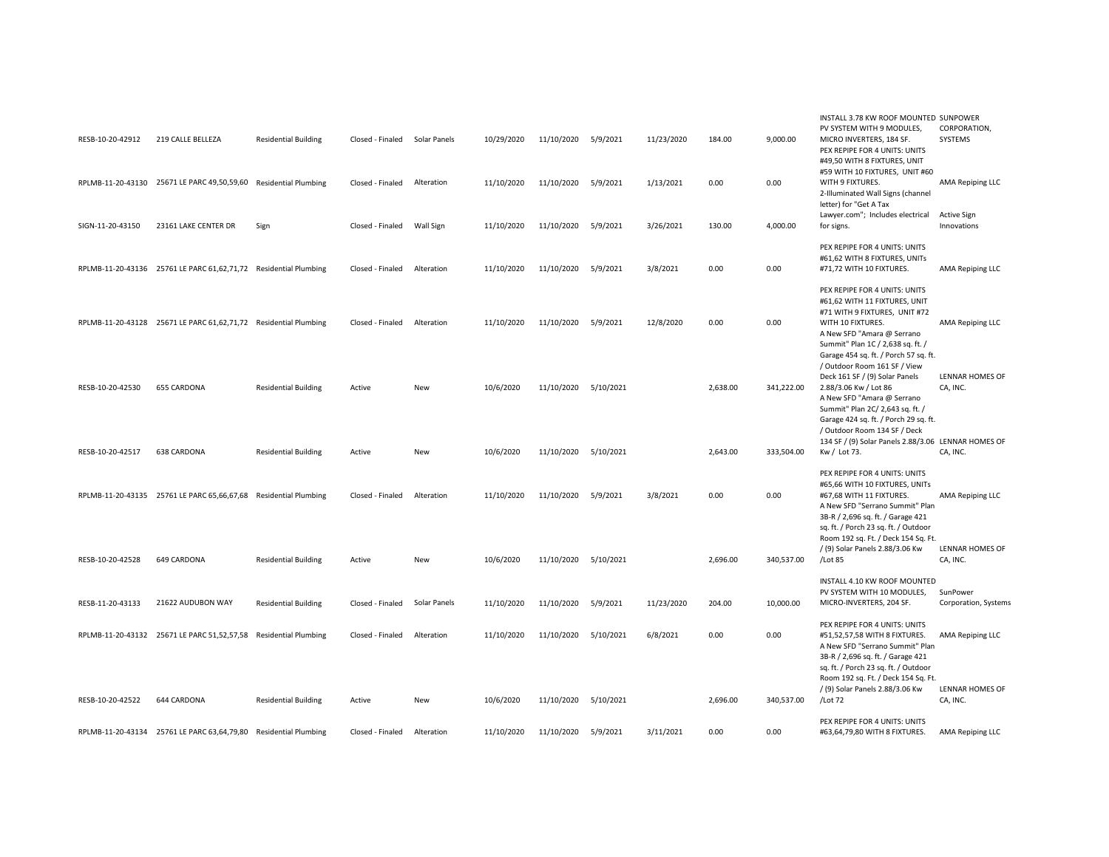| RESB-10-20-42912  | 219 CALLE BELLEZA                                                | <b>Residential Building</b> | Closed - Finaled | Solar Panels | 10/29/2020 | 11/10/2020          | 5/9/2021  | 11/23/2020 | 184.00   | 9,000.00   | INSTALL 3.78 KW ROOF MOUNTED SUNPOWER<br>PV SYSTEM WITH 9 MODULES,<br>MICRO INVERTERS, 184 SF.<br>PEX REPIPE FOR 4 UNITS: UNITS                                                                                                                          | CORPORATION,<br><b>SYSTEMS</b>      |
|-------------------|------------------------------------------------------------------|-----------------------------|------------------|--------------|------------|---------------------|-----------|------------|----------|------------|----------------------------------------------------------------------------------------------------------------------------------------------------------------------------------------------------------------------------------------------------------|-------------------------------------|
|                   | RPLMB-11-20-43130 25671 LE PARC 49,50,59,60 Residential Plumbing |                             | Closed - Finaled | Alteration   | 11/10/2020 | 11/10/2020 5/9/2021 |           | 1/13/2021  | 0.00     | 0.00       | #49,50 WITH 8 FIXTURES, UNIT<br>#59 WITH 10 FIXTURES, UNIT #60<br>WITH 9 FIXTURES.<br>2-Illuminated Wall Signs (channel<br>letter) for "Get A Tax                                                                                                        | <b>AMA Repiping LLC</b>             |
| SIGN-11-20-43150  | 23161 LAKE CENTER DR                                             | Sign                        | Closed - Finaled | Wall Sign    | 11/10/2020 | 11/10/2020 5/9/2021 |           | 3/26/2021  | 130.00   | 4,000.00   | Lawyer.com"; Includes electrical<br>for signs.                                                                                                                                                                                                           | <b>Active Sign</b><br>Innovations   |
|                   | RPLMB-11-20-43136 25761 LE PARC 61,62,71,72 Residential Plumbing |                             | Closed - Finaled | Alteration   | 11/10/2020 | 11/10/2020          | 5/9/2021  | 3/8/2021   | 0.00     | 0.00       | PEX REPIPE FOR 4 UNITS: UNITS<br>#61,62 WITH 8 FIXTURES, UNITs<br>#71,72 WITH 10 FIXTURES.                                                                                                                                                               | AMA Repiping LLC                    |
|                   | RPLMB-11-20-43128 25671 LE PARC 61,62,71,72 Residential Plumbing |                             | Closed - Finaled | Alteration   | 11/10/2020 | 11/10/2020          | 5/9/2021  | 12/8/2020  | 0.00     | 0.00       | PEX REPIPE FOR 4 UNITS: UNITS<br>#61,62 WITH 11 FIXTURES, UNIT<br>#71 WITH 9 FIXTURES, UNIT #72<br>WITH 10 FIXTURES.<br>A New SFD "Amara @ Serrano<br>Summit" Plan 1C / 2,638 sq. ft. /                                                                  | AMA Repiping LLC                    |
| RESB-10-20-42530  | <b>655 CARDONA</b>                                               | <b>Residential Building</b> | Active           | New          | 10/6/2020  | 11/10/2020          | 5/10/2021 |            | 2,638.00 | 341,222.00 | Garage 454 sq. ft. / Porch 57 sq. ft.<br>/ Outdoor Room 161 SF / View<br>Deck 161 SF / (9) Solar Panels<br>2.88/3.06 Kw / Lot 86<br>A New SFD "Amara @ Serrano<br>Summit" Plan 2C/ 2,643 sq. ft. /<br>Garage 424 sq. ft. / Porch 29 sq. ft.              | LENNAR HOMES OF<br>CA, INC.         |
| RESB-10-20-42517  | 638 CARDONA                                                      | <b>Residential Building</b> | Active           | New          | 10/6/2020  | 11/10/2020          | 5/10/2021 |            | 2,643.00 | 333,504.00 | / Outdoor Room 134 SF / Deck<br>134 SF / (9) Solar Panels 2.88/3.06 LENNAR HOMES OF<br>Kw / Lot 73.                                                                                                                                                      | CA, INC.                            |
|                   | RPLMB-11-20-43135 25761 LE PARC 65,66,67,68                      | <b>Residential Plumbing</b> | Closed - Finaled | Alteration   | 11/10/2020 | 11/10/2020          | 5/9/2021  | 3/8/2021   | 0.00     | 0.00       | PEX REPIPE FOR 4 UNITS: UNITS<br>#65,66 WITH 10 FIXTURES, UNITs<br>#67,68 WITH 11 FIXTURES.<br>A New SFD "Serrano Summit" Plan<br>3B-R / 2,696 sq. ft. / Garage 421<br>sq. ft. / Porch 23 sq. ft. / Outdoor                                              | AMA Repiping LLC                    |
| RESB-10-20-42528  | 649 CARDONA                                                      | <b>Residential Building</b> | Active           | New          | 10/6/2020  | 11/10/2020          | 5/10/2021 |            | 2,696.00 | 340,537.00 | Room 192 sq. Ft. / Deck 154 Sq. Ft.<br>/ (9) Solar Panels 2.88/3.06 Kw<br>/Lot 85                                                                                                                                                                        | LENNAR HOMES OF<br>CA, INC.         |
| RESB-11-20-43133  | 21622 AUDUBON WAY                                                | <b>Residential Building</b> | Closed - Finaled | Solar Panels | 11/10/2020 | 11/10/2020          | 5/9/2021  | 11/23/2020 | 204.00   | 10,000.00  | INSTALL 4.10 KW ROOF MOUNTED<br>PV SYSTEM WITH 10 MODULES,<br>MICRO-INVERTERS, 204 SF.                                                                                                                                                                   | SunPower<br>Corporation, Systems    |
|                   | RPLMB-11-20-43132 25671 LE PARC 51,52,57,58                      | <b>Residential Plumbing</b> | Closed - Finaled | Alteration   | 11/10/2020 | 11/10/2020          | 5/10/2021 | 6/8/2021   | 0.00     | 0.00       | PEX REPIPE FOR 4 UNITS: UNITS<br>#51,52,57,58 WITH 8 FIXTURES.<br>A New SFD "Serrano Summit" Plan<br>3B-R / 2,696 sq. ft. / Garage 421<br>sq. ft. / Porch 23 sq. ft. / Outdoor<br>Room 192 sq. Ft. / Deck 154 Sq. Ft.<br>/ (9) Solar Panels 2.88/3.06 Kw | AMA Repiping LLC<br>LENNAR HOMES OF |
| RESB-10-20-42522  | 644 CARDONA                                                      | <b>Residential Building</b> | Active           | New          | 10/6/2020  | 11/10/2020          | 5/10/2021 |            | 2,696.00 | 340,537.00 | /Lot 72                                                                                                                                                                                                                                                  | CA, INC.                            |
| RPLMB-11-20-43134 | 25761 LE PARC 63,64,79,80                                        | <b>Residential Plumbing</b> | Closed - Finaled | Alteration   | 11/10/2020 | 11/10/2020          | 5/9/2021  | 3/11/2021  | 0.00     | 0.00       | PEX REPIPE FOR 4 UNITS: UNITS<br>#63,64,79,80 WITH 8 FIXTURES.                                                                                                                                                                                           | AMA Repiping LLC                    |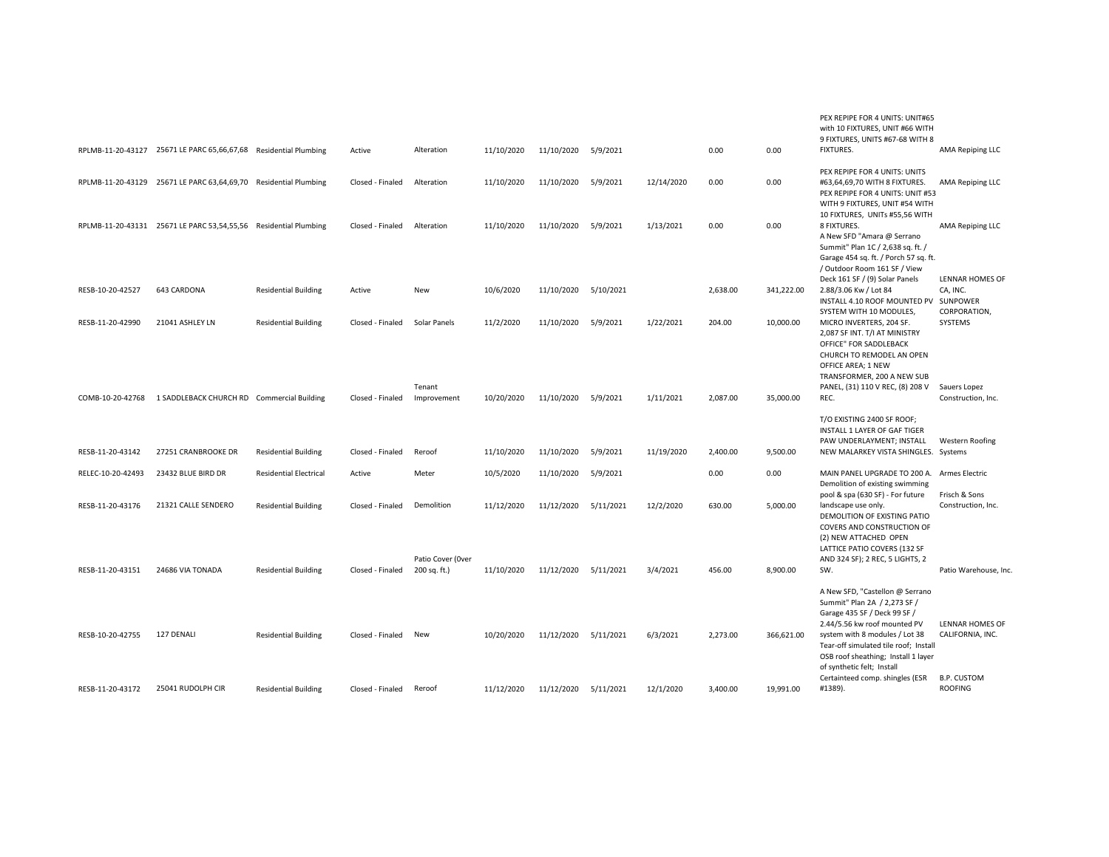|                   | RPLMB-11-20-43127 25671 LE PARC 65,66,67,68 Residential Plumbing |                               | Active           | Alteration                      | 11/10/2020 | 11/10/2020           | 5/9/2021  |            | 0.00     | 0.00       | PEX REPIPE FOR 4 UNITS: UNIT#65<br>with 10 FIXTURES, UNIT #66 WITH<br>9 FIXTURES, UNITS #67-68 WITH 8<br>FIXTURES.                                                                                                                                                              | AMA Repiping LLC                           |
|-------------------|------------------------------------------------------------------|-------------------------------|------------------|---------------------------------|------------|----------------------|-----------|------------|----------|------------|---------------------------------------------------------------------------------------------------------------------------------------------------------------------------------------------------------------------------------------------------------------------------------|--------------------------------------------|
|                   | RPLMB-11-20-43129 25671 LE PARC 63,64,69,70 Residential Plumbing |                               | Closed - Finaled | Alteration                      | 11/10/2020 | 11/10/2020           | 5/9/2021  | 12/14/2020 | 0.00     | 0.00       | PEX REPIPE FOR 4 UNITS: UNITS<br>#63,64,69,70 WITH 8 FIXTURES.<br>PEX REPIPE FOR 4 UNITS: UNIT #53                                                                                                                                                                              | AMA Repiping LLC                           |
|                   | RPLMB-11-20-43131 25671 LE PARC 53,54,55,56 Residential Plumbing |                               | Closed - Finaled | Alteration                      | 11/10/2020 | 11/10/2020           | 5/9/2021  | 1/13/2021  | 0.00     | 0.00       | WITH 9 FIXTURES, UNIT #54 WITH<br>10 FIXTURES, UNITs #55,56 WITH<br>8 FIXTURES.<br>A New SFD "Amara @ Serrano<br>Summit" Plan 1C / 2,638 sq. ft. /<br>Garage 454 sq. ft. / Porch 57 sq. ft.<br>/ Outdoor Room 161 SF / View                                                     | AMA Repiping LLC                           |
| RESB-10-20-42527  | 643 CARDONA                                                      | <b>Residential Building</b>   | Active           | New                             | 10/6/2020  | 11/10/2020           | 5/10/2021 |            | 2,638.00 | 341,222.00 | Deck 161 SF / (9) Solar Panels<br>2.88/3.06 Kw / Lot 84<br>INSTALL 4.10 ROOF MOUNTED PV                                                                                                                                                                                         | LENNAR HOMES OF<br>CA, INC.<br>SUNPOWER    |
| RESB-11-20-42990  | 21041 ASHLEY LN                                                  | <b>Residential Building</b>   | Closed - Finaled | Solar Panels                    | 11/2/2020  | 11/10/2020           | 5/9/2021  | 1/22/2021  | 204.00   | 10,000.00  | SYSTEM WITH 10 MODULES,<br>MICRO INVERTERS, 204 SF.<br>2,087 SF INT. T/I AT MINISTRY<br>OFFICE" FOR SADDLEBACK<br>CHURCH TO REMODEL AN OPEN<br>OFFICE AREA; 1 NEW<br>TRANSFORMER, 200 A NEW SUB                                                                                 | CORPORATION,<br>SYSTEMS                    |
| COMB-10-20-42768  | 1 SADDLEBACK CHURCH RD Commercial Building                       |                               | Closed - Finaled | Tenant<br>Improvement           | 10/20/2020 | 11/10/2020           | 5/9/2021  | 1/11/2021  | 2,087.00 | 35,000.00  | PANEL, (31) 110 V REC, (8) 208 V<br>REC.                                                                                                                                                                                                                                        | Sauers Lopez<br>Construction, Inc.         |
| RESB-11-20-43142  | 27251 CRANBROOKE DR                                              | <b>Residential Building</b>   | Closed - Finaled | Reroof                          | 11/10/2020 | 11/10/2020           | 5/9/2021  | 11/19/2020 | 2,400.00 | 9,500.00   | T/O EXISTING 2400 SF ROOF;<br>INSTALL 1 LAYER OF GAF TIGER<br>PAW UNDERLAYMENT; INSTALL<br>NEW MALARKEY VISTA SHINGLES. Systems                                                                                                                                                 | Western Roofing                            |
| RELEC-10-20-42493 | 23432 BLUE BIRD DR                                               | <b>Residential Electrical</b> | Active           | Meter                           | 10/5/2020  | 11/10/2020           | 5/9/2021  |            | 0.00     | 0.00       | MAIN PANEL UPGRADE TO 200 A. Armes Electric                                                                                                                                                                                                                                     |                                            |
| RESB-11-20-43176  | 21321 CALLE SENDERO                                              | <b>Residential Building</b>   | Closed - Finaled | Demolition<br>Patio Cover (Over | 11/12/2020 | 11/12/2020           | 5/11/2021 | 12/2/2020  | 630.00   | 5,000.00   | Demolition of existing swimming<br>pool & spa (630 SF) - For future<br>landscape use only.<br>DEMOLITION OF EXISTING PATIO<br>COVERS AND CONSTRUCTION OF<br>(2) NEW ATTACHED OPEN<br>LATTICE PATIO COVERS (132 SF<br>AND 324 SF); 2 REC, 5 LIGHTS, 2                            | Frisch & Sons<br>Construction, Inc.        |
| RESB-11-20-43151  | 24686 VIA TONADA                                                 | <b>Residential Building</b>   | Closed - Finaled | 200 sq. ft.)                    | 11/10/2020 | 11/12/2020           | 5/11/2021 | 3/4/2021   | 456.00   | 8,900.00   | SW.                                                                                                                                                                                                                                                                             | Patio Warehouse, Inc.                      |
| RESB-10-20-42755  | 127 DENALI                                                       | <b>Residential Building</b>   | Closed - Finaled | New                             | 10/20/2020 | 11/12/2020           | 5/11/2021 | 6/3/2021   | 2,273.00 | 366,621.00 | A New SFD, "Castellon @ Serrano<br>Summit" Plan 2A / 2,273 SF /<br>Garage 435 SF / Deck 99 SF /<br>2.44/5.56 kw roof mounted PV<br>system with 8 modules / Lot 38<br>Tear-off simulated tile roof; Install<br>OSB roof sheathing; Install 1 layer<br>of synthetic felt; Install | <b>LENNAR HOMES OF</b><br>CALIFORNIA, INC. |
| RESB-11-20-43172  | 25041 RUDOLPH CIR                                                | <b>Residential Building</b>   | Closed - Finaled | Reroof                          | 11/12/2020 | 11/12/2020 5/11/2021 |           | 12/1/2020  | 3,400.00 | 19,991.00  | Certainteed comp. shingles (ESR<br>#1389).                                                                                                                                                                                                                                      | <b>B.P. CUSTOM</b><br>ROOFING              |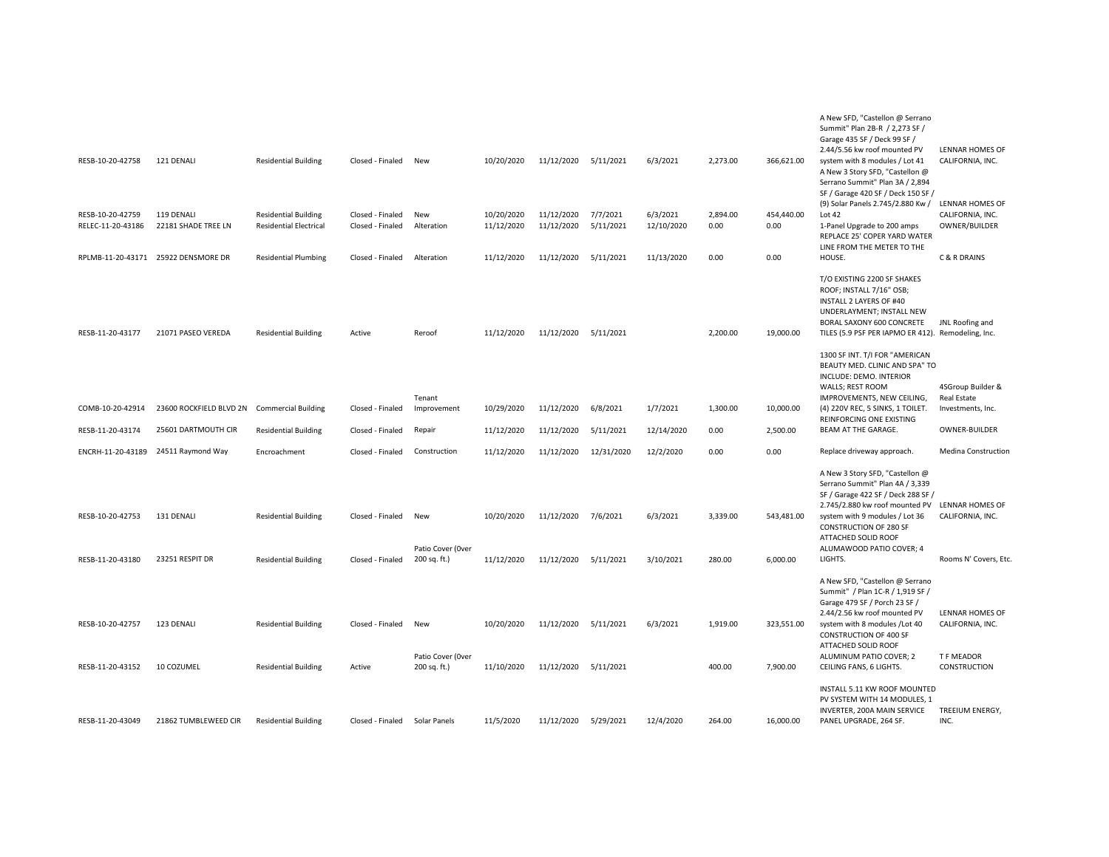|                                       |                                             |                                                              |                                      |                                   |                          |                          |                       |                        |                  |                    | A New SFD, "Castellon @ Serrano<br>Summit" Plan 2B-R / 2,273 SF /<br>Garage 435 SF / Deck 99 SF /                                                                                                                             |                                                      |
|---------------------------------------|---------------------------------------------|--------------------------------------------------------------|--------------------------------------|-----------------------------------|--------------------------|--------------------------|-----------------------|------------------------|------------------|--------------------|-------------------------------------------------------------------------------------------------------------------------------------------------------------------------------------------------------------------------------|------------------------------------------------------|
| RESB-10-20-42758                      | 121 DENALI                                  | <b>Residential Building</b>                                  | Closed - Finaled                     | New                               | 10/20/2020               | 11/12/2020               | 5/11/2021             | 6/3/2021               | 2,273.00         | 366,621.00         | 2.44/5.56 kw roof mounted PV<br>system with 8 modules / Lot 41<br>A New 3 Story SFD, "Castellon @<br>Serrano Summit" Plan 3A / 2,894<br>SF / Garage 420 SF / Deck 150 SF /                                                    | LENNAR HOMES OF<br>CALIFORNIA, INC.                  |
| RESB-10-20-42759<br>RELEC-11-20-43186 | 119 DENALI<br>22181 SHADE TREE LN           | <b>Residential Building</b><br><b>Residential Electrical</b> | Closed - Finaled<br>Closed - Finaled | New<br>Alteration                 | 10/20/2020<br>11/12/2020 | 11/12/2020<br>11/12/2020 | 7/7/2021<br>5/11/2021 | 6/3/2021<br>12/10/2020 | 2,894.00<br>0.00 | 454,440.00<br>0.00 | (9) Solar Panels 2.745/2.880 Kw /<br>Lot 42<br>1-Panel Upgrade to 200 amps<br>REPLACE 25' COPER YARD WATER<br>LINE FROM THE METER TO THE                                                                                      | LENNAR HOMES OF<br>CALIFORNIA, INC.<br>OWNER/BUILDER |
|                                       | RPLMB-11-20-43171 25922 DENSMORE DR         | <b>Residential Plumbing</b>                                  | Closed - Finaled                     | Alteration                        | 11/12/2020               | 11/12/2020               | 5/11/2021             | 11/13/2020             | 0.00             | 0.00               | HOUSE.                                                                                                                                                                                                                        | C & R DRAINS                                         |
| RESB-11-20-43177                      | 21071 PASEO VEREDA                          | <b>Residential Building</b>                                  | Active                               | Reroof                            | 11/12/2020               | 11/12/2020               | 5/11/2021             |                        | 2,200.00         | 19,000.00          | T/O EXISTING 2200 SF SHAKES<br>ROOF; INSTALL 7/16" OSB;<br>INSTALL 2 LAYERS OF #40<br>UNDERLAYMENT; INSTALL NEW<br>BORAL SAXONY 600 CONCRETE<br>TILES (5.9 PSF PER IAPMO ER 412). Remodeling, Inc.                            | JNL Roofing and                                      |
|                                       |                                             |                                                              |                                      |                                   |                          |                          |                       |                        |                  |                    | 1300 SF INT. T/I FOR "AMERICAN<br>BEAUTY MED. CLINIC AND SPA" TO<br>INCLUDE: DEMO. INTERIOR<br>WALLS; REST ROOM                                                                                                               | 4SGroup Builder &                                    |
| COMB-10-20-42914                      | 23600 ROCKFIELD BLVD 2N Commercial Building |                                                              | Closed - Finaled                     | Tenant<br>Improvement             | 10/29/2020               | 11/12/2020               | 6/8/2021              | 1/7/2021               | 1,300.00         | 10,000.00          | IMPROVEMENTS, NEW CEILING,<br>(4) 220V REC, 5 SINKS, 1 TOILET.                                                                                                                                                                | <b>Real Estate</b><br>Investments, Inc.              |
| RESB-11-20-43174                      | 25601 DARTMOUTH CIR                         | <b>Residential Building</b>                                  | Closed - Finaled                     | Repair                            | 11/12/2020               | 11/12/2020               | 5/11/2021             | 12/14/2020             | 0.00             | 2,500.00           | <b>REINFORCING ONE EXISTING</b><br>BEAM AT THE GARAGE.                                                                                                                                                                        | OWNER-BUILDER                                        |
| ENCRH-11-20-43189                     | 24511 Raymond Way                           | Encroachment                                                 | Closed - Finaled                     | Construction                      | 11/12/2020               | 11/12/2020               | 12/31/2020            | 12/2/2020              | 0.00             | 0.00               | Replace driveway approach.                                                                                                                                                                                                    | Medina Construction                                  |
| RESB-10-20-42753                      | 131 DENALI                                  | <b>Residential Building</b>                                  | Closed - Finaled                     | New                               | 10/20/2020               | 11/12/2020 7/6/2021      |                       | 6/3/2021               | 3,339.00         | 543,481.00         | A New 3 Story SFD, "Castellon @<br>Serrano Summit" Plan 4A / 3,339<br>SF / Garage 422 SF / Deck 288 SF /<br>2.745/2.880 kw roof mounted PV LENNAR HOMES OF<br>system with 9 modules / Lot 36<br><b>CONSTRUCTION OF 280 SF</b> | CALIFORNIA, INC.                                     |
|                                       |                                             |                                                              |                                      |                                   |                          |                          |                       |                        |                  |                    | ATTACHED SOLID ROOF                                                                                                                                                                                                           |                                                      |
| RESB-11-20-43180                      | 23251 RESPIT DR                             | <b>Residential Building</b>                                  | Closed - Finaled                     | Patio Cover (Over<br>200 sq. ft.) | 11/12/2020               | 11/12/2020               | 5/11/2021             | 3/10/2021              | 280.00           | 6,000.00           | ALUMAWOOD PATIO COVER; 4<br>LIGHTS.                                                                                                                                                                                           | Rooms N' Covers, Etc.                                |
|                                       |                                             |                                                              |                                      |                                   |                          |                          |                       |                        |                  |                    | A New SFD, "Castellon @ Serrano<br>Summit" / Plan 1C-R / 1,919 SF /<br>Garage 479 SF / Porch 23 SF /                                                                                                                          |                                                      |
| RESB-10-20-42757                      | 123 DENALI                                  | <b>Residential Building</b>                                  | Closed - Finaled                     | New                               | 10/20/2020               | 11/12/2020               | 5/11/2021             | 6/3/2021               | 1,919.00         | 323,551.00         | 2.44/2.56 kw roof mounted PV<br>system with 8 modules / Lot 40<br><b>CONSTRUCTION OF 400 SF</b><br>ATTACHED SOLID ROOF                                                                                                        | LENNAR HOMES OF<br>CALIFORNIA, INC.                  |
| RESB-11-20-43152                      | 10 COZUMEL                                  | <b>Residential Building</b>                                  | Active                               | Patio Cover (Over<br>200 sq. ft.) | 11/10/2020               | 11/12/2020 5/11/2021     |                       |                        | 400.00           | 7,900.00           | ALUMINUM PATIO COVER; 2<br>CEILING FANS, 6 LIGHTS.                                                                                                                                                                            | T F MEADOR<br>CONSTRUCTION                           |
|                                       |                                             |                                                              |                                      |                                   |                          |                          |                       |                        |                  |                    | INSTALL 5.11 KW ROOF MOUNTED<br>PV SYSTEM WITH 14 MODULES, 1<br>INVERTER, 200A MAIN SERVICE                                                                                                                                   | TREEIUM ENERGY,                                      |
| RESB-11-20-43049                      | 21862 TUMBLEWEED CIR                        | <b>Residential Building</b>                                  | Closed - Finaled                     | Solar Panels                      | 11/5/2020                | 11/12/2020               | 5/29/2021             | 12/4/2020              | 264.00           | 16,000.00          | PANEL UPGRADE, 264 SF.                                                                                                                                                                                                        | INC.                                                 |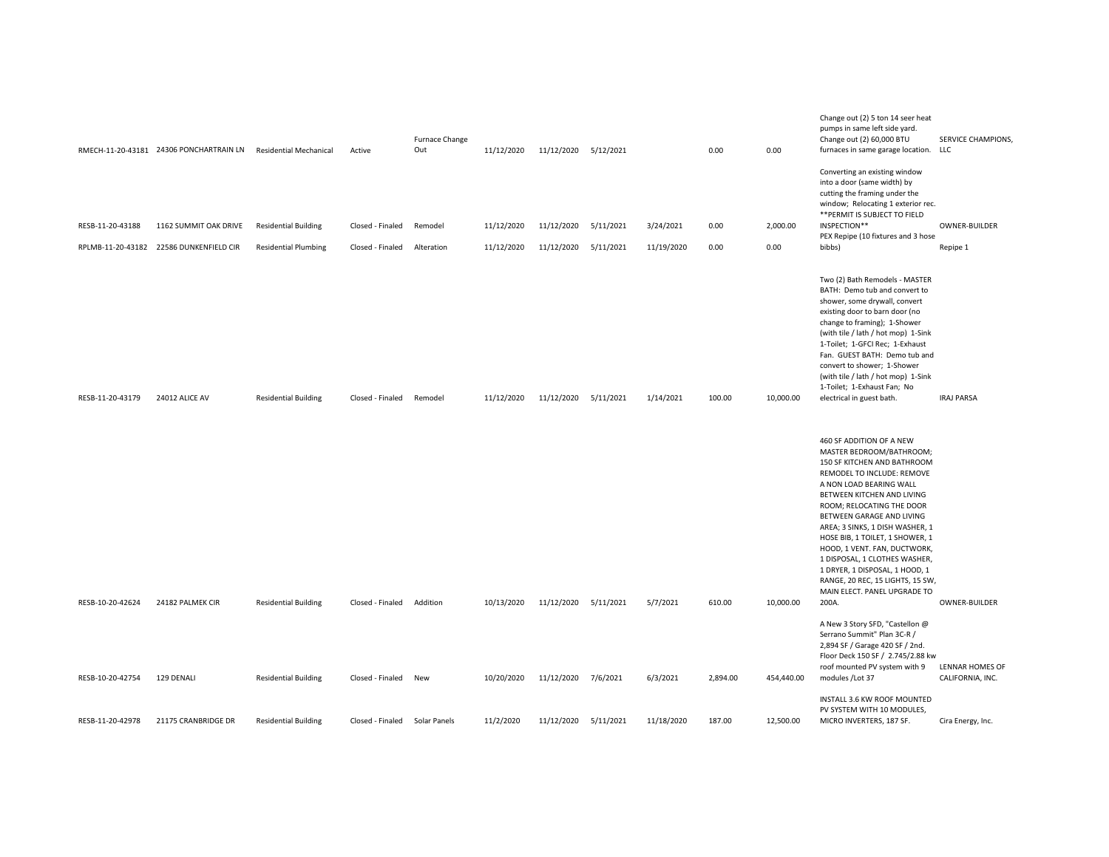|                  | RMECH-11-20-43181 24306 PONCHARTRAIN LN                          | <b>Residential Mechanical</b>                              | Active                               | Furnace Change<br>Out | 11/12/2020               | 11/12/2020 5/12/2021     |                        |                         | 0.00         | 0.00             | Change out (2) 5 ton 14 seer heat<br>pumps in same left side yard.<br>Change out (2) 60,000 BTU<br>furnaces in same garage location.                                                                                                                                                                                                                                                                                                                                                       | <b>SERVICE CHAMPIONS,</b><br>LLC    |
|------------------|------------------------------------------------------------------|------------------------------------------------------------|--------------------------------------|-----------------------|--------------------------|--------------------------|------------------------|-------------------------|--------------|------------------|--------------------------------------------------------------------------------------------------------------------------------------------------------------------------------------------------------------------------------------------------------------------------------------------------------------------------------------------------------------------------------------------------------------------------------------------------------------------------------------------|-------------------------------------|
| RESB-11-20-43188 | 1162 SUMMIT OAK DRIVE<br>RPLMB-11-20-43182 22586 DUNKENFIELD CIR | <b>Residential Building</b><br><b>Residential Plumbing</b> | Closed - Finaled<br>Closed - Finaled | Remodel<br>Alteration | 11/12/2020<br>11/12/2020 | 11/12/2020<br>11/12/2020 | 5/11/2021<br>5/11/2021 | 3/24/2021<br>11/19/2020 | 0.00<br>0.00 | 2,000.00<br>0.00 | Converting an existing window<br>into a door (same width) by<br>cutting the framing under the<br>window; Relocating 1 exterior rec.<br>** PERMIT IS SUBJECT TO FIELD<br>INSPECTION**<br>PEX Repipe (10 fixtures and 3 hose<br>bibbs)                                                                                                                                                                                                                                                       | OWNER-BUILDER<br>Repipe 1           |
| RESB-11-20-43179 | 24012 ALICE AV                                                   | <b>Residential Building</b>                                | Closed - Finaled                     | Remodel               | 11/12/2020               | 11/12/2020 5/11/2021     |                        | 1/14/2021               | 100.00       | 10,000.00        | Two (2) Bath Remodels - MASTER<br>BATH: Demo tub and convert to<br>shower, some drywall, convert<br>existing door to barn door (no<br>change to framing); 1-Shower<br>(with tile / lath / hot mop) 1-Sink<br>1-Toilet; 1-GFCI Rec; 1-Exhaust<br>Fan. GUEST BATH: Demo tub and<br>convert to shower; 1-Shower<br>(with tile / lath / hot mop) 1-Sink<br>1-Toilet; 1-Exhaust Fan; No<br>electrical in guest bath.                                                                            | <b>IRAJ PARSA</b>                   |
| RESB-10-20-42624 | 24182 PALMEK CIR                                                 | <b>Residential Building</b>                                | Closed - Finaled                     | Addition              | 10/13/2020               | 11/12/2020 5/11/2021     |                        | 5/7/2021                | 610.00       | 10,000.00        | 460 SF ADDITION OF A NEW<br>MASTER BEDROOM/BATHROOM;<br>150 SF KITCHEN AND BATHROOM<br>REMODEL TO INCLUDE: REMOVE<br>A NON LOAD BEARING WALL<br>BETWEEN KITCHEN AND LIVING<br>ROOM; RELOCATING THE DOOR<br>BETWEEN GARAGE AND LIVING<br>AREA; 3 SINKS, 1 DISH WASHER, 1<br>HOSE BIB, 1 TOILET, 1 SHOWER, 1<br>HOOD, 1 VENT. FAN, DUCTWORK,<br>1 DISPOSAL, 1 CLOTHES WASHER,<br>1 DRYER, 1 DISPOSAL, 1 HOOD, 1<br>RANGE, 20 REC, 15 LIGHTS, 15 SW,<br>MAIN ELECT. PANEL UPGRADE TO<br>200A. | OWNER-BUILDER                       |
| RESB-10-20-42754 | 129 DENALI                                                       | <b>Residential Building</b>                                | Closed - Finaled New                 |                       | 10/20/2020               | 11/12/2020 7/6/2021      |                        | 6/3/2021                | 2,894.00     | 454,440.00       | A New 3 Story SFD, "Castellon @<br>Serrano Summit" Plan 3C-R /<br>2,894 SF / Garage 420 SF / 2nd.<br>Floor Deck 150 SF / 2.745/2.88 kw<br>roof mounted PV system with 9<br>modules /Lot 37                                                                                                                                                                                                                                                                                                 | LENNAR HOMES OF<br>CALIFORNIA, INC. |
| RESB-11-20-42978 | 21175 CRANBRIDGE DR                                              | <b>Residential Building</b>                                | Closed - Finaled                     | Solar Panels          | 11/2/2020                | 11/12/2020               | 5/11/2021              | 11/18/2020              | 187.00       | 12,500.00        | INSTALL 3.6 KW ROOF MOUNTED<br>PV SYSTEM WITH 10 MODULES,<br>MICRO INVERTERS, 187 SF.                                                                                                                                                                                                                                                                                                                                                                                                      | Cira Energy, Inc.                   |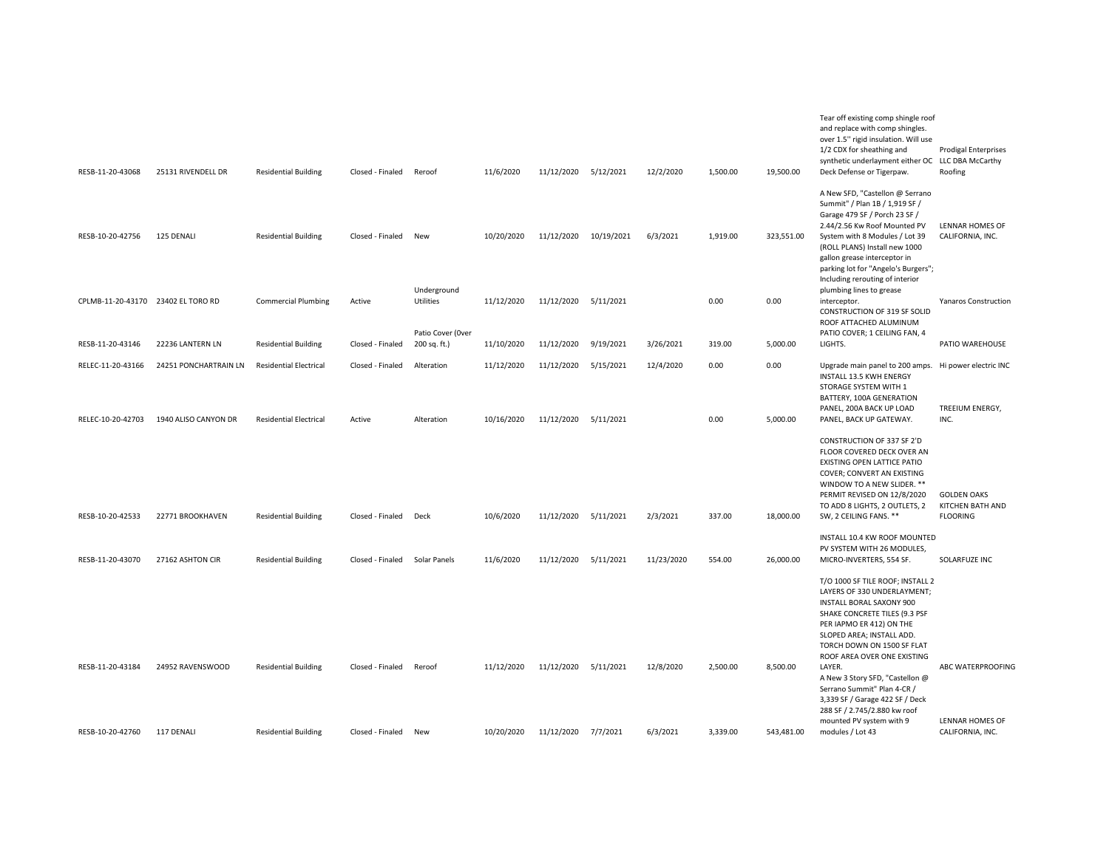| RESB-11-20-43068  | 25131 RIVENDELL DR                 | <b>Residential Building</b>   | Closed - Finaled              | Reroof                         | 11/6/2020  | 11/12/2020 5/12/2021 |            | 12/2/2020  | 1,500.00 | 19,500.00  | Tear off existing comp shingle roof<br>and replace with comp shingles.<br>over 1.5" rigid insulation. Will use<br>1/2 CDX for sheathing and<br>synthetic underlayment either OC LLC DBA McCarthy<br>Deck Defense or Tigerpaw.                                                                                                                                     | <b>Prodigal Enterprises</b><br>Roofing                    |
|-------------------|------------------------------------|-------------------------------|-------------------------------|--------------------------------|------------|----------------------|------------|------------|----------|------------|-------------------------------------------------------------------------------------------------------------------------------------------------------------------------------------------------------------------------------------------------------------------------------------------------------------------------------------------------------------------|-----------------------------------------------------------|
| RESB-10-20-42756  | 125 DENALI                         | <b>Residential Building</b>   | Closed - Finaled              | New                            | 10/20/2020 | 11/12/2020           | 10/19/2021 | 6/3/2021   | 1,919.00 | 323,551.00 | A New SFD, "Castellon @ Serrano<br>Summit" / Plan 1B / 1,919 SF /<br>Garage 479 SF / Porch 23 SF /<br>2.44/2.56 Kw Roof Mounted PV<br>System with 8 Modules / Lot 39                                                                                                                                                                                              | <b>LENNAR HOMES OF</b><br>CALIFORNIA, INC.                |
|                   |                                    |                               |                               | Underground                    |            |                      |            |            |          |            | (ROLL PLANS) Install new 1000<br>gallon grease interceptor in<br>parking lot for "Angelo's Burgers";<br>Including rerouting of interior<br>plumbing lines to grease                                                                                                                                                                                               |                                                           |
|                   | CPLMB-11-20-43170 23402 EL TORO RD | <b>Commercial Plumbing</b>    | Active                        | Utilities<br>Patio Cover (Over | 11/12/2020 | 11/12/2020           | 5/11/2021  |            | 0.00     | 0.00       | interceptor.<br>CONSTRUCTION OF 319 SF SOLID<br>ROOF ATTACHED ALUMINUM<br>PATIO COVER; 1 CEILING FAN, 4                                                                                                                                                                                                                                                           | <b>Yanaros Construction</b>                               |
| RESB-11-20-43146  | 22236 LANTERN LN                   | <b>Residential Building</b>   | Closed - Finaled              | 200 sq. ft.)                   | 11/10/2020 | 11/12/2020           | 9/19/2021  | 3/26/2021  | 319.00   | 5,000.00   | LIGHTS.                                                                                                                                                                                                                                                                                                                                                           | PATIO WAREHOUSE                                           |
| RELEC-11-20-43166 | 24251 PONCHARTRAIN LN              | <b>Residential Electrical</b> | Closed - Finaled              | Alteration                     | 11/12/2020 | 11/12/2020           | 5/15/2021  | 12/4/2020  | 0.00     | 0.00       | Upgrade main panel to 200 amps. Hi power electric INC<br>INSTALL 13.5 KWH ENERGY<br>STORAGE SYSTEM WITH 1<br>BATTERY, 100A GENERATION<br>PANEL, 200A BACK UP LOAD                                                                                                                                                                                                 | TREEIUM ENERGY,                                           |
| RELEC-10-20-42703 | 1940 ALISO CANYON DR               | <b>Residential Electrical</b> | Active                        | Alteration                     | 10/16/2020 | 11/12/2020           | 5/11/2021  |            | 0.00     | 5,000.00   | PANEL, BACK UP GATEWAY.                                                                                                                                                                                                                                                                                                                                           | INC.                                                      |
| RESB-10-20-42533  | 22771 BROOKHAVEN                   | <b>Residential Building</b>   | Closed - Finaled              | Deck                           | 10/6/2020  | 11/12/2020           | 5/11/2021  | 2/3/2021   | 337.00   | 18,000.00  | CONSTRUCTION OF 337 SF 2'D<br>FLOOR COVERED DECK OVER AN<br><b>EXISTING OPEN LATTICE PATIO</b><br>COVER; CONVERT AN EXISTING<br>WINDOW TO A NEW SLIDER. **<br>PERMIT REVISED ON 12/8/2020<br>TO ADD 8 LIGHTS, 2 OUTLETS, 2<br>SW, 2 CEILING FANS. **                                                                                                              | <b>GOLDEN OAKS</b><br>KITCHEN BATH AND<br><b>FLOORING</b> |
|                   |                                    |                               |                               |                                |            |                      |            |            |          |            | INSTALL 10.4 KW ROOF MOUNTED                                                                                                                                                                                                                                                                                                                                      |                                                           |
| RESB-11-20-43070  | 27162 ASHTON CIR                   | <b>Residential Building</b>   | Closed - Finaled Solar Panels |                                | 11/6/2020  | 11/12/2020 5/11/2021 |            | 11/23/2020 | 554.00   | 26,000.00  | PV SYSTEM WITH 26 MODULES,<br>MICRO-INVERTERS, 554 SF.                                                                                                                                                                                                                                                                                                            | SOLARFUZE INC                                             |
| RESB-11-20-43184  | 24952 RAVENSWOOD                   | <b>Residential Building</b>   | Closed - Finaled              | Reroof                         | 11/12/2020 | 11/12/2020 5/11/2021 |            | 12/8/2020  | 2,500.00 | 8,500.00   | T/O 1000 SF TILE ROOF; INSTALL 2<br>LAYERS OF 330 UNDERLAYMENT;<br>INSTALL BORAL SAXONY 900<br>SHAKE CONCRETE TILES (9.3 PSF<br>PER IAPMO ER 412) ON THE<br>SLOPED AREA; INSTALL ADD.<br>TORCH DOWN ON 1500 SF FLAT<br>ROOF AREA OVER ONE EXISTING<br>LAYER.<br>A New 3 Story SFD, "Castellon @<br>Serrano Summit" Plan 4-CR /<br>3,339 SF / Garage 422 SF / Deck | ABC WATERPROOFING                                         |
| RESB-10-20-42760  | 117 DENALI                         | <b>Residential Building</b>   | Closed - Finaled              | New                            | 10/20/2020 | 11/12/2020           | 7/7/2021   | 6/3/2021   | 3,339.00 | 543,481.00 | 288 SF / 2.745/2.880 kw roof<br>mounted PV system with 9<br>modules / Lot 43                                                                                                                                                                                                                                                                                      | LENNAR HOMES OF<br>CALIFORNIA, INC.                       |
|                   |                                    |                               |                               |                                |            |                      |            |            |          |            |                                                                                                                                                                                                                                                                                                                                                                   |                                                           |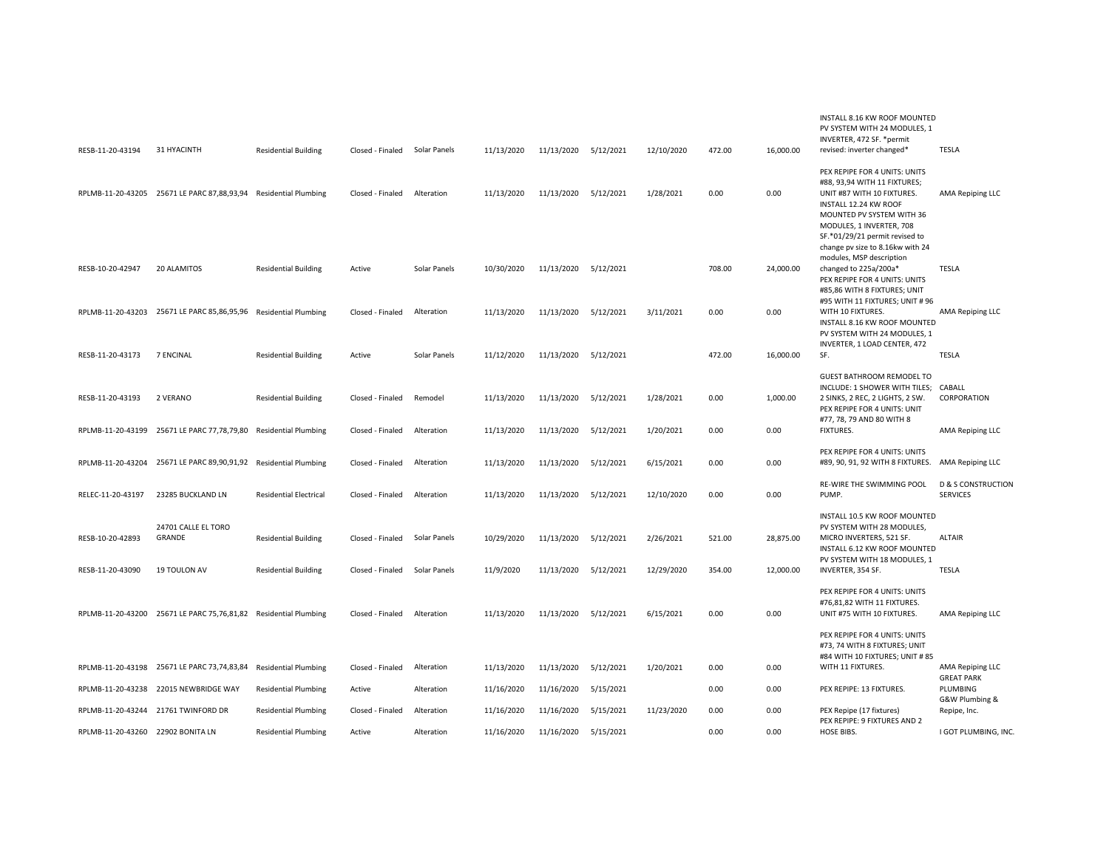| RESB-11-20-43194  | 31 HYACINTH                                 | <b>Residential Building</b>   | Closed - Finaled | Solar Panels | 11/13/2020 | 11/13/2020           | 5/12/2021 | 12/10/2020 | 472.00 | 16,000.00 | INSTALL 8.16 KW ROOF MOUNTED<br>PV SYSTEM WITH 24 MODULES. 1<br>INVERTER, 472 SF. * permit<br>revised: inverter changed*                                                                                        | TESLA                                            |
|-------------------|---------------------------------------------|-------------------------------|------------------|--------------|------------|----------------------|-----------|------------|--------|-----------|-----------------------------------------------------------------------------------------------------------------------------------------------------------------------------------------------------------------|--------------------------------------------------|
|                   | RPLMB-11-20-43205 25671 LE PARC 87,88,93,94 | <b>Residential Plumbing</b>   | Closed - Finaled | Alteration   | 11/13/2020 | 11/13/2020 5/12/2021 |           | 1/28/2021  | 0.00   | 0.00      | PEX REPIPE FOR 4 UNITS: UNITS<br>#88, 93,94 WITH 11 FIXTURES;<br>UNIT #87 WITH 10 FIXTURES.<br>INSTALL 12.24 KW ROOF<br>MOUNTED PV SYSTEM WITH 36<br>MODULES, 1 INVERTER, 708<br>SF.*01/29/21 permit revised to | AMA Repiping LLC                                 |
| RESB-10-20-42947  | 20 ALAMITOS                                 | <b>Residential Building</b>   | Active           | Solar Panels | 10/30/2020 | 11/13/2020 5/12/2021 |           |            | 708.00 | 24,000.00 | change pv size to 8.16kw with 24<br>modules, MSP description<br>changed to 225a/200a*<br>PEX REPIPE FOR 4 UNITS: UNITS<br>#85,86 WITH 8 FIXTURES; UNIT<br>#95 WITH 11 FIXTURES; UNIT #96                        | <b>TESLA</b>                                     |
| RPLMB-11-20-43203 | 25671 LE PARC 85,86,95,96                   | <b>Residential Plumbing</b>   | Closed - Finaled | Alteration   | 11/13/2020 | 11/13/2020           | 5/12/2021 | 3/11/2021  | 0.00   | 0.00      | WITH 10 FIXTURES.<br>INSTALL 8.16 KW ROOF MOUNTED<br>PV SYSTEM WITH 24 MODULES. 1<br>INVERTER, 1 LOAD CENTER, 472                                                                                               | AMA Repiping LLC                                 |
| RESB-11-20-43173  | 7 ENCINAL                                   | <b>Residential Building</b>   | Active           | Solar Panels | 11/12/2020 | 11/13/2020 5/12/2021 |           |            | 472.00 | 16,000.00 | SF.                                                                                                                                                                                                             | <b>TESLA</b>                                     |
| RESB-11-20-43193  | 2 VERANO                                    | <b>Residential Building</b>   | Closed - Finaled | Remodel      | 11/13/2020 | 11/13/2020           | 5/12/2021 | 1/28/2021  | 0.00   | 1,000.00  | <b>GUEST BATHROOM REMODEL TO</b><br>INCLUDE: 1 SHOWER WITH TILES; CABALL<br>2 SINKS, 2 REC, 2 LIGHTS, 2 SW.<br>PEX REPIPE FOR 4 UNITS: UNIT<br>#77, 78, 79 AND 80 WITH 8                                        | CORPORATION                                      |
| RPLMB-11-20-43199 | 25671 LE PARC 77,78,79,80                   | <b>Residential Plumbing</b>   | Closed - Finaled | Alteration   | 11/13/2020 | 11/13/2020 5/12/2021 |           | 1/20/2021  | 0.00   | 0.00      | <b>FIXTURES.</b>                                                                                                                                                                                                | AMA Repiping LLC                                 |
| RPLMB-11-20-43204 | 25671 LE PARC 89,90,91,92                   | <b>Residential Plumbing</b>   | Closed - Finaled | Alteration   | 11/13/2020 | 11/13/2020           | 5/12/2021 | 6/15/2021  | 0.00   | 0.00      | PEX REPIPE FOR 4 UNITS: UNITS<br>#89, 90, 91, 92 WITH 8 FIXTURES.                                                                                                                                               | AMA Repiping LLC                                 |
| RELEC-11-20-43197 | 23285 BUCKLAND LN                           | <b>Residential Electrical</b> | Closed - Finaled | Alteration   | 11/13/2020 | 11/13/2020           | 5/12/2021 | 12/10/2020 | 0.00   | 0.00      | RE-WIRE THE SWIMMING POOL<br>PUMP.                                                                                                                                                                              | <b>D &amp; S CONSTRUCTION</b><br><b>SERVICES</b> |
| RESB-10-20-42893  | 24701 CALLE EL TORO<br>GRANDE               | <b>Residential Building</b>   | Closed - Finaled | Solar Panels | 10/29/2020 | 11/13/2020           | 5/12/2021 | 2/26/2021  | 521.00 | 28,875.00 | INSTALL 10.5 KW ROOF MOUNTED<br>PV SYSTEM WITH 28 MODULES,<br>MICRO INVERTERS, 521 SF.<br>INSTALL 6.12 KW ROOF MOUNTED<br>PV SYSTEM WITH 18 MODULES, 1                                                          | <b>ALTAIR</b>                                    |
| RESB-11-20-43090  | 19 TOULON AV                                | <b>Residential Building</b>   | Closed - Finaled | Solar Panels | 11/9/2020  | 11/13/2020           | 5/12/2021 | 12/29/2020 | 354.00 | 12,000.00 | INVERTER, 354 SF.                                                                                                                                                                                               | <b>TESLA</b>                                     |
| RPLMB-11-20-43200 | 25671 LE PARC 75,76,81,82                   | <b>Residential Plumbing</b>   | Closed - Finaled | Alteration   | 11/13/2020 | 11/13/2020           | 5/12/2021 | 6/15/2021  | 0.00   | 0.00      | PEX REPIPE FOR 4 UNITS: UNITS<br>#76,81,82 WITH 11 FIXTURES.<br>UNIT #75 WITH 10 FIXTURES.                                                                                                                      | AMA Repiping LLC                                 |
|                   | RPLMB-11-20-43198 25671 LE PARC 73,74,83,84 | <b>Residential Plumbing</b>   | Closed - Finaled | Alteration   | 11/13/2020 | 11/13/2020           | 5/12/2021 | 1/20/2021  | 0.00   | 0.00      | PEX REPIPE FOR 4 UNITS: UNITS<br>#73, 74 WITH 8 FIXTURES; UNIT<br>#84 WITH 10 FIXTURES; UNIT #85<br>WITH 11 FIXTURES.                                                                                           | AMA Repiping LLC                                 |
| RPLMB-11-20-43238 | 22015 NEWBRIDGE WAY                         | <b>Residential Plumbing</b>   | Active           | Alteration   | 11/16/2020 | 11/16/2020           | 5/15/2021 |            | 0.00   | 0.00      | PEX REPIPE: 13 FIXTURES.                                                                                                                                                                                        | <b>GREAT PARK</b><br>PLUMBING                    |
|                   |                                             |                               |                  |              |            |                      |           |            |        |           |                                                                                                                                                                                                                 | G&W Plumbing &                                   |
| RPLMB-11-20-43244 | 21761 TWINFORD DR                           | <b>Residential Plumbing</b>   | Closed - Finaled | Alteration   | 11/16/2020 | 11/16/2020           | 5/15/2021 | 11/23/2020 | 0.00   | 0.00      | PEX Repipe (17 fixtures)<br>PEX REPIPE: 9 FIXTURES AND 2                                                                                                                                                        | Repipe, Inc.                                     |
| RPLMB-11-20-43260 | 22902 BONITA LN                             | <b>Residential Plumbing</b>   | Active           | Alteration   | 11/16/2020 | 11/16/2020           | 5/15/2021 |            | 0.00   | 0.00      | HOSE BIBS.                                                                                                                                                                                                      | I GOT PLUMBING, INC.                             |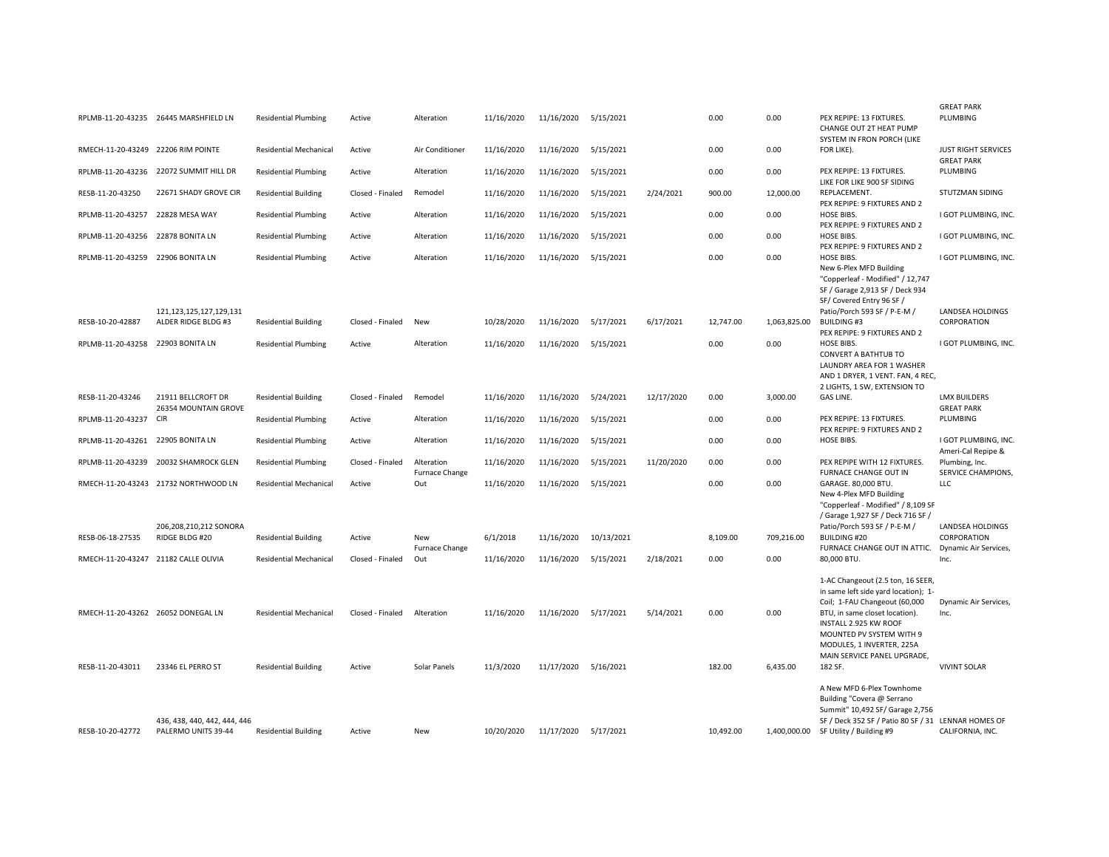|                                      |                                                     |                               |                  |                              |            |                      |            |            |           |              |                                                                                                                                                   | <b>GREAT PARK</b>                          |
|--------------------------------------|-----------------------------------------------------|-------------------------------|------------------|------------------------------|------------|----------------------|------------|------------|-----------|--------------|---------------------------------------------------------------------------------------------------------------------------------------------------|--------------------------------------------|
|                                      | RPLMB-11-20-43235 26445 MARSHFIELD LN               | <b>Residential Plumbing</b>   | Active           | Alteration                   | 11/16/2020 | 11/16/2020           | 5/15/2021  |            | 0.00      | 0.00         | PEX REPIPE: 13 FIXTURES.<br>CHANGE OUT 2T HEAT PUMP<br>SYSTEM IN FRON PORCH (LIKE                                                                 | PLUMBING                                   |
| RMECH-11-20-43249 22206 RIM POINTE   |                                                     | <b>Residential Mechanical</b> | Active           | Air Conditioner              | 11/16/2020 | 11/16/2020           | 5/15/2021  |            | 0.00      | 0.00         | FOR LIKE).                                                                                                                                        | <b>JUST RIGHT SERVICES</b>                 |
|                                      | RPLMB-11-20-43236 22072 SUMMIT HILL DR              | <b>Residential Plumbing</b>   | Active           | Alteration                   | 11/16/2020 | 11/16/2020           | 5/15/2021  |            | 0.00      | 0.00         | PEX REPIPE: 13 FIXTURES.<br>LIKE FOR LIKE 900 SF SIDING                                                                                           | <b>GREAT PARK</b><br>PLUMBING              |
| RESB-11-20-43250                     | 22671 SHADY GROVE CIR                               | <b>Residential Building</b>   | Closed - Finaled | Remodel                      | 11/16/2020 | 11/16/2020           | 5/15/2021  | 2/24/2021  | 900.00    | 12,000.00    | REPLACEMENT.<br>PEX REPIPE: 9 FIXTURES AND 2                                                                                                      | STUTZMAN SIDING                            |
| RPLMB-11-20-43257 22828 MESA WAY     |                                                     | <b>Residential Plumbing</b>   | Active           | Alteration                   | 11/16/2020 | 11/16/2020           | 5/15/2021  |            | 0.00      | 0.00         | HOSE BIBS.<br>PEX REPIPE: 9 FIXTURES AND 2                                                                                                        | I GOT PLUMBING, INC.                       |
| RPLMB-11-20-43256 22878 BONITA LN    |                                                     | <b>Residential Plumbing</b>   | Active           | Alteration                   | 11/16/2020 | 11/16/2020           | 5/15/2021  |            | 0.00      | 0.00         | HOSE BIBS.<br>PEX REPIPE: 9 FIXTURES AND 2                                                                                                        | I GOT PLUMBING, INC.                       |
| RPLMB-11-20-43259 22906 BONITA LN    |                                                     | <b>Residential Plumbing</b>   | Active           | Alteration                   | 11/16/2020 | 11/16/2020           | 5/15/2021  |            | 0.00      | 0.00         | HOSE BIBS.<br>New 6-Plex MFD Building<br>"Copperleaf - Modified" / 12,747<br>SF / Garage 2,913 SF / Deck 934<br>SF/Covered Entry 96 SF /          | I GOT PLUMBING, INC.                       |
| RESB-10-20-42887                     | 121, 123, 125, 127, 129, 131<br>ALDER RIDGE BLDG #3 | <b>Residential Building</b>   | Closed - Finaled | New                          | 10/28/2020 | 11/16/2020           | 5/17/2021  | 6/17/2021  | 12,747.00 | 1,063,825.00 | Patio/Porch 593 SF / P-E-M /<br><b>BUILDING#3</b>                                                                                                 | <b>LANDSEA HOLDINGS</b><br>CORPORATION     |
|                                      |                                                     |                               |                  |                              |            |                      |            |            |           |              | PEX REPIPE: 9 FIXTURES AND 2                                                                                                                      |                                            |
| RPLMB-11-20-43258 22903 BONITA LN    |                                                     | <b>Residential Plumbing</b>   | Active           | Alteration                   | 11/16/2020 | 11/16/2020           | 5/15/2021  |            | 0.00      | 0.00         | HOSE BIBS.<br><b>CONVERT A BATHTUB TO</b><br>LAUNDRY AREA FOR 1 WASHER<br>AND 1 DRYER, 1 VENT. FAN, 4 REC,                                        | I GOT PLUMBING, INC.                       |
| RESB-11-20-43246                     | 21911 BELLCROFT DR                                  | <b>Residential Building</b>   | Closed - Finaled | Remodel                      | 11/16/2020 | 11/16/2020           | 5/24/2021  | 12/17/2020 | 0.00      | 3,000.00     | 2 LIGHTS, 1 SW, EXTENSION TO<br>GAS LINE.                                                                                                         | <b>LMX BUILDERS</b>                        |
|                                      | 26354 MOUNTAIN GROVE                                |                               |                  |                              |            |                      |            |            |           |              |                                                                                                                                                   | <b>GREAT PARK</b>                          |
| RPLMB-11-20-43237 CIR                |                                                     | <b>Residential Plumbing</b>   | Active           | Alteration                   | 11/16/2020 | 11/16/2020           | 5/15/2021  |            | 0.00      | 0.00         | PEX REPIPE: 13 FIXTURES.<br>PEX REPIPE: 9 FIXTURES AND 2                                                                                          | PLUMBING                                   |
| RPLMB-11-20-43261 22905 BONITA LN    |                                                     | <b>Residential Plumbing</b>   | Active           | Alteration                   | 11/16/2020 | 11/16/2020           | 5/15/2021  |            | 0.00      | 0.00         | HOSE BIBS.                                                                                                                                        | I GOT PLUMBING, INC.<br>Ameri-Cal Repipe & |
|                                      | RPLMB-11-20-43239 20032 SHAMROCK GLEN               | <b>Residential Plumbing</b>   | Closed - Finaled | Alteration<br>Furnace Change | 11/16/2020 | 11/16/2020           | 5/15/2021  | 11/20/2020 | 0.00      | 0.00         | PEX REPIPE WITH 12 FIXTURES.<br><b>FURNACE CHANGE OUT IN</b>                                                                                      | Plumbing, Inc.<br>SERVICE CHAMPIONS,       |
|                                      | RMECH-11-20-43243 21732 NORTHWOOD LN                | <b>Residential Mechanical</b> | Active           | Out                          | 11/16/2020 | 11/16/2020           | 5/15/2021  |            | 0.00      | 0.00         | GARAGE. 80,000 BTU.<br>New 4-Plex MFD Building                                                                                                    | LLC                                        |
|                                      |                                                     |                               |                  |                              |            |                      |            |            |           |              | "Copperleaf - Modified" / 8,109 SF<br>/ Garage 1,927 SF / Deck 716 SF /                                                                           |                                            |
| RESB-06-18-27535                     | 206,208,210,212 SONORA<br>RIDGE BLDG #20            | <b>Residential Building</b>   | Active           | New                          | 6/1/2018   | 11/16/2020           | 10/13/2021 |            | 8,109.00  | 709,216.00   | Patio/Porch 593 SF / P-E-M /<br><b>BUILDING #20</b>                                                                                               | LANDSEA HOLDINGS<br>CORPORATION            |
| RMECH-11-20-43247 21182 CALLE OLIVIA |                                                     | <b>Residential Mechanical</b> | Closed - Finaled | Furnace Change<br>Out        | 11/16/2020 | 11/16/2020           | 5/15/2021  | 2/18/2021  | 0.00      | 0.00         | FURNACE CHANGE OUT IN ATTIC.<br>80,000 BTU.                                                                                                       | Dynamic Air Services,<br>Inc.              |
|                                      |                                                     |                               |                  |                              |            |                      |            |            |           |              | 1-AC Changeout (2.5 ton, 16 SEER,<br>in same left side yard location); 1-                                                                         |                                            |
| RMECH-11-20-43262 26052 DONEGAL LN   |                                                     | <b>Residential Mechanical</b> | Closed - Finaled | Alteration                   | 11/16/2020 | 11/16/2020           | 5/17/2021  | 5/14/2021  | 0.00      | 0.00         | Coil; 1-FAU Changeout (60,000<br>BTU, in same closet location).                                                                                   | Dynamic Air Services,<br>Inc.              |
|                                      |                                                     |                               |                  |                              |            |                      |            |            |           |              | INSTALL 2.925 KW ROOF<br>MOUNTED PV SYSTEM WITH 9<br>MODULES, 1 INVERTER, 225A<br>MAIN SERVICE PANEL UPGRADE,                                     |                                            |
| RESB-11-20-43011                     | 23346 EL PERRO ST                                   | <b>Residential Building</b>   | Active           | Solar Panels                 | 11/3/2020  | 11/17/2020           | 5/16/2021  |            | 182.00    | 6,435.00     | 182 SF.                                                                                                                                           | <b>VIVINT SOLAR</b>                        |
|                                      | 436, 438, 440, 442, 444, 446                        |                               |                  |                              |            |                      |            |            |           |              | A New MFD 6-Plex Townhome<br>Building "Covera @ Serrano<br>Summit" 10,492 SF/ Garage 2,756<br>SF / Deck 352 SF / Patio 80 SF / 31 LENNAR HOMES OF |                                            |
| RESB-10-20-42772                     | PALERMO UNITS 39-44                                 | <b>Residential Building</b>   | Active           | <b>New</b>                   | 10/20/2020 | 11/17/2020 5/17/2021 |            |            | 10,492.00 |              | 1,400,000.00 SF Utility / Building #9                                                                                                             | CALIFORNIA, INC.                           |
|                                      |                                                     |                               |                  |                              |            |                      |            |            |           |              |                                                                                                                                                   |                                            |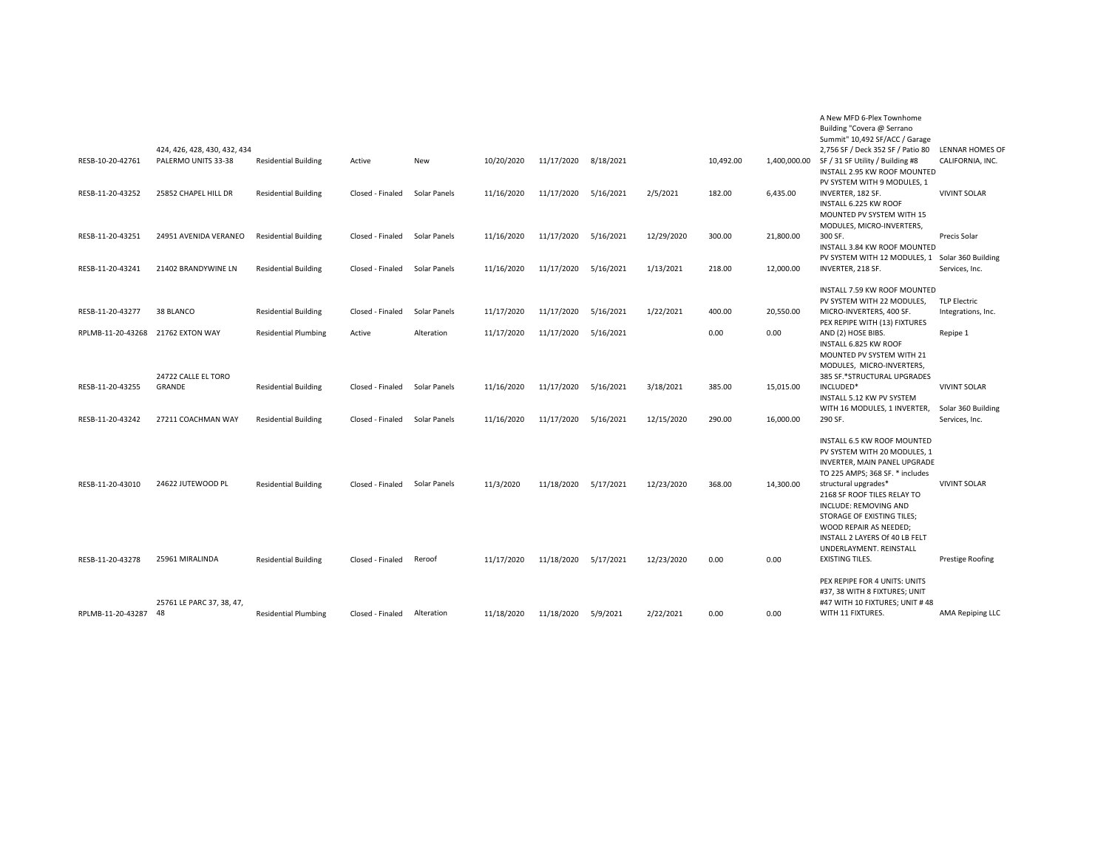| RESB-10-20-42761                     | 424, 426, 428, 430, 432, 434<br>PALERMO UNITS 33-38 | <b>Residential Building</b>                                | Active                               | New                          | 10/20/2020               | 11/17/2020               | 8/18/2021              |                         | 10,492.00        | 1,400,000.00           | A New MFD 6-Plex Townhome<br>Building "Covera @ Serrano<br>Summit" 10,492 SF/ACC / Garage<br>2,756 SF / Deck 352 SF / Patio 80<br>SF / 31 SF Utility / Building #8<br>INSTALL 2.95 KW ROOF MOUNTED                                                                                                       | LENNAR HOMES OF<br>CALIFORNIA, INC.                         |
|--------------------------------------|-----------------------------------------------------|------------------------------------------------------------|--------------------------------------|------------------------------|--------------------------|--------------------------|------------------------|-------------------------|------------------|------------------------|----------------------------------------------------------------------------------------------------------------------------------------------------------------------------------------------------------------------------------------------------------------------------------------------------------|-------------------------------------------------------------|
| RESB-11-20-43252                     | 25852 CHAPEL HILL DR                                | <b>Residential Building</b>                                | Closed - Finaled                     | Solar Panels                 | 11/16/2020               | 11/17/2020               | 5/16/2021              | 2/5/2021                | 182.00           | 6,435.00               | PV SYSTEM WITH 9 MODULES, 1<br>INVERTER, 182 SF.<br>INSTALL 6.225 KW ROOF<br>MOUNTED PV SYSTEM WITH 15<br>MODULES, MICRO-INVERTERS,                                                                                                                                                                      | <b>VIVINT SOLAR</b>                                         |
| RESB-11-20-43251                     | 24951 AVENIDA VERANEO                               | <b>Residential Building</b>                                | Closed - Finaled                     | Solar Panels                 | 11/16/2020               | 11/17/2020               | 5/16/2021              | 12/29/2020              | 300.00           | 21,800.00              | 300 SF.<br>INSTALL 3.84 KW ROOF MOUNTED                                                                                                                                                                                                                                                                  | Precis Solar                                                |
| RESB-11-20-43241                     | 21402 BRANDYWINE LN                                 | <b>Residential Building</b>                                | Closed - Finaled                     | Solar Panels                 | 11/16/2020               | 11/17/2020               | 5/16/2021              | 1/13/2021               | 218.00           | 12,000.00              | PV SYSTEM WITH 12 MODULES, 1<br>INVERTER, 218 SF.                                                                                                                                                                                                                                                        | Solar 360 Building<br>Services, Inc.                        |
| RESB-11-20-43277                     | 38 BLANCO                                           | <b>Residential Building</b>                                | Closed - Finaled                     | Solar Panels                 | 11/17/2020               | 11/17/2020               | 5/16/2021              | 1/22/2021               | 400.00           | 20,550.00              | INSTALL 7.59 KW ROOF MOUNTED<br>PV SYSTEM WITH 22 MODULES.<br>MICRO-INVERTERS, 400 SF.                                                                                                                                                                                                                   | <b>TLP Electric</b><br>Integrations, Inc.                   |
| RPLMB-11-20-43268                    | 21762 EXTON WAY                                     | <b>Residential Plumbing</b>                                | Active                               | Alteration                   | 11/17/2020               | 11/17/2020               | 5/16/2021              |                         | 0.00             | 0.00                   | PEX REPIPE WITH (13) FIXTURES<br>AND (2) HOSE BIBS.                                                                                                                                                                                                                                                      | Repipe 1                                                    |
| RESB-11-20-43255<br>RESB-11-20-43242 | 24722 CALLE EL TORO<br>GRANDE<br>27211 COACHMAN WAY | <b>Residential Building</b><br><b>Residential Building</b> | Closed - Finaled<br>Closed - Finaled | Solar Panels<br>Solar Panels | 11/16/2020<br>11/16/2020 | 11/17/2020<br>11/17/2020 | 5/16/2021<br>5/16/2021 | 3/18/2021<br>12/15/2020 | 385.00<br>290.00 | 15,015.00<br>16,000.00 | INSTALL 6.825 KW ROOF<br>MOUNTED PV SYSTEM WITH 21<br>MODULES, MICRO-INVERTERS,<br>385 SF.*STRUCTURAL UPGRADES<br>INCLUDED*<br>INSTALL 5.12 KW PV SYSTEM<br>WITH 16 MODULES, 1 INVERTER,<br>290 SF.                                                                                                      | <b>VIVINT SOLAR</b><br>Solar 360 Building<br>Services, Inc. |
| RESB-11-20-43010                     | 24622 JUTEWOOD PL                                   | <b>Residential Building</b>                                | Closed - Finaled                     | Solar Panels                 | 11/3/2020                | 11/18/2020               | 5/17/2021              | 12/23/2020              | 368.00           | 14,300.00              | INSTALL 6.5 KW ROOF MOUNTED<br>PV SYSTEM WITH 20 MODULES, 1<br>INVERTER, MAIN PANEL UPGRADE<br>TO 225 AMPS; 368 SF. * includes<br>structural upgrades*<br>2168 SF ROOF TILES RELAY TO<br>INCLUDE: REMOVING AND<br>STORAGE OF EXISTING TILES;<br>WOOD REPAIR AS NEEDED;<br>INSTALL 2 LAYERS Of 40 LB FELT | <b>VIVINT SOLAR</b>                                         |
| RESB-11-20-43278                     | 25961 MIRALINDA                                     | <b>Residential Building</b>                                | Closed - Finaled                     | Reroof                       | 11/17/2020               | 11/18/2020               | 5/17/2021              | 12/23/2020              | 0.00             | 0.00                   | UNDERLAYMENT, REINSTALL<br><b>EXISTING TILES.</b>                                                                                                                                                                                                                                                        | <b>Prestige Roofing</b>                                     |
| RPLMB-11-20-43287                    | 25761 LE PARC 37, 38, 47,<br>-48                    | <b>Residential Plumbing</b>                                | Closed - Finaled                     | Alteration                   | 11/18/2020               | 11/18/2020               | 5/9/2021               | 2/22/2021               | 0.00             | 0.00                   | PEX REPIPE FOR 4 UNITS: UNITS<br>#37, 38 WITH 8 FIXTURES; UNIT<br>#47 WITH 10 FIXTURES; UNIT #48<br>WITH 11 FIXTURES.                                                                                                                                                                                    | AMA Repiping LLC                                            |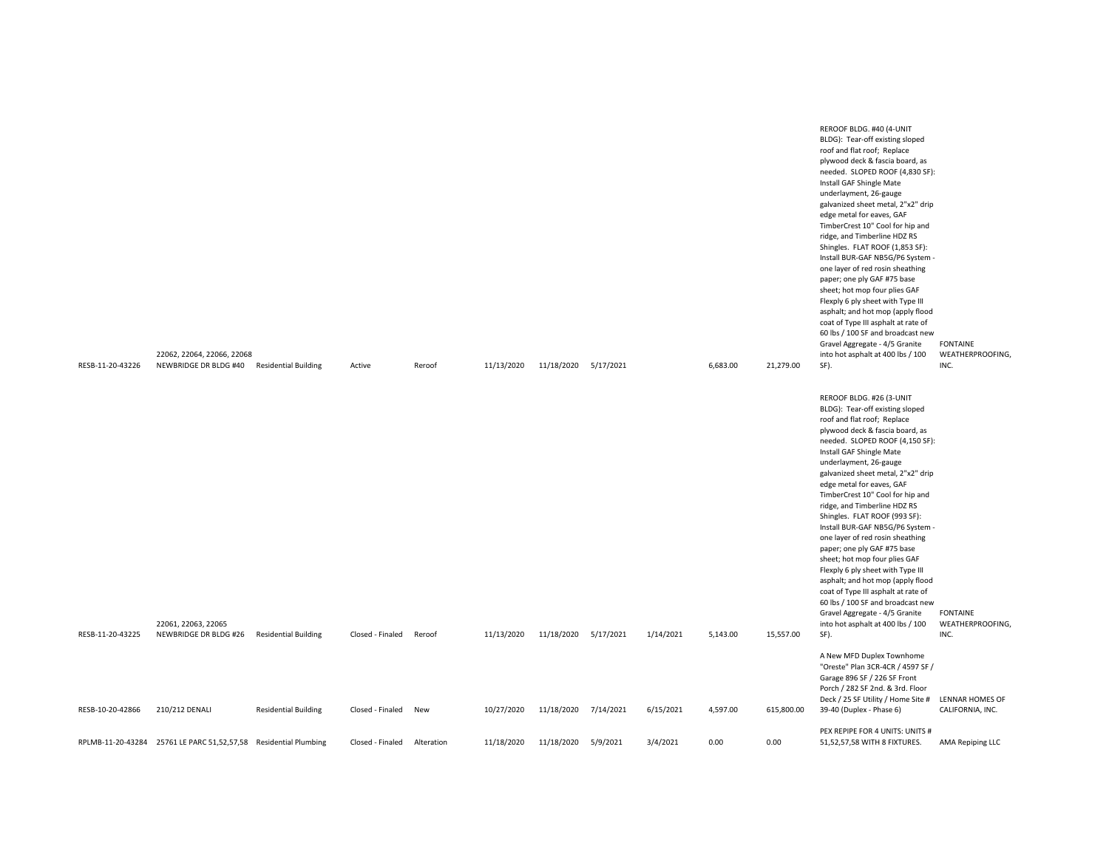| RESB-11-20-43226 | 22062, 22064, 22066, 22068<br>NEWBRIDGE DR BLDG #40 Residential Building |                             | Active           | Reroof     | 11/13/2020 | 11/18/2020 5/17/2021 |           |           | 6,683.00 | 21,279.00  | REROOF BLDG. #40 (4-UNIT<br>BLDG): Tear-off existing sloped<br>roof and flat roof; Replace<br>plywood deck & fascia board, as<br>needed. SLOPED ROOF (4,830 SF):<br>Install GAF Shingle Mate<br>underlayment, 26-gauge<br>galvanized sheet metal, 2"x2" drip<br>edge metal for eaves, GAF<br>TimberCrest 10" Cool for hip and<br>ridge, and Timberline HDZ RS<br>Shingles. FLAT ROOF (1,853 SF):<br>Install BUR-GAF NB5G/P6 System -<br>one layer of red rosin sheathing<br>paper; one ply GAF #75 base<br>sheet; hot mop four plies GAF<br>Flexply 6 ply sheet with Type III<br>asphalt; and hot mop (apply flood<br>coat of Type III asphalt at rate of<br>60 lbs / 100 SF and broadcast new<br>Gravel Aggregate - 4/5 Granite<br>into hot asphalt at 400 lbs / 100<br>SF). | <b>FONTAINE</b><br>WEATHERPROOFING,<br>INC. |
|------------------|--------------------------------------------------------------------------|-----------------------------|------------------|------------|------------|----------------------|-----------|-----------|----------|------------|-------------------------------------------------------------------------------------------------------------------------------------------------------------------------------------------------------------------------------------------------------------------------------------------------------------------------------------------------------------------------------------------------------------------------------------------------------------------------------------------------------------------------------------------------------------------------------------------------------------------------------------------------------------------------------------------------------------------------------------------------------------------------------|---------------------------------------------|
|                  |                                                                          |                             |                  |            |            |                      |           |           |          |            | REROOF BLDG. #26 (3-UNIT                                                                                                                                                                                                                                                                                                                                                                                                                                                                                                                                                                                                                                                                                                                                                      |                                             |
|                  |                                                                          |                             |                  |            |            |                      |           |           |          |            | BLDG): Tear-off existing sloped<br>roof and flat roof; Replace<br>plywood deck & fascia board, as                                                                                                                                                                                                                                                                                                                                                                                                                                                                                                                                                                                                                                                                             |                                             |
|                  |                                                                          |                             |                  |            |            |                      |           |           |          |            | needed. SLOPED ROOF (4,150 SF):<br>Install GAF Shingle Mate                                                                                                                                                                                                                                                                                                                                                                                                                                                                                                                                                                                                                                                                                                                   |                                             |
|                  |                                                                          |                             |                  |            |            |                      |           |           |          |            | underlayment, 26-gauge<br>galvanized sheet metal, 2"x2" drip<br>edge metal for eaves, GAF                                                                                                                                                                                                                                                                                                                                                                                                                                                                                                                                                                                                                                                                                     |                                             |
|                  |                                                                          |                             |                  |            |            |                      |           |           |          |            | TimberCrest 10" Cool for hip and<br>ridge, and Timberline HDZ RS                                                                                                                                                                                                                                                                                                                                                                                                                                                                                                                                                                                                                                                                                                              |                                             |
|                  |                                                                          |                             |                  |            |            |                      |           |           |          |            | Shingles. FLAT ROOF (993 SF):<br>Install BUR-GAF NB5G/P6 System -<br>one layer of red rosin sheathing                                                                                                                                                                                                                                                                                                                                                                                                                                                                                                                                                                                                                                                                         |                                             |
|                  |                                                                          |                             |                  |            |            |                      |           |           |          |            | paper; one ply GAF #75 base<br>sheet; hot mop four plies GAF                                                                                                                                                                                                                                                                                                                                                                                                                                                                                                                                                                                                                                                                                                                  |                                             |
|                  |                                                                          |                             |                  |            |            |                      |           |           |          |            | Flexply 6 ply sheet with Type III<br>asphalt; and hot mop (apply flood<br>coat of Type III asphalt at rate of                                                                                                                                                                                                                                                                                                                                                                                                                                                                                                                                                                                                                                                                 |                                             |
|                  |                                                                          |                             |                  |            |            |                      |           |           |          |            | 60 lbs / 100 SF and broadcast new<br>Gravel Aggregate - 4/5 Granite                                                                                                                                                                                                                                                                                                                                                                                                                                                                                                                                                                                                                                                                                                           | <b>FONTAINE</b>                             |
| RESB-11-20-43225 | 22061, 22063, 22065<br>NEWBRIDGE DR BLDG #26                             | <b>Residential Building</b> | Closed - Finaled | Reroof     | 11/13/2020 | 11/18/2020           | 5/17/2021 | 1/14/2021 | 5,143.00 | 15,557.00  | into hot asphalt at 400 lbs / 100<br>SF).                                                                                                                                                                                                                                                                                                                                                                                                                                                                                                                                                                                                                                                                                                                                     | WEATHERPROOFING,<br>INC.                    |
|                  |                                                                          |                             |                  |            |            |                      |           |           |          |            | A New MFD Duplex Townhome<br>"Oreste" Plan 3CR-4CR / 4597 SF /<br>Garage 896 SF / 226 SF Front                                                                                                                                                                                                                                                                                                                                                                                                                                                                                                                                                                                                                                                                                |                                             |
|                  |                                                                          |                             |                  |            |            |                      |           |           |          |            | Porch / 282 SF 2nd. & 3rd. Floor<br>Deck / 25 SF Utility / Home Site # LENNAR HOMES OF                                                                                                                                                                                                                                                                                                                                                                                                                                                                                                                                                                                                                                                                                        |                                             |
| RESB-10-20-42866 | 210/212 DENALI                                                           | <b>Residential Building</b> | Closed - Finaled | New        | 10/27/2020 | 11/18/2020 7/14/2021 |           | 6/15/2021 | 4,597.00 | 615,800.00 | 39-40 (Duplex - Phase 6)<br>PEX REPIPE FOR 4 UNITS: UNITS #                                                                                                                                                                                                                                                                                                                                                                                                                                                                                                                                                                                                                                                                                                                   | CALIFORNIA, INC.                            |
|                  | RPLMB-11-20-43284 25761 LE PARC 51,52,57,58 Residential Plumbing         |                             | Closed - Finaled | Alteration | 11/18/2020 | 11/18/2020 5/9/2021  |           | 3/4/2021  | 0.00     | 0.00       | 51,52,57,58 WITH 8 FIXTURES.                                                                                                                                                                                                                                                                                                                                                                                                                                                                                                                                                                                                                                                                                                                                                  | AMA Repiping LLC                            |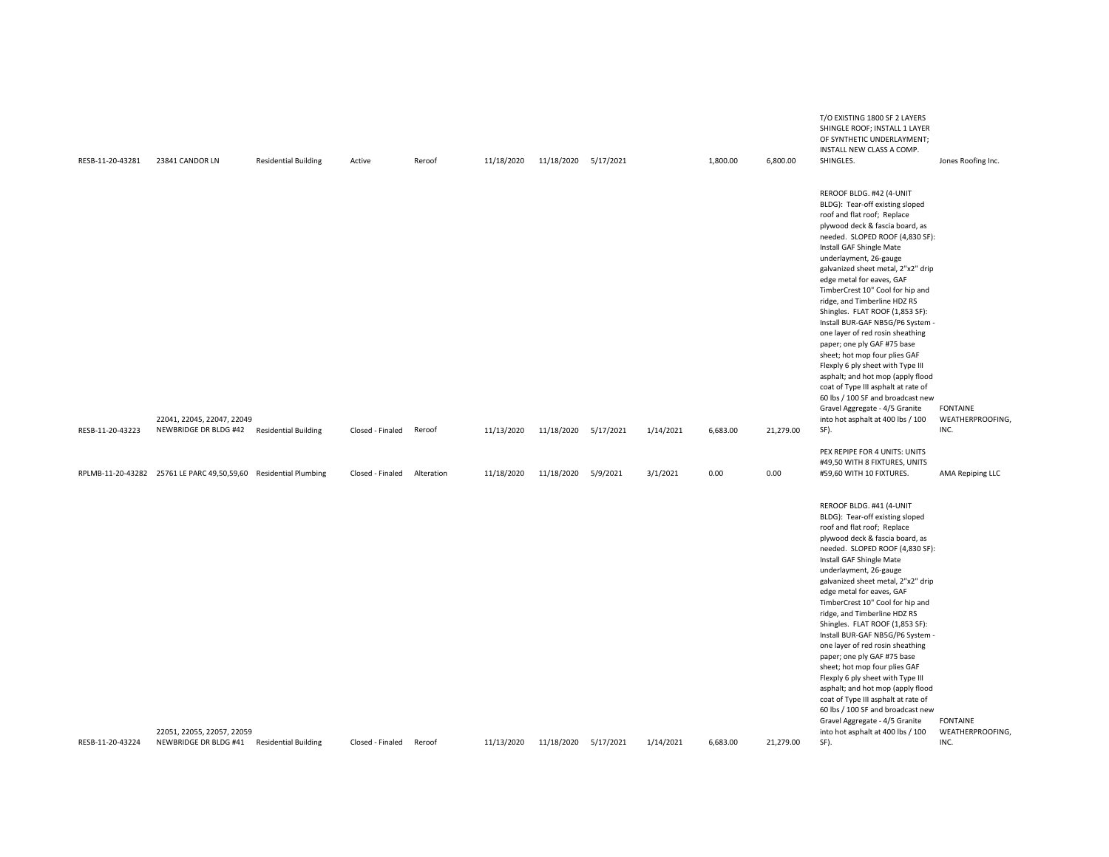| RESB-11-20-43281 | 23841 CANDOR LN                                                          | <b>Residential Building</b>                                      | Active                               | Reroof     | 11/18/2020               | 11/18/2020 5/17/2021               |           |                       | 1,800.00         | 6,800.00          | T/O EXISTING 1800 SF 2 LAYERS<br>SHINGLE ROOF; INSTALL 1 LAYER<br>OF SYNTHETIC UNDERLAYMENT;<br>INSTALL NEW CLASS A COMP.<br>SHINGLES.                                                                                                                                                                                                                                                                                                                                                                                                                                                                                                                                                                                                                                                                    | Jones Roofing Inc.                                              |
|------------------|--------------------------------------------------------------------------|------------------------------------------------------------------|--------------------------------------|------------|--------------------------|------------------------------------|-----------|-----------------------|------------------|-------------------|-----------------------------------------------------------------------------------------------------------------------------------------------------------------------------------------------------------------------------------------------------------------------------------------------------------------------------------------------------------------------------------------------------------------------------------------------------------------------------------------------------------------------------------------------------------------------------------------------------------------------------------------------------------------------------------------------------------------------------------------------------------------------------------------------------------|-----------------------------------------------------------------|
| RESB-11-20-43223 | 22041, 22045, 22047, 22049<br>NEWBRIDGE DR BLDG #42 Residential Building |                                                                  | Closed - Finaled                     | Reroof     | 11/13/2020               | 11/18/2020                         | 5/17/2021 | 1/14/2021             | 6,683.00         | 21,279.00         | REROOF BLDG. #42 (4-UNIT<br>BLDG): Tear-off existing sloped<br>roof and flat roof; Replace<br>plywood deck & fascia board, as<br>needed. SLOPED ROOF (4,830 SF):<br>Install GAF Shingle Mate<br>underlayment, 26-gauge<br>galvanized sheet metal, 2"x2" drip<br>edge metal for eaves, GAF<br>TimberCrest 10" Cool for hip and<br>ridge, and Timberline HDZ RS<br>Shingles. FLAT ROOF (1,853 SF):<br>Install BUR-GAF NB5G/P6 System -<br>one layer of red rosin sheathing<br>paper; one ply GAF #75 base<br>sheet; hot mop four plies GAF<br>Flexply 6 ply sheet with Type III<br>asphalt; and hot mop (apply flood<br>coat of Type III asphalt at rate of<br>60 lbs / 100 SF and broadcast new<br>Gravel Aggregate - 4/5 Granite<br>into hot asphalt at 400 lbs / 100<br>SF).                             | <b>FONTAINE</b><br>WEATHERPROOFING,<br>INC.                     |
|                  |                                                                          |                                                                  |                                      |            |                          |                                    |           |                       |                  |                   | PEX REPIPE FOR 4 UNITS: UNITS<br>#49,50 WITH 8 FIXTURES, UNITS                                                                                                                                                                                                                                                                                                                                                                                                                                                                                                                                                                                                                                                                                                                                            |                                                                 |
|                  |                                                                          |                                                                  |                                      |            |                          |                                    |           |                       |                  |                   |                                                                                                                                                                                                                                                                                                                                                                                                                                                                                                                                                                                                                                                                                                                                                                                                           |                                                                 |
| RESB-11-20-43224 | 22051, 22055, 22057, 22059<br>NEWBRIDGE DR BLDG #41 Residential Building | RPLMB-11-20-43282 25761 LE PARC 49,50,59,60 Residential Plumbing | Closed - Finaled<br>Closed - Finaled | Alteration | 11/18/2020<br>11/13/2020 | 11/18/2020<br>11/18/2020 5/17/2021 | 5/9/2021  | 3/1/2021<br>1/14/2021 | 0.00<br>6,683.00 | 0.00<br>21,279.00 | #59,60 WITH 10 FIXTURES.<br>REROOF BLDG. #41 (4-UNIT<br>BLDG): Tear-off existing sloped<br>roof and flat roof; Replace<br>plywood deck & fascia board, as<br>needed. SLOPED ROOF (4,830 SF):<br>Install GAF Shingle Mate<br>underlayment, 26-gauge<br>galvanized sheet metal, 2"x2" drip<br>edge metal for eaves, GAF<br>TimberCrest 10" Cool for hip and<br>ridge, and Timberline HDZ RS<br>Shingles. FLAT ROOF (1,853 SF):<br>Install BUR-GAF NB5G/P6 System -<br>one layer of red rosin sheathing<br>paper; one ply GAF #75 base<br>sheet; hot mop four plies GAF<br>Flexply 6 ply sheet with Type III<br>asphalt; and hot mop (apply flood<br>coat of Type III asphalt at rate of<br>60 lbs / 100 SF and broadcast new<br>Gravel Aggregate - 4/5 Granite<br>into hot asphalt at 400 lbs / 100<br>SF). | AMA Repiping LLC<br><b>FONTAINE</b><br>WEATHERPROOFING,<br>INC. |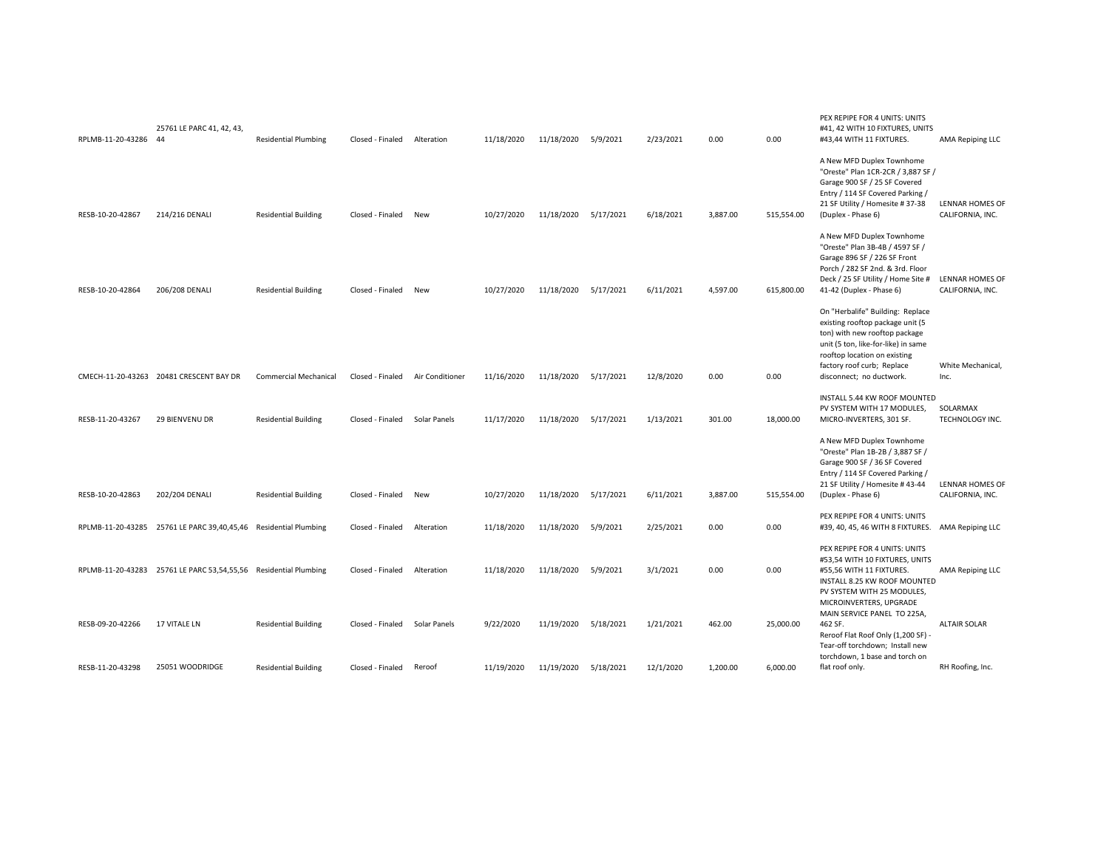| RPLMB-11-20-43286 44                 | 25761 LE PARC 41, 42, 43,                                        | <b>Residential Plumbing</b>                                | Closed - Finaled                     | Alteration             | 11/18/2020              | 11/18/2020               | 5/9/2021               | 2/23/2021              | 0.00               | 0.00                  | PEX REPIPE FOR 4 UNITS: UNITS<br>#41, 42 WITH 10 FIXTURES, UNITS<br>#43,44 WITH 11 FIXTURES.                                                                                                                                           | AMA Repiping LLC                           |
|--------------------------------------|------------------------------------------------------------------|------------------------------------------------------------|--------------------------------------|------------------------|-------------------------|--------------------------|------------------------|------------------------|--------------------|-----------------------|----------------------------------------------------------------------------------------------------------------------------------------------------------------------------------------------------------------------------------------|--------------------------------------------|
| RESB-10-20-42867                     | 214/216 DENALI                                                   | <b>Residential Building</b>                                | Closed - Finaled                     | New                    | 10/27/2020              | 11/18/2020               | 5/17/2021              | 6/18/2021              | 3,887.00           | 515,554.00            | A New MFD Duplex Townhome<br>"Oreste" Plan 1CR-2CR / 3,887 SF /<br>Garage 900 SF / 25 SF Covered<br>Entry / 114 SF Covered Parking /<br>21 SF Utility / Homesite # 37-38<br>(Duplex - Phase 6)                                         | <b>LENNAR HOMES OF</b><br>CALIFORNIA, INC. |
| RESB-10-20-42864                     | 206/208 DENALI                                                   | <b>Residential Building</b>                                | Closed - Finaled                     | New                    | 10/27/2020              | 11/18/2020               | 5/17/2021              | 6/11/2021              | 4,597.00           | 615,800.00            | A New MFD Duplex Townhome<br>"Oreste" Plan 3B-4B / 4597 SF /<br>Garage 896 SF / 226 SF Front<br>Porch / 282 SF 2nd. & 3rd. Floor<br>Deck / 25 SF Utility / Home Site #<br>41-42 (Duplex - Phase 6)                                     | <b>LENNAR HOMES OF</b><br>CALIFORNIA, INC. |
|                                      | CMECH-11-20-43263 20481 CRESCENT BAY DR                          | <b>Commercial Mechanical</b>                               | Closed - Finaled                     | Air Conditioner        | 11/16/2020              | 11/18/2020               | 5/17/2021              | 12/8/2020              | 0.00               | 0.00                  | On "Herbalife" Building: Replace<br>existing rooftop package unit (5<br>ton) with new rooftop package<br>unit (5 ton, like-for-like) in same<br>rooftop location on existing<br>factory roof curb; Replace<br>disconnect; no ductwork. | White Mechanical,<br>Inc.                  |
| RESB-11-20-43267                     | 29 BIENVENU DR                                                   | <b>Residential Building</b>                                | Closed - Finaled                     | Solar Panels           | 11/17/2020              | 11/18/2020               | 5/17/2021              | 1/13/2021              | 301.00             | 18,000.00             | INSTALL 5.44 KW ROOF MOUNTED<br>PV SYSTEM WITH 17 MODULES,<br>MICRO-INVERTERS, 301 SF.                                                                                                                                                 | SOLARMAX<br>TECHNOLOGY INC.                |
| RESB-10-20-42863                     | 202/204 DENALI                                                   | <b>Residential Building</b>                                | Closed - Finaled                     | New                    | 10/27/2020              | 11/18/2020               | 5/17/2021              | 6/11/2021              | 3,887.00           | 515,554.00            | A New MFD Duplex Townhome<br>"Oreste" Plan 1B-2B / 3,887 SF /<br>Garage 900 SF / 36 SF Covered<br>Entry / 114 SF Covered Parking /<br>21 SF Utility / Homesite #43-44<br>(Duplex - Phase 6)                                            | <b>LENNAR HOMES OF</b><br>CALIFORNIA, INC. |
|                                      | RPLMB-11-20-43285 25761 LE PARC 39,40,45,46 Residential Plumbing |                                                            | Closed - Finaled                     | Alteration             | 11/18/2020              | 11/18/2020               | 5/9/2021               | 2/25/2021              | 0.00               | 0.00                  | PEX REPIPE FOR 4 UNITS: UNITS<br>#39, 40, 45, 46 WITH 8 FIXTURES. AMA Repiping LLC                                                                                                                                                     |                                            |
|                                      | RPLMB-11-20-43283 25761 LE PARC 53,54,55,56 Residential Plumbing |                                                            | Closed - Finaled                     | Alteration             | 11/18/2020              | 11/18/2020               | 5/9/2021               | 3/1/2021               | 0.00               | 0.00                  | PEX REPIPE FOR 4 UNITS: UNITS<br>#53,54 WITH 10 FIXTURES, UNITS<br>#55,56 WITH 11 FIXTURES.<br>INSTALL 8.25 KW ROOF MOUNTED<br>PV SYSTEM WITH 25 MODULES,<br>MICROINVERTERS, UPGRADE<br>MAIN SERVICE PANEL TO 225A,                    | AMA Repiping LLC                           |
| RESB-09-20-42266<br>RESB-11-20-43298 | 17 VITALE LN<br>25051 WOODRIDGE                                  | <b>Residential Building</b><br><b>Residential Building</b> | Closed - Finaled<br>Closed - Finaled | Solar Panels<br>Reroof | 9/22/2020<br>11/19/2020 | 11/19/2020<br>11/19/2020 | 5/18/2021<br>5/18/2021 | 1/21/2021<br>12/1/2020 | 462.00<br>1,200.00 | 25,000.00<br>6,000.00 | 462 SF.<br>Reroof Flat Roof Only (1,200 SF) -<br>Tear-off torchdown; Install new<br>torchdown, 1 base and torch on<br>flat roof only.                                                                                                  | <b>ALTAIR SOLAR</b><br>RH Roofing, Inc.    |
|                                      |                                                                  |                                                            |                                      |                        |                         |                          |                        |                        |                    |                       |                                                                                                                                                                                                                                        |                                            |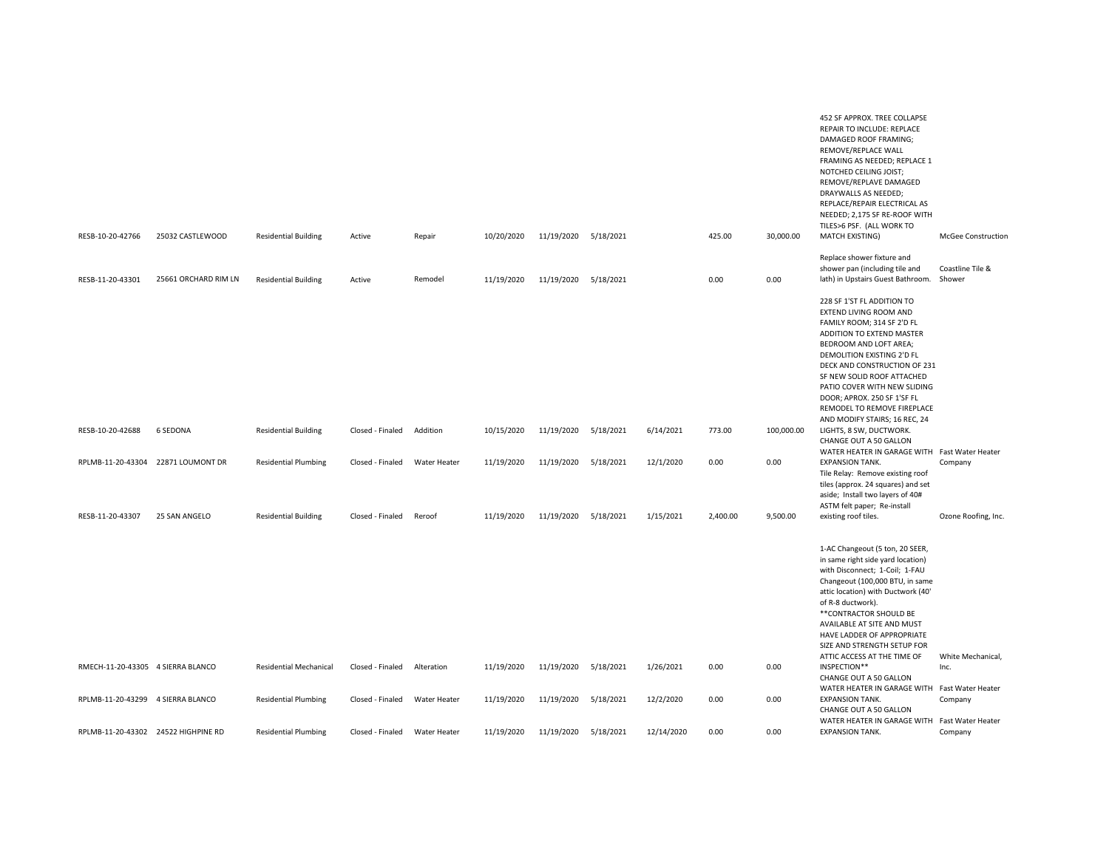|                                     |                      |                               |                  |              |            |                      |           |            |          |            | 452 SF APPROX. TREE COLLAPSE<br>REPAIR TO INCLUDE: REPLACE<br>DAMAGED ROOF FRAMING;<br>REMOVE/REPLACE WALL<br>FRAMING AS NEEDED; REPLACE 1<br>NOTCHED CEILING JOIST;<br>REMOVE/REPLAVE DAMAGED<br>DRAYWALLS AS NEEDED;<br>REPLACE/REPAIR ELECTRICAL AS<br>NEEDED; 2,175 SF RE-ROOF WITH<br>TILES>6 PSF. (ALL WORK TO                                      |                              |
|-------------------------------------|----------------------|-------------------------------|------------------|--------------|------------|----------------------|-----------|------------|----------|------------|-----------------------------------------------------------------------------------------------------------------------------------------------------------------------------------------------------------------------------------------------------------------------------------------------------------------------------------------------------------|------------------------------|
| RESB-10-20-42766                    | 25032 CASTLEWOOD     | <b>Residential Building</b>   | Active           | Repair       | 10/20/2020 | 11/19/2020 5/18/2021 |           |            | 425.00   | 30,000.00  | MATCH EXISTING)                                                                                                                                                                                                                                                                                                                                           | McGee Construction           |
| RESB-11-20-43301                    | 25661 ORCHARD RIM LN | <b>Residential Building</b>   | Active           | Remodel      | 11/19/2020 | 11/19/2020 5/18/2021 |           |            | 0.00     | 0.00       | Replace shower fixture and<br>shower pan (including tile and<br>lath) in Upstairs Guest Bathroom.                                                                                                                                                                                                                                                         | Coastline Tile &<br>Shower   |
|                                     |                      |                               |                  |              |            |                      |           |            |          |            | 228 SF 1'ST FL ADDITION TO<br>EXTEND LIVING ROOM AND<br>FAMILY ROOM; 314 SF 2'D FL<br>ADDITION TO EXTEND MASTER<br>BEDROOM AND LOFT AREA;<br>DEMOLITION EXISTING 2'D FL<br>DECK AND CONSTRUCTION OF 231<br>SF NEW SOLID ROOF ATTACHED<br>PATIO COVER WITH NEW SLIDING<br>DOOR; APROX. 250 SF 1'SF FL<br>REMODEL TO REMOVE FIREPLACE                       |                              |
| RESB-10-20-42688                    | <b>6 SEDONA</b>      | <b>Residential Building</b>   | Closed - Finaled | Addition     | 10/15/2020 | 11/19/2020           | 5/18/2021 | 6/14/2021  | 773.00   | 100,000.00 | AND MODIFY STAIRS; 16 REC, 24<br>LIGHTS, 8 SW, DUCTWORK.<br>CHANGE OUT A 50 GALLON<br>WATER HEATER IN GARAGE WITH Fast Water Heater                                                                                                                                                                                                                       |                              |
| RPLMB-11-20-43304 22871 LOUMONT DR  |                      | <b>Residential Plumbing</b>   | Closed - Finaled | Water Heater | 11/19/2020 | 11/19/2020 5/18/2021 |           | 12/1/2020  | 0.00     | 0.00       | <b>EXPANSION TANK.</b><br>Tile Relay: Remove existing roof<br>tiles (approx. 24 squares) and set<br>aside; Install two layers of 40#<br>ASTM felt paper; Re-install                                                                                                                                                                                       | Company                      |
| RESB-11-20-43307                    | 25 SAN ANGELO        | <b>Residential Building</b>   | Closed - Finaled | Reroof       | 11/19/2020 | 11/19/2020 5/18/2021 |           | 1/15/2021  | 2,400.00 | 9,500.00   | existing roof tiles.                                                                                                                                                                                                                                                                                                                                      | Ozone Roofing, Inc.          |
|                                     |                      |                               |                  |              |            |                      |           |            |          |            | 1-AC Changeout (5 ton, 20 SEER,<br>in same right side yard location)<br>with Disconnect; 1-Coil; 1-FAU<br>Changeout (100,000 BTU, in same<br>attic location) with Ductwork (40'<br>of R-8 ductwork).<br>** CONTRACTOR SHOULD BE<br>AVAILABLE AT SITE AND MUST<br>HAVE LADDER OF APPROPRIATE<br>SIZE AND STRENGTH SETUP FOR<br>ATTIC ACCESS AT THE TIME OF | White Mechanical,            |
| RMECH-11-20-43305 4 SIERRA BLANCO   |                      | <b>Residential Mechanical</b> | Closed - Finaled | Alteration   | 11/19/2020 | 11/19/2020 5/18/2021 |           | 1/26/2021  | 0.00     | 0.00       | INSPECTION**<br>CHANGE OUT A 50 GALLON<br>WATER HEATER IN GARAGE WITH Fast Water Heater                                                                                                                                                                                                                                                                   | Inc.                         |
| RPLMB-11-20-43299 4 SIERRA BLANCO   |                      | <b>Residential Plumbing</b>   | Closed - Finaled | Water Heater | 11/19/2020 | 11/19/2020           | 5/18/2021 | 12/2/2020  | 0.00     | 0.00       | <b>EXPANSION TANK.</b><br>CHANGE OUT A 50 GALLON<br>WATER HEATER IN GARAGE WITH                                                                                                                                                                                                                                                                           | Company<br>Fast Water Heater |
| RPLMB-11-20-43302 24522 HIGHPINE RD |                      | <b>Residential Plumbing</b>   | Closed - Finaled | Water Heater | 11/19/2020 | 11/19/2020 5/18/2021 |           | 12/14/2020 | 0.00     | 0.00       | <b>EXPANSION TANK.</b>                                                                                                                                                                                                                                                                                                                                    | Company                      |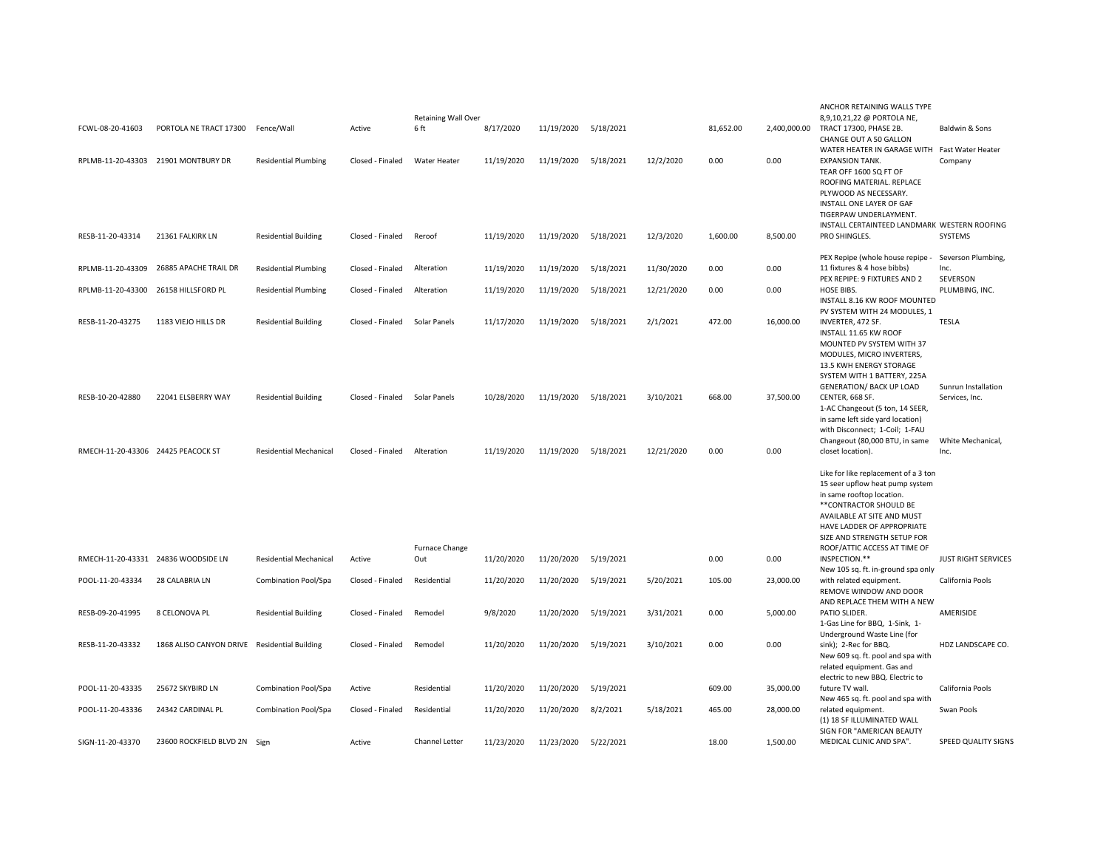|                                    |                                              |                               |                  |                            |            |                      |           |            |           |              | ANCHOR RETAINING WALLS TYPE                                             |                            |
|------------------------------------|----------------------------------------------|-------------------------------|------------------|----------------------------|------------|----------------------|-----------|------------|-----------|--------------|-------------------------------------------------------------------------|----------------------------|
|                                    |                                              |                               |                  | <b>Retaining Wall Over</b> |            |                      |           |            |           |              | 8,9,10,21,22 @ PORTOLA NE,                                              |                            |
| FCWL-08-20-41603                   | PORTOLA NE TRACT 17300                       | Fence/Wall                    | Active           | 6 ft                       | 8/17/2020  | 11/19/2020 5/18/2021 |           |            | 81,652.00 | 2,400,000.00 | TRACT 17300, PHASE 2B.                                                  | Baldwin & Sons             |
|                                    |                                              |                               |                  |                            |            |                      |           |            |           |              | CHANGE OUT A 50 GALLON                                                  |                            |
|                                    | 21901 MONTBURY DR                            |                               | Closed - Finaled | Water Heater               |            |                      |           | 12/2/2020  | 0.00      | 0.00         | WATER HEATER IN GARAGE WITH Fast Water Heater<br><b>EXPANSION TANK.</b> |                            |
| RPLMB-11-20-43303                  |                                              | <b>Residential Plumbing</b>   |                  |                            | 11/19/2020 | 11/19/2020           | 5/18/2021 |            |           |              | TEAR OFF 1600 SQ FT OF                                                  | Company                    |
|                                    |                                              |                               |                  |                            |            |                      |           |            |           |              | ROOFING MATERIAL. REPLACE                                               |                            |
|                                    |                                              |                               |                  |                            |            |                      |           |            |           |              | PLYWOOD AS NECESSARY.                                                   |                            |
|                                    |                                              |                               |                  |                            |            |                      |           |            |           |              |                                                                         |                            |
|                                    |                                              |                               |                  |                            |            |                      |           |            |           |              | INSTALL ONE LAYER OF GAF<br>TIGERPAW UNDERLAYMENT.                      |                            |
|                                    |                                              |                               |                  |                            |            |                      |           |            |           |              | INSTALL CERTAINTEED LANDMARK WESTERN ROOFING                            |                            |
| RESB-11-20-43314                   | 21361 FALKIRK LN                             | <b>Residential Building</b>   | Closed - Finaled | Reroof                     | 11/19/2020 | 11/19/2020 5/18/2021 |           | 12/3/2020  | 1,600.00  | 8,500.00     | PRO SHINGLES.                                                           | SYSTEMS                    |
|                                    |                                              |                               |                  |                            |            |                      |           |            |           |              |                                                                         |                            |
|                                    |                                              |                               |                  |                            |            |                      |           |            |           |              | PEX Repipe (whole house repipe -                                        | Severson Plumbing,         |
| RPLMB-11-20-43309                  | 26885 APACHE TRAIL DR                        | <b>Residential Plumbing</b>   | Closed - Finaled | Alteration                 | 11/19/2020 | 11/19/2020           | 5/18/2021 | 11/30/2020 | 0.00      | 0.00         | 11 fixtures & 4 hose bibbs)                                             | Inc.                       |
|                                    |                                              |                               |                  |                            |            |                      |           |            |           |              | PEX REPIPE: 9 FIXTURES AND 2                                            | SEVERSON                   |
| RPLMB-11-20-43300                  | 26158 HILLSFORD PL                           | <b>Residential Plumbing</b>   | Closed - Finaled | Alteration                 | 11/19/2020 | 11/19/2020           | 5/18/2021 | 12/21/2020 | 0.00      | 0.00         | HOSE BIBS.                                                              | PLUMBING, INC.             |
|                                    |                                              |                               |                  |                            |            |                      |           |            |           |              | INSTALL 8.16 KW ROOF MOUNTED                                            |                            |
|                                    |                                              |                               |                  |                            |            |                      |           |            |           |              | PV SYSTEM WITH 24 MODULES, 1                                            |                            |
| RESB-11-20-43275                   | 1183 VIEJO HILLS DR                          | <b>Residential Building</b>   | Closed - Finaled | Solar Panels               | 11/17/2020 | 11/19/2020           | 5/18/2021 | 2/1/2021   | 472.00    | 16,000.00    | INVERTER, 472 SF.                                                       | <b>TESLA</b>               |
|                                    |                                              |                               |                  |                            |            |                      |           |            |           |              | INSTALL 11.65 KW ROOF                                                   |                            |
|                                    |                                              |                               |                  |                            |            |                      |           |            |           |              | MOUNTED PV SYSTEM WITH 37                                               |                            |
|                                    |                                              |                               |                  |                            |            |                      |           |            |           |              | MODULES, MICRO INVERTERS,                                               |                            |
|                                    |                                              |                               |                  |                            |            |                      |           |            |           |              | 13.5 KWH ENERGY STORAGE                                                 |                            |
|                                    |                                              |                               |                  |                            |            |                      |           |            |           |              | SYSTEM WITH 1 BATTERY, 225A                                             |                            |
|                                    |                                              |                               |                  |                            |            |                      |           |            |           |              | <b>GENERATION/ BACK UP LOAD</b>                                         | Sunrun Installation        |
| RESB-10-20-42880                   | 22041 ELSBERRY WAY                           | <b>Residential Building</b>   | Closed - Finaled | Solar Panels               | 10/28/2020 | 11/19/2020           | 5/18/2021 | 3/10/2021  | 668.00    | 37,500.00    | CENTER, 668 SF.                                                         | Services, Inc.             |
|                                    |                                              |                               |                  |                            |            |                      |           |            |           |              | 1-AC Changeout (5 ton, 14 SEER,                                         |                            |
|                                    |                                              |                               |                  |                            |            |                      |           |            |           |              | in same left side yard location)                                        |                            |
|                                    |                                              |                               |                  |                            |            |                      |           |            |           |              | with Disconnect; 1-Coil; 1-FAU                                          |                            |
|                                    |                                              |                               |                  |                            |            |                      |           |            |           |              | Changeout (80,000 BTU, in same                                          | White Mechanical.          |
| RMECH-11-20-43306 24425 PEACOCK ST |                                              | <b>Residential Mechanical</b> | Closed - Finaled | Alteration                 | 11/19/2020 | 11/19/2020           | 5/18/2021 | 12/21/2020 | 0.00      | 0.00         | closet location).                                                       | Inc.                       |
|                                    |                                              |                               |                  |                            |            |                      |           |            |           |              | Like for like replacement of a 3 ton                                    |                            |
|                                    |                                              |                               |                  |                            |            |                      |           |            |           |              | 15 seer upflow heat pump system                                         |                            |
|                                    |                                              |                               |                  |                            |            |                      |           |            |           |              | in same rooftop location.                                               |                            |
|                                    |                                              |                               |                  |                            |            |                      |           |            |           |              | **CONTRACTOR SHOULD BE                                                  |                            |
|                                    |                                              |                               |                  |                            |            |                      |           |            |           |              | AVAILABLE AT SITE AND MUST                                              |                            |
|                                    |                                              |                               |                  |                            |            |                      |           |            |           |              | HAVE LADDER OF APPROPRIATE                                              |                            |
|                                    |                                              |                               |                  |                            |            |                      |           |            |           |              | SIZE AND STRENGTH SETUP FOR                                             |                            |
|                                    |                                              |                               |                  | Furnace Change             |            |                      |           |            |           |              | ROOF/ATTIC ACCESS AT TIME OF                                            |                            |
|                                    | RMECH-11-20-43331 24836 WOODSIDE LN          | <b>Residential Mechanical</b> | Active           | Out                        | 11/20/2020 | 11/20/2020           | 5/19/2021 |            | 0.00      | 0.00         | INSPECTION.**                                                           | <b>JUST RIGHT SERVICES</b> |
|                                    |                                              |                               |                  |                            |            |                      |           |            |           |              | New 105 sq. ft. in-ground spa only                                      |                            |
| POOL-11-20-43334                   | 28 CALABRIA LN                               | Combination Pool/Spa          | Closed - Finaled | Residential                | 11/20/2020 | 11/20/2020           | 5/19/2021 | 5/20/2021  | 105.00    | 23,000.00    | with related equipment.                                                 | California Pools           |
|                                    |                                              |                               |                  |                            |            |                      |           |            |           |              | REMOVE WINDOW AND DOOR                                                  |                            |
|                                    |                                              |                               |                  |                            |            |                      |           |            |           |              | AND REPLACE THEM WITH A NEW                                             |                            |
| RESB-09-20-41995                   | 8 CELONOVA PL                                | <b>Residential Building</b>   | Closed - Finaled | Remodel                    | 9/8/2020   | 11/20/2020           | 5/19/2021 | 3/31/2021  | 0.00      | 5,000.00     | PATIO SLIDER.                                                           | AMERISIDE                  |
|                                    |                                              |                               |                  |                            |            |                      |           |            |           |              | 1-Gas Line for BBQ, 1-Sink, 1-                                          |                            |
|                                    |                                              |                               |                  |                            |            |                      |           |            |           |              | Underground Waste Line (for                                             |                            |
| RESB-11-20-43332                   | 1868 ALISO CANYON DRIVE Residential Building |                               | Closed - Finaled | Remodel                    | 11/20/2020 | 11/20/2020           | 5/19/2021 | 3/10/2021  | 0.00      | 0.00         | sink); 2-Rec for BBQ.                                                   | HDZ LANDSCAPE CO.          |
|                                    |                                              |                               |                  |                            |            |                      |           |            |           |              | New 609 sq. ft. pool and spa with                                       |                            |
|                                    |                                              |                               |                  |                            |            |                      |           |            |           |              | related equipment. Gas and                                              |                            |
|                                    |                                              |                               |                  |                            |            |                      |           |            |           |              | electric to new BBQ. Electric to                                        |                            |
| POOL-11-20-43335                   | 25672 SKYBIRD LN                             | <b>Combination Pool/Spa</b>   | Active           | Residential                | 11/20/2020 | 11/20/2020           | 5/19/2021 |            | 609.00    | 35,000.00    | future TV wall.                                                         | California Pools           |
|                                    |                                              |                               |                  |                            |            |                      |           |            |           |              | New 465 sq. ft. pool and spa with                                       |                            |
| POOL-11-20-43336                   | 24342 CARDINAL PL                            | <b>Combination Pool/Spa</b>   | Closed - Finaled | Residential                | 11/20/2020 | 11/20/2020           | 8/2/2021  | 5/18/2021  | 465.00    | 28,000.00    | related equipment.                                                      | Swan Pools                 |
|                                    |                                              |                               |                  |                            |            |                      |           |            |           |              | (1) 18 SF ILLUMINATED WALL<br>SIGN FOR "AMERICAN BEAUTY                 |                            |
| SIGN-11-20-43370                   | 23600 ROCKFIELD BLVD 2N Sign                 |                               | Active           | Channel Letter             | 11/23/2020 | 11/23/2020           | 5/22/2021 |            | 18.00     | 1,500.00     | MEDICAL CLINIC AND SPA".                                                | SPEED QUALITY SIGNS        |
|                                    |                                              |                               |                  |                            |            |                      |           |            |           |              |                                                                         |                            |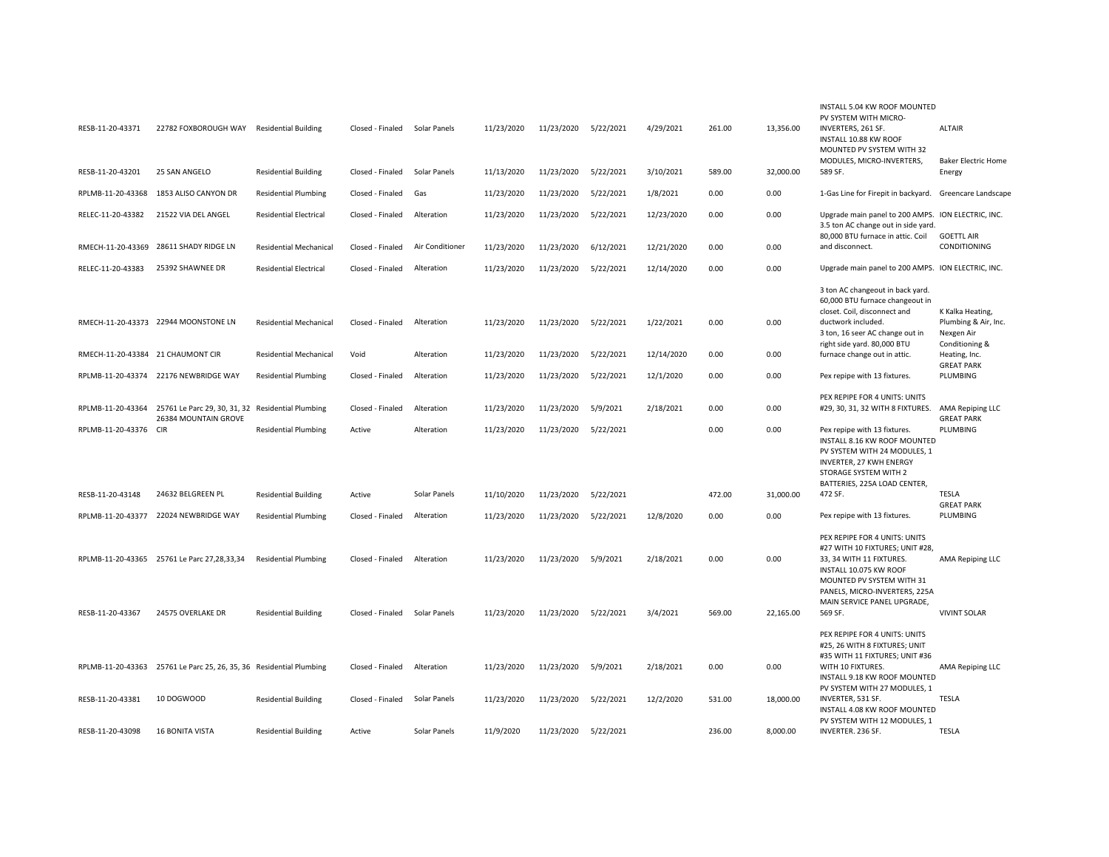| RESB-11-20-43371                  | 22782 FOXBOROUGH WAY                                                | <b>Residential Building</b>   | Closed - Finaled | Solar Panels    | 11/23/2020 | 11/23/2020 | 5/22/2021 | 4/29/2021  | 261.00 | 13,356.00 | INSTALL 5.04 KW ROOF MOUNTED<br>PV SYSTEM WITH MICRO-<br>INVERTERS, 261 SF.<br>INSTALL 10.88 KW ROOF<br>MOUNTED PV SYSTEM WITH 32<br>MODULES, MICRO-INVERTERS,                        | <b>ALTAIR</b><br><b>Baker Electric Home</b>            |
|-----------------------------------|---------------------------------------------------------------------|-------------------------------|------------------|-----------------|------------|------------|-----------|------------|--------|-----------|---------------------------------------------------------------------------------------------------------------------------------------------------------------------------------------|--------------------------------------------------------|
| RESB-11-20-43201                  | 25 SAN ANGELO                                                       | <b>Residential Building</b>   | Closed - Finaled | Solar Panels    | 11/13/2020 | 11/23/2020 | 5/22/2021 | 3/10/2021  | 589.00 | 32,000.00 | 589 SF.                                                                                                                                                                               | Energy                                                 |
| RPLMB-11-20-43368                 | 1853 ALISO CANYON DR                                                | <b>Residential Plumbing</b>   | Closed - Finaled | Gas             | 11/23/2020 | 11/23/2020 | 5/22/2021 | 1/8/2021   | 0.00   | 0.00      | 1-Gas Line for Firepit in backyard.                                                                                                                                                   | Greencare Landscape                                    |
| RELEC-11-20-43382                 | 21522 VIA DEL ANGEL                                                 | <b>Residential Electrical</b> | Closed - Finaled | Alteration      | 11/23/2020 | 11/23/2020 | 5/22/2021 | 12/23/2020 | 0.00   | 0.00      | Upgrade main panel to 200 AMPS. ION ELECTRIC, INC.<br>3.5 ton AC change out in side yard.<br>80,000 BTU furnace in attic. Coil                                                        | <b>GOETTL AIR</b>                                      |
| RMECH-11-20-43369                 | 28611 SHADY RIDGE LN                                                | <b>Residential Mechanical</b> | Closed - Finaled | Air Conditioner | 11/23/2020 | 11/23/2020 | 6/12/2021 | 12/21/2020 | 0.00   | 0.00      | and disconnect.                                                                                                                                                                       | CONDITIONING                                           |
| RELEC-11-20-43383                 | 25392 SHAWNEE DR                                                    | <b>Residential Electrical</b> | Closed - Finaled | Alteration      | 11/23/2020 | 11/23/2020 | 5/22/2021 | 12/14/2020 | 0.00   | 0.00      | Upgrade main panel to 200 AMPS. ION ELECTRIC, INC.                                                                                                                                    |                                                        |
|                                   | RMECH-11-20-43373 22944 MOONSTONE LN                                | <b>Residential Mechanical</b> | Closed - Finaled | Alteration      | 11/23/2020 | 11/23/2020 | 5/22/2021 | 1/22/2021  | 0.00   | 0.00      | 3 ton AC changeout in back yard.<br>60,000 BTU furnace changeout in<br>closet. Coil, disconnect and<br>ductwork included.<br>3 ton, 16 seer AC change out in                          | K Kalka Heating,<br>Plumbing & Air, Inc.<br>Nexgen Air |
| RMECH-11-20-43384 21 CHAUMONT CIR |                                                                     | <b>Residential Mechanical</b> | Void             | Alteration      | 11/23/2020 | 11/23/2020 | 5/22/2021 | 12/14/2020 | 0.00   | 0.00      | right side yard. 80,000 BTU<br>furnace change out in attic.                                                                                                                           | Conditioning &<br>Heating, Inc.<br><b>GREAT PARK</b>   |
|                                   | RPLMB-11-20-43374 22176 NEWBRIDGE WAY                               | <b>Residential Plumbing</b>   | Closed - Finaled | Alteration      | 11/23/2020 | 11/23/2020 | 5/22/2021 | 12/1/2020  | 0.00   | 0.00      | Pex repipe with 13 fixtures.                                                                                                                                                          | PLUMBING                                               |
| RPLMB-11-20-43364                 | 25761 Le Parc 29, 30, 31, 32<br>26384 MOUNTAIN GROVE                | <b>Residential Plumbing</b>   | Closed - Finaled | Alteration      | 11/23/2020 | 11/23/2020 | 5/9/2021  | 2/18/2021  | 0.00   | 0.00      | PEX REPIPE FOR 4 UNITS: UNITS<br>#29, 30, 31, 32 WITH 8 FIXTURES. AMA Repiping LLC                                                                                                    | <b>GREAT PARK</b>                                      |
| RPLMB-11-20-43376 CIR             |                                                                     | <b>Residential Plumbing</b>   | Active           | Alteration      | 11/23/2020 | 11/23/2020 | 5/22/2021 |            | 0.00   | 0.00      | Pex repipe with 13 fixtures.<br>INSTALL 8.16 KW ROOF MOUNTED<br>PV SYSTEM WITH 24 MODULES, 1<br>INVERTER, 27 KWH ENERGY<br>STORAGE SYSTEM WITH 2<br>BATTERIES, 225A LOAD CENTER,      | PLUMBING                                               |
| RESB-11-20-43148                  | 24632 BELGREEN PL                                                   | <b>Residential Building</b>   | Active           | Solar Panels    | 11/10/2020 | 11/23/2020 | 5/22/2021 |            | 472.00 | 31,000.00 | 472 SF.                                                                                                                                                                               | TESLA<br><b>GREAT PARK</b>                             |
| RPLMB-11-20-43377                 | 22024 NEWBRIDGE WAY                                                 | <b>Residential Plumbing</b>   | Closed - Finaled | Alteration      | 11/23/2020 | 11/23/2020 | 5/22/2021 | 12/8/2020  | 0.00   | 0.00      | Pex repipe with 13 fixtures.                                                                                                                                                          | PLUMBING                                               |
|                                   | RPLMB-11-20-43365 25761 Le Parc 27,28,33,34                         | <b>Residential Plumbing</b>   | Closed - Finaled | Alteration      | 11/23/2020 | 11/23/2020 | 5/9/2021  | 2/18/2021  | 0.00   | 0.00      | PEX REPIPE FOR 4 UNITS: UNITS<br>#27 WITH 10 FIXTURES; UNIT #28,<br>33, 34 WITH 11 FIXTURES.<br>INSTALL 10.075 KW ROOF<br>MOUNTED PV SYSTEM WITH 31<br>PANELS, MICRO-INVERTERS, 225A  | AMA Repiping LLC                                       |
| RESB-11-20-43367                  | 24575 OVERLAKE DR                                                   | <b>Residential Building</b>   | Closed - Finaled | Solar Panels    | 11/23/2020 | 11/23/2020 | 5/22/2021 | 3/4/2021   | 569.00 | 22,165.00 | MAIN SERVICE PANEL UPGRADE,<br>569 SF.                                                                                                                                                | <b>VIVINT SOLAR</b>                                    |
|                                   | RPLMB-11-20-43363 25761 Le Parc 25, 26, 35, 36 Residential Plumbing |                               | Closed - Finaled | Alteration      | 11/23/2020 | 11/23/2020 | 5/9/2021  | 2/18/2021  | 0.00   | 0.00      | PEX REPIPE FOR 4 UNITS: UNITS<br>#25, 26 WITH 8 FIXTURES; UNIT<br>#35 WITH 11 FIXTURES; UNIT #36<br>WITH 10 FIXTURES.<br>INSTALL 9.18 KW ROOF MOUNTED<br>PV SYSTEM WITH 27 MODULES, 1 | AMA Repiping LLC                                       |
| RESB-11-20-43381                  | 10 DOGWOOD                                                          | <b>Residential Building</b>   | Closed - Finaled | Solar Panels    | 11/23/2020 | 11/23/2020 | 5/22/2021 | 12/2/2020  | 531.00 | 18,000.00 | INVERTER, 531 SF.<br>INSTALL 4.08 KW ROOF MOUNTED<br>PV SYSTEM WITH 12 MODULES, 1                                                                                                     | TESLA                                                  |
| RESB-11-20-43098                  | <b>16 BONITA VISTA</b>                                              | <b>Residential Building</b>   | Active           | Solar Panels    | 11/9/2020  | 11/23/2020 | 5/22/2021 |            | 236.00 | 8.000.00  | INVERTER. 236 SF.                                                                                                                                                                     | <b>TESLA</b>                                           |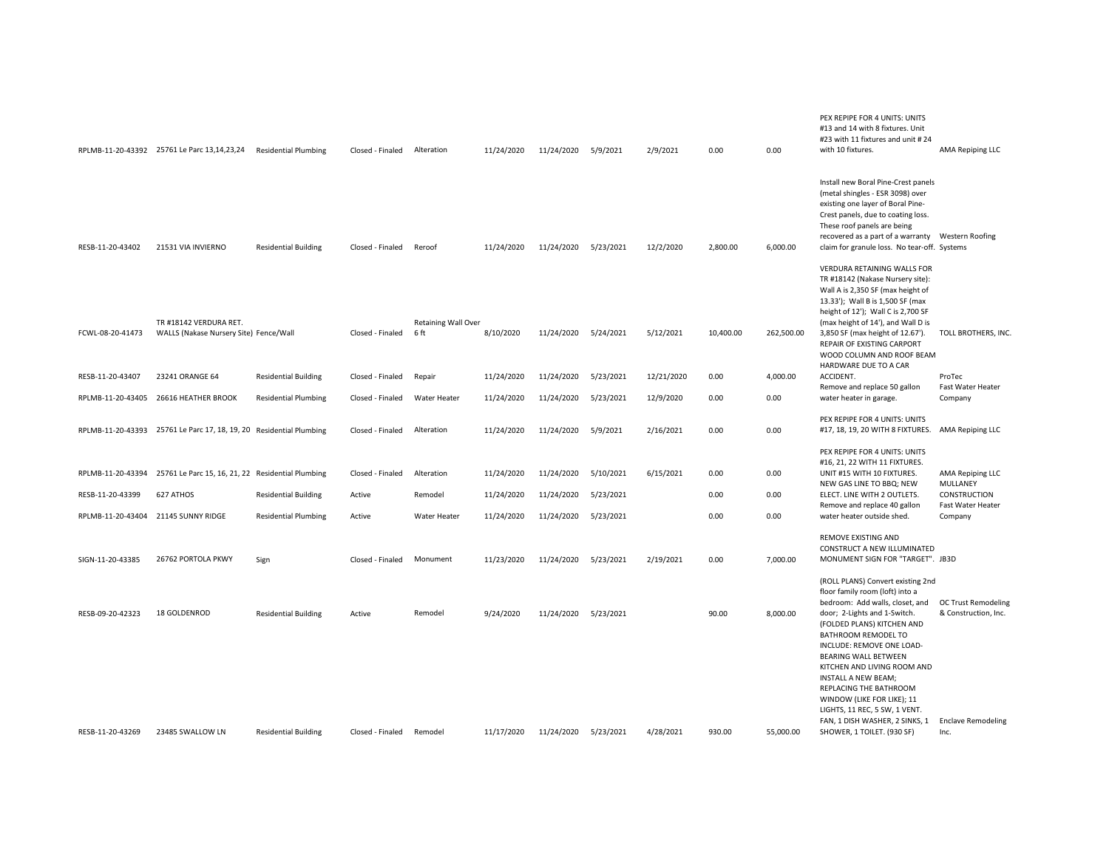|                                     | RPLMB-11-20-43392 25761 Le Parc 13,14,23,24                         | <b>Residential Plumbing</b> | Closed - Finaled | Alteration          | 11/24/2020 | 11/24/2020           | 5/9/2021  | 2/9/2021   | 0.00      | 0.00       | PEX REPIPE FOR 4 UNITS: UNITS<br>#13 and 14 with 8 fixtures. Unit<br>#23 with 11 fixtures and unit #24<br>with 10 fixtures.                                                                                                                                                              | AMA Repiping LLC                  |
|-------------------------------------|---------------------------------------------------------------------|-----------------------------|------------------|---------------------|------------|----------------------|-----------|------------|-----------|------------|------------------------------------------------------------------------------------------------------------------------------------------------------------------------------------------------------------------------------------------------------------------------------------------|-----------------------------------|
| RESB-11-20-43402                    | 21531 VIA INVIERNO                                                  | <b>Residential Building</b> | Closed - Finaled | Reroof              | 11/24/2020 | 11/24/2020           | 5/23/2021 | 12/2/2020  | 2,800.00  | 6,000.00   | Install new Boral Pine-Crest panels<br>(metal shingles - ESR 3098) over<br>existing one layer of Boral Pine-<br>Crest panels, due to coating loss.<br>These roof panels are being<br>recovered as a part of a warranty   Western Roofing<br>claim for granule loss. No tear-off. Systems |                                   |
|                                     | TR #18142 VERDURA RET.                                              |                             |                  | Retaining Wall Over |            |                      |           |            |           |            | VERDURA RETAINING WALLS FOR<br>TR #18142 (Nakase Nursery site):<br>Wall A is 2,350 SF (max height of<br>13.33'); Wall B is 1,500 SF (max<br>height of 12'); Wall C is 2,700 SF<br>(max height of 14'), and Wall D is                                                                     |                                   |
| FCWL-08-20-41473                    | WALLS (Nakase Nursery Site) Fence/Wall                              |                             | Closed - Finaled | 6 ft                | 8/10/2020  | 11/24/2020 5/24/2021 |           | 5/12/2021  | 10,400.00 | 262,500.00 | 3,850 SF (max height of 12.67').<br>REPAIR OF EXISTING CARPORT<br>WOOD COLUMN AND ROOF BEAM<br>HARDWARE DUE TO A CAR                                                                                                                                                                     | TOLL BROTHERS, INC.               |
| RESB-11-20-43407                    | 23241 ORANGE 64                                                     | <b>Residential Building</b> | Closed - Finaled | Repair              | 11/24/2020 | 11/24/2020           | 5/23/2021 | 12/21/2020 | 0.00      | 4,000.00   | ACCIDENT.<br>Remove and replace 50 gallon                                                                                                                                                                                                                                                | ProTec<br>Fast Water Heater       |
| RPLMB-11-20-43405                   | 26616 HEATHER BROOK                                                 | <b>Residential Plumbing</b> | Closed - Finaled | Water Heater        | 11/24/2020 | 11/24/2020           | 5/23/2021 | 12/9/2020  | 0.00      | 0.00       | water heater in garage.                                                                                                                                                                                                                                                                  | Company                           |
|                                     | RPLMB-11-20-43393 25761 Le Parc 17, 18, 19, 20 Residential Plumbing |                             | Closed - Finaled | Alteration          | 11/24/2020 | 11/24/2020           | 5/9/2021  | 2/16/2021  | 0.00      | 0.00       | PEX REPIPE FOR 4 UNITS: UNITS<br>#17, 18, 19, 20 WITH 8 FIXTURES.                                                                                                                                                                                                                        | AMA Repiping LLC                  |
|                                     |                                                                     |                             |                  |                     |            |                      |           |            |           |            | PEX REPIPE FOR 4 UNITS: UNITS<br>#16, 21, 22 WITH 11 FIXTURES.                                                                                                                                                                                                                           |                                   |
|                                     | RPLMB-11-20-43394 25761 Le Parc 15, 16, 21, 22 Residential Plumbing |                             | Closed - Finaled | Alteration          | 11/24/2020 | 11/24/2020           | 5/10/2021 | 6/15/2021  | 0.00      | 0.00       | UNIT #15 WITH 10 FIXTURES.<br>NEW GAS LINE TO BBQ; NEW                                                                                                                                                                                                                                   | AMA Repiping LLC<br>MULLANEY      |
| RESB-11-20-43399                    | 627 ATHOS                                                           | <b>Residential Building</b> | Active           | Remodel             | 11/24/2020 | 11/24/2020           | 5/23/2021 |            | 0.00      | 0.00       | ELECT. LINE WITH 2 OUTLETS.<br>Remove and replace 40 gallon                                                                                                                                                                                                                              | CONSTRUCTION<br>Fast Water Heater |
| RPLMB-11-20-43404 21145 SUNNY RIDGE |                                                                     | <b>Residential Plumbing</b> | Active           | <b>Water Heater</b> | 11/24/2020 | 11/24/2020           | 5/23/2021 |            | 0.00      | 0.00       | water heater outside shed.                                                                                                                                                                                                                                                               | Company                           |
| SIGN-11-20-43385                    | 26762 PORTOLA PKWY                                                  | Sign                        | Closed - Finaled | Monument            | 11/23/2020 | 11/24/2020 5/23/2021 |           | 2/19/2021  | 0.00      | 7,000.00   | REMOVE EXISTING AND<br>CONSTRUCT A NEW ILLUMINATED<br>MONUMENT SIGN FOR "TARGET". JB3D                                                                                                                                                                                                   |                                   |
|                                     |                                                                     |                             |                  |                     |            |                      |           |            |           |            | (ROLL PLANS) Convert existing 2nd<br>floor family room (loft) into a<br>bedroom: Add walls, closet, and                                                                                                                                                                                  | <b>OC Trust Remodeling</b>        |
| RESB-09-20-42323                    | 18 GOLDENROD                                                        | <b>Residential Building</b> | Active           | Remodel             | 9/24/2020  | 11/24/2020           | 5/23/2021 |            | 90.00     | 8,000.00   | door; 2-Lights and 1-Switch.<br>(FOLDED PLANS) KITCHEN AND<br>BATHROOM REMODEL TO<br>INCLUDE: REMOVE ONE LOAD-<br>BEARING WALL BETWEEN<br>KITCHEN AND LIVING ROOM AND<br>INSTALL A NEW BEAM;<br>REPLACING THE BATHROOM<br>WINDOW (LIKE FOR LIKE); 11                                     | & Construction, Inc.              |
| RESB-11-20-43269                    | 23485 SWALLOW LN                                                    | <b>Residential Building</b> | Closed - Finaled | Remodel             | 11/17/2020 | 11/24/2020           | 5/23/2021 | 4/28/2021  | 930.00    | 55,000.00  | LIGHTS, 11 REC, 5 SW, 1 VENT.<br>FAN, 1 DISH WASHER, 2 SINKS, 1<br>SHOWER, 1 TOILET. (930 SF)                                                                                                                                                                                            | <b>Enclave Remodeling</b><br>Inc. |
|                                     |                                                                     |                             |                  |                     |            |                      |           |            |           |            |                                                                                                                                                                                                                                                                                          |                                   |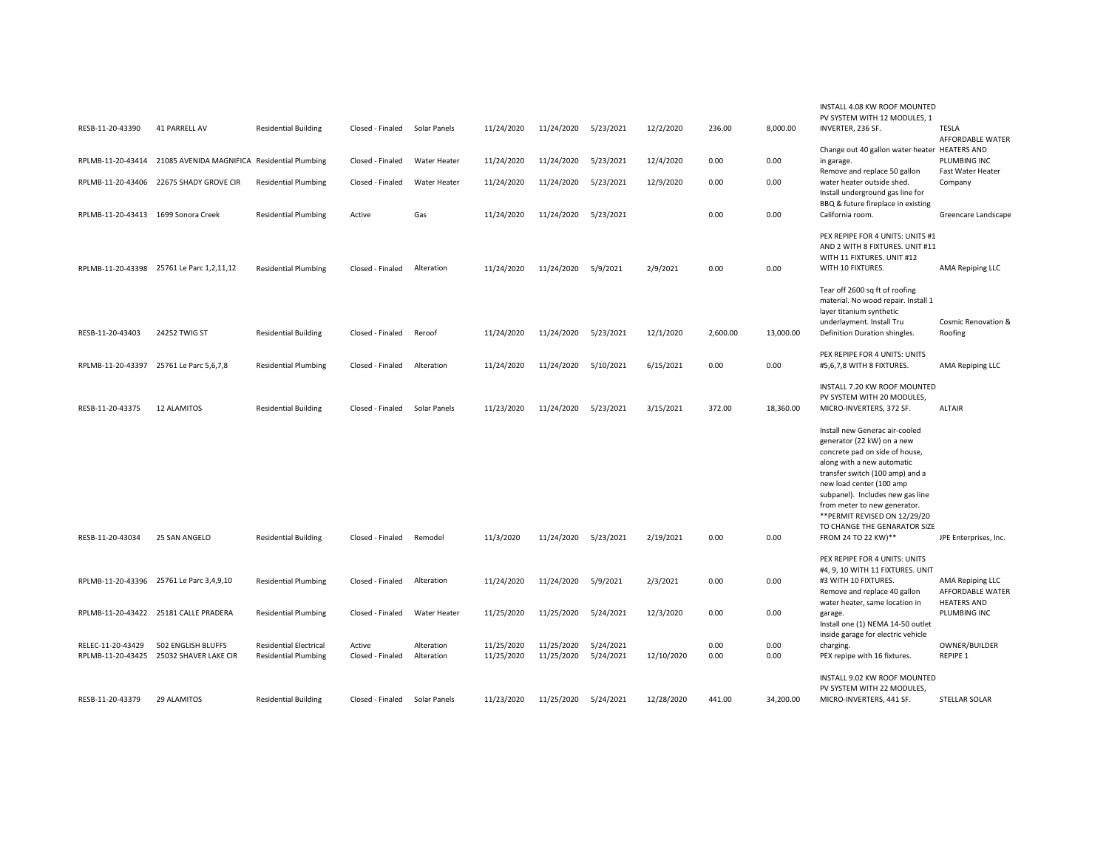|                                     |                                              |                               |                  |                     |            |            |           |            |          | 8,000.00  | INSTALL 4.08 KW ROOF MOUNTED<br>PV SYSTEM WITH 12 MODULES, 1                                                                                                                                                                                                                                                                                            |                                                            |
|-------------------------------------|----------------------------------------------|-------------------------------|------------------|---------------------|------------|------------|-----------|------------|----------|-----------|---------------------------------------------------------------------------------------------------------------------------------------------------------------------------------------------------------------------------------------------------------------------------------------------------------------------------------------------------------|------------------------------------------------------------|
| RESB-11-20-43390                    | 41 PARRELL AV                                | <b>Residential Building</b>   | Closed - Finaled | Solar Panels        | 11/24/2020 | 11/24/2020 | 5/23/2021 | 12/2/2020  | 236.00   |           | INVERTER, 236 SF.                                                                                                                                                                                                                                                                                                                                       | TESLA<br>AFFORDABLE WATER                                  |
| RPLMB-11-20-43414                   | 21085 AVENIDA MAGNIFICA Residential Plumbing |                               | Closed - Finaled | Water Heater        | 11/24/2020 | 11/24/2020 | 5/23/2021 | 12/4/2020  | 0.00     | 0.00      | Change out 40 gallon water heater HEATERS AND<br>in garage.                                                                                                                                                                                                                                                                                             | PLUMBING INC                                               |
| RPLMB-11-20-43406                   | 22675 SHADY GROVE CIR                        | <b>Residential Plumbing</b>   | Closed - Finaled | <b>Water Heater</b> | 11/24/2020 | 11/24/2020 | 5/23/2021 | 12/9/2020  | 0.00     | 0.00      | Remove and replace 50 gallon<br>water heater outside shed.                                                                                                                                                                                                                                                                                              | Fast Water Heater<br>Company                               |
|                                     |                                              |                               |                  |                     |            |            |           |            |          |           | Install underground gas line for                                                                                                                                                                                                                                                                                                                        |                                                            |
| RPLMB-11-20-43413 1699 Sonora Creek |                                              | <b>Residential Plumbing</b>   | Active           | Gas                 | 11/24/2020 | 11/24/2020 | 5/23/2021 |            | 0.00     | 0.00      | BBQ & future fireplace in existing<br>California room.                                                                                                                                                                                                                                                                                                  | Greencare Landscape                                        |
|                                     | RPLMB-11-20-43398 25761 Le Parc 1,2,11,12    | <b>Residential Plumbing</b>   | Closed - Finaled | Alteration          | 11/24/2020 | 11/24/2020 | 5/9/2021  | 2/9/2021   | 0.00     | 0.00      | PEX REPIPE FOR 4 UNITS: UNITS #1<br>AND 2 WITH 8 FIXTURES. UNIT #11<br>WITH 11 FIXTURES. UNIT #12<br>WITH 10 FIXTURES.                                                                                                                                                                                                                                  | AMA Repiping LLC                                           |
| RESB-11-20-43403                    | 24252 TWIG ST                                | <b>Residential Building</b>   | Closed - Finaled | Reroof              | 11/24/2020 | 11/24/2020 | 5/23/2021 | 12/1/2020  | 2,600.00 | 13,000.00 | Tear off 2600 sq ft of roofing<br>material. No wood repair. Install 1<br>layer titanium synthetic<br>underlayment. Install Tru<br>Definition Duration shingles.                                                                                                                                                                                         | Cosmic Renovation &<br>Roofing                             |
| RPLMB-11-20-43397                   | 25761 Le Parc 5,6,7,8                        | <b>Residential Plumbing</b>   | Closed - Finaled | Alteration          | 11/24/2020 | 11/24/2020 | 5/10/2021 | 6/15/2021  | 0.00     | 0.00      | PEX REPIPE FOR 4 UNITS: UNITS<br>#5,6,7,8 WITH 8 FIXTURES.                                                                                                                                                                                                                                                                                              | AMA Repiping LLC                                           |
| RESB-11-20-43375                    | <b>12 ALAMITOS</b>                           | <b>Residential Building</b>   | Closed - Finaled | Solar Panels        | 11/23/2020 | 11/24/2020 | 5/23/2021 | 3/15/2021  | 372.00   | 18,360.00 | INSTALL 7.20 KW ROOF MOUNTED<br>PV SYSTEM WITH 20 MODULES,<br>MICRO-INVERTERS, 372 SF.                                                                                                                                                                                                                                                                  | <b>ALTAIR</b>                                              |
| RESB-11-20-43034                    | 25 SAN ANGELO                                | <b>Residential Building</b>   | Closed - Finaled | Remodel             | 11/3/2020  | 11/24/2020 | 5/23/2021 | 2/19/2021  | 0.00     | 0.00      | Install new Generac air-cooled<br>generator (22 kW) on a new<br>concrete pad on side of house,<br>along with a new automatic<br>transfer switch (100 amp) and a<br>new load center (100 amp<br>subpanel). Includes new gas line<br>from meter to new generator.<br>** PERMIT REVISED ON 12/29/20<br>TO CHANGE THE GENARATOR SIZE<br>FROM 24 TO 22 KW)** | JPE Enterprises, Inc.                                      |
|                                     |                                              |                               |                  |                     |            |            |           |            |          |           | PEX REPIPE FOR 4 UNITS: UNITS                                                                                                                                                                                                                                                                                                                           |                                                            |
|                                     | RPLMB-11-20-43396 25761 Le Parc 3,4,9,10     | <b>Residential Plumbing</b>   | Closed - Finaled | Alteration          | 11/24/2020 | 11/24/2020 | 5/9/2021  | 2/3/2021   | 0.00     | 0.00      | #4, 9, 10 WITH 11 FIXTURES. UNIT<br>#3 WITH 10 FIXTURES.<br>Remove and replace 40 gallon<br>water heater, same location in                                                                                                                                                                                                                              | AMA Repiping LLC<br>AFFORDABLE WATER<br><b>HEATERS AND</b> |
|                                     | RPLMB-11-20-43422 25181 CALLE PRADERA        | <b>Residential Plumbing</b>   | Closed - Finaled | Water Heater        | 11/25/2020 | 11/25/2020 | 5/24/2021 | 12/3/2020  | 0.00     | 0.00      | garage.<br>Install one (1) NEMA 14-50 outlet<br>inside garage for electric vehicle                                                                                                                                                                                                                                                                      | PLUMBING INC                                               |
| RELEC-11-20-43429                   | 502 ENGLISH BLUFFS                           | <b>Residential Electrical</b> | Active           | Alteration          | 11/25/2020 | 11/25/2020 | 5/24/2021 |            | 0.00     | 0.00      | charging.                                                                                                                                                                                                                                                                                                                                               | OWNER/BUILDER                                              |
| RPLMB-11-20-43425                   | 25032 SHAVER LAKE CIR                        | <b>Residential Plumbing</b>   | Closed - Finaled | Alteration          | 11/25/2020 | 11/25/2020 | 5/24/2021 | 12/10/2020 | 0.00     | 0.00      | PEX repipe with 16 fixtures.                                                                                                                                                                                                                                                                                                                            | <b>REPIPE 1</b>                                            |
| RESB-11-20-43379                    | 29 ALAMITOS                                  | <b>Residential Building</b>   | Closed - Finaled | Solar Panels        | 11/23/2020 | 11/25/2020 | 5/24/2021 | 12/28/2020 | 441.00   | 34,200.00 | INSTALL 9.02 KW ROOF MOUNTED<br>PV SYSTEM WITH 22 MODULES,<br>MICRO-INVERTERS, 441 SF.                                                                                                                                                                                                                                                                  | STELLAR SOLAR                                              |
|                                     |                                              |                               |                  |                     |            |            |           |            |          |           |                                                                                                                                                                                                                                                                                                                                                         |                                                            |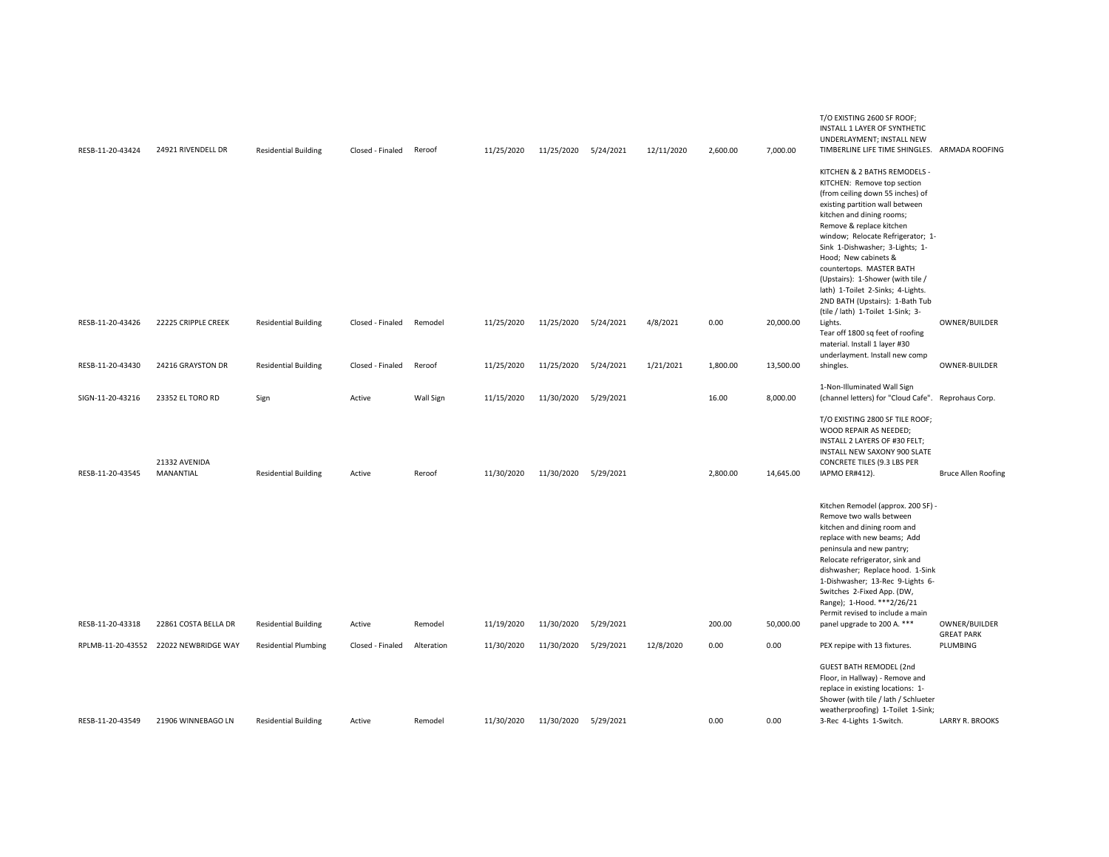| RESB-11-20-43424  | 24921 RIVENDELL DR         | <b>Residential Building</b> | Closed - Finaled | Reroof     | 11/25/2020 | 11/25/2020           | 5/24/2021 | 12/11/2020 | 2,600.00 | 7,000.00  | T/O EXISTING 2600 SF ROOF;<br>INSTALL 1 LAYER OF SYNTHETIC<br>UNDERLAYMENT; INSTALL NEW<br>TIMBERLINE LIFE TIME SHINGLES. ARMADA ROOFING                                                                                                                                                                                                                                                                                                                                  |                               |
|-------------------|----------------------------|-----------------------------|------------------|------------|------------|----------------------|-----------|------------|----------|-----------|---------------------------------------------------------------------------------------------------------------------------------------------------------------------------------------------------------------------------------------------------------------------------------------------------------------------------------------------------------------------------------------------------------------------------------------------------------------------------|-------------------------------|
|                   |                            |                             |                  |            |            |                      |           |            |          |           | KITCHEN & 2 BATHS REMODELS -<br>KITCHEN: Remove top section<br>(from ceiling down 55 inches) of<br>existing partition wall between<br>kitchen and dining rooms;<br>Remove & replace kitchen<br>window; Relocate Refrigerator; 1-<br>Sink 1-Dishwasher; 3-Lights; 1-<br>Hood; New cabinets &<br>countertops. MASTER BATH<br>(Upstairs): 1-Shower (with tile /<br>lath) 1-Toilet 2-Sinks; 4-Lights.<br>2ND BATH (Upstairs): 1-Bath Tub<br>(tile / lath) 1-Toilet 1-Sink; 3- |                               |
| RESB-11-20-43426  | 22225 CRIPPLE CREEK        | <b>Residential Building</b> | Closed - Finaled | Remodel    | 11/25/2020 | 11/25/2020 5/24/2021 |           | 4/8/2021   | 0.00     | 20,000.00 | Lights.<br>Tear off 1800 sq feet of roofing<br>material. Install 1 layer #30<br>underlayment. Install new comp                                                                                                                                                                                                                                                                                                                                                            | OWNER/BUILDER                 |
| RESB-11-20-43430  | 24216 GRAYSTON DR          | <b>Residential Building</b> | Closed - Finaled | Reroof     | 11/25/2020 | 11/25/2020           | 5/24/2021 | 1/21/2021  | 1,800.00 | 13,500.00 | shingles.                                                                                                                                                                                                                                                                                                                                                                                                                                                                 | OWNER-BUILDER                 |
| SIGN-11-20-43216  | 23352 EL TORO RD           | Sign                        | Active           | Wall Sign  | 11/15/2020 | 11/30/2020           | 5/29/2021 |            | 16.00    | 8,000.00  | 1-Non-Illuminated Wall Sign<br>(channel letters) for "Cloud Cafe". Reprohaus Corp.                                                                                                                                                                                                                                                                                                                                                                                        |                               |
| RESB-11-20-43545  | 21332 AVENIDA<br>MANANTIAL | <b>Residential Building</b> | Active           | Reroof     | 11/30/2020 | 11/30/2020 5/29/2021 |           |            | 2,800.00 | 14,645.00 | T/O EXISTING 2800 SF TILE ROOF;<br>WOOD REPAIR AS NEEDED;<br>INSTALL 2 LAYERS OF #30 FELT;<br>INSTALL NEW SAXONY 900 SLATE<br><b>CONCRETE TILES (9.3 LBS PER</b><br>IAPMO ER#412).                                                                                                                                                                                                                                                                                        | <b>Bruce Allen Roofing</b>    |
|                   |                            |                             |                  |            |            |                      |           |            |          |           | Kitchen Remodel (approx. 200 SF) -<br>Remove two walls between<br>kitchen and dining room and<br>replace with new beams; Add<br>peninsula and new pantry;<br>Relocate refrigerator, sink and<br>dishwasher; Replace hood. 1-Sink<br>1-Dishwasher; 13-Rec 9-Lights 6-<br>Switches 2-Fixed App. (DW,<br>Range); 1-Hood. ***2/26/21                                                                                                                                          |                               |
| RESB-11-20-43318  | 22861 COSTA BELLA DR       | <b>Residential Building</b> | Active           | Remodel    | 11/19/2020 | 11/30/2020           | 5/29/2021 |            | 200.00   | 50,000.00 | Permit revised to include a main<br>panel upgrade to 200 A. ***                                                                                                                                                                                                                                                                                                                                                                                                           | OWNER/BUILDER                 |
| RPLMB-11-20-43552 | 22022 NEWBRIDGE WAY        | <b>Residential Plumbing</b> | Closed - Finaled | Alteration | 11/30/2020 | 11/30/2020           | 5/29/2021 | 12/8/2020  | 0.00     | 0.00      | PEX repipe with 13 fixtures.                                                                                                                                                                                                                                                                                                                                                                                                                                              | <b>GREAT PARK</b><br>PLUMBING |
|                   |                            |                             |                  |            |            |                      |           |            |          |           | GUEST BATH REMODEL (2nd<br>Floor, in Hallway) - Remove and<br>replace in existing locations: 1-<br>Shower (with tile / lath / Schlueter<br>weatherproofing) 1-Toilet 1-Sink;                                                                                                                                                                                                                                                                                              |                               |
| RESB-11-20-43549  | 21906 WINNEBAGO LN         | <b>Residential Building</b> | Active           | Remodel    | 11/30/2020 | 11/30/2020           | 5/29/2021 |            | 0.00     | 0.00      | 3-Rec 4-Lights 1-Switch.                                                                                                                                                                                                                                                                                                                                                                                                                                                  | <b>LARRY R. BROOKS</b>        |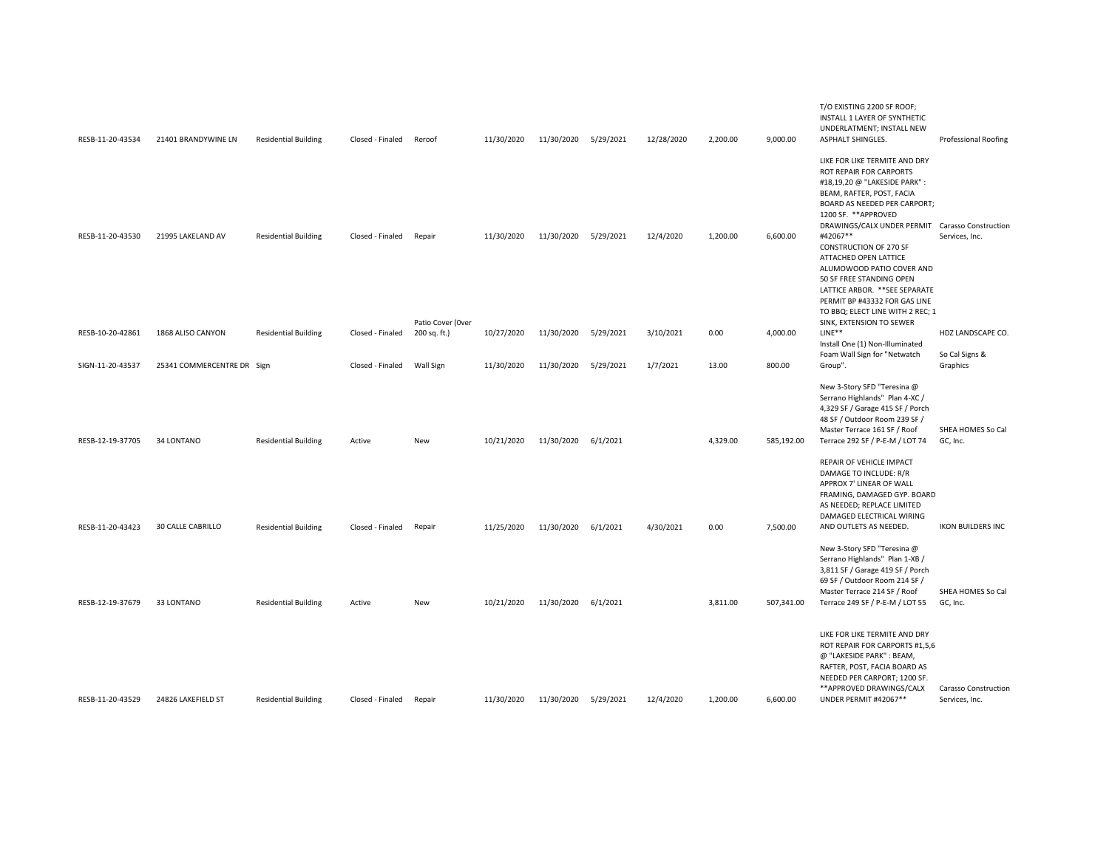|                  |                            |                             |                  |                                   |            |                      |           |            |          |            | T/O EXISTING 2200 SF ROOF;<br>INSTALL 1 LAYER OF SYNTHETIC<br>UNDERLATMENT; INSTALL NEW                                                                                                                                                                                                                      |                                        |
|------------------|----------------------------|-----------------------------|------------------|-----------------------------------|------------|----------------------|-----------|------------|----------|------------|--------------------------------------------------------------------------------------------------------------------------------------------------------------------------------------------------------------------------------------------------------------------------------------------------------------|----------------------------------------|
| RESB-11-20-43534 | 21401 BRANDYWINE LN        | <b>Residential Building</b> | Closed - Finaled | Reroof                            | 11/30/2020 | 11/30/2020 5/29/2021 |           | 12/28/2020 | 2,200.00 | 9,000.00   | ASPHALT SHINGLES.                                                                                                                                                                                                                                                                                            | <b>Professional Roofing</b>            |
|                  |                            |                             |                  |                                   |            |                      |           |            |          |            | LIKE FOR LIKE TERMITE AND DRY<br>ROT REPAIR FOR CARPORTS<br>#18,19,20 @ "LAKESIDE PARK" :<br>BEAM, RAFTER, POST, FACIA<br>BOARD AS NEEDED PER CARPORT;                                                                                                                                                       |                                        |
| RESB-11-20-43530 | 21995 LAKELAND AV          | <b>Residential Building</b> | Closed - Finaled | Repair                            | 11/30/2020 | 11/30/2020           | 5/29/2021 | 12/4/2020  | 1,200.00 | 6,600.00   | 1200 SF. **APPROVED<br>DRAWINGS/CALX UNDER PERMIT Carasso Construction<br>#42067**<br><b>CONSTRUCTION OF 270 SF</b><br>ATTACHED OPEN LATTICE<br>ALUMOWOOD PATIO COVER AND<br>50 SF FREE STANDING OPEN<br>LATTICE ARBOR. ** SEE SEPARATE<br>PERMIT BP #43332 FOR GAS LINE<br>TO BBQ; ELECT LINE WITH 2 REC; 1 | Services, Inc.                         |
| RESB-10-20-42861 | 1868 ALISO CANYON          | <b>Residential Building</b> | Closed - Finaled | Patio Cover (Over<br>200 sq. ft.) | 10/27/2020 | 11/30/2020           | 5/29/2021 | 3/10/2021  | 0.00     | 4,000.00   | SINK, EXTENSION TO SEWER<br>$LINE**$                                                                                                                                                                                                                                                                         | HDZ LANDSCAPE CO.                      |
|                  |                            |                             |                  |                                   |            |                      |           |            |          |            | Install One (1) Non-Illuminated                                                                                                                                                                                                                                                                              |                                        |
|                  |                            |                             |                  |                                   |            |                      |           |            |          |            | Foam Wall Sign for "Netwatch                                                                                                                                                                                                                                                                                 | So Cal Signs &                         |
| SIGN-11-20-43537 | 25341 COMMERCENTRE DR Sign |                             | Closed - Finaled | Wall Sign                         | 11/30/2020 | 11/30/2020           | 5/29/2021 | 1/7/2021   | 13.00    | 800.00     | Group".                                                                                                                                                                                                                                                                                                      | Graphics                               |
| RESB-12-19-37705 | 34 LONTANO                 | <b>Residential Building</b> | Active           | New                               | 10/21/2020 | 11/30/2020           | 6/1/2021  |            | 4,329.00 | 585,192.00 | New 3-Story SFD "Teresina @<br>Serrano Highlands" Plan 4-XC /<br>4,329 SF / Garage 415 SF / Porch<br>48 SF / Outdoor Room 239 SF /<br>Master Terrace 161 SF / Roof<br>Terrace 292 SF / P-E-M / LOT 74                                                                                                        | SHEA HOMES So Cal<br>GC, Inc.          |
| RESB-11-20-43423 | 30 CALLE CABRILLO          | <b>Residential Building</b> | Closed - Finaled | Repair                            | 11/25/2020 | 11/30/2020           | 6/1/2021  | 4/30/2021  | 0.00     | 7,500.00   | REPAIR OF VEHICLE IMPACT<br>DAMAGE TO INCLUDE: R/R<br>APPROX 7' LINEAR OF WALL<br>FRAMING, DAMAGED GYP. BOARD<br>AS NEEDED; REPLACE LIMITED<br>DAMAGED ELECTRICAL WIRING<br>AND OUTLETS AS NEEDED.                                                                                                           | <b>IKON BUILDERS INC</b>               |
| RESB-12-19-37679 | 33 LONTANO                 | <b>Residential Building</b> | Active           | New                               | 10/21/2020 | 11/30/2020           | 6/1/2021  |            | 3,811.00 | 507,341.00 | New 3-Story SFD "Teresina @<br>Serrano Highlands" Plan 1-XB /<br>3,811 SF / Garage 419 SF / Porch<br>69 SF / Outdoor Room 214 SF /<br>Master Terrace 214 SF / Roof<br>Terrace 249 SF / P-E-M / LOT 55                                                                                                        | SHEA HOMES So Cal<br>GC, Inc.          |
|                  |                            |                             |                  |                                   |            |                      |           |            |          |            |                                                                                                                                                                                                                                                                                                              |                                        |
| RESB-11-20-43529 | 24826 LAKEFIELD ST         | <b>Residential Building</b> | Closed - Finaled | Repair                            | 11/30/2020 | 11/30/2020           | 5/29/2021 | 12/4/2020  | 1,200.00 | 6,600.00   | LIKE FOR LIKE TERMITE AND DRY<br>ROT REPAIR FOR CARPORTS #1,5,6<br>@ "LAKESIDE PARK": BEAM,<br>RAFTER, POST, FACIA BOARD AS<br>NEEDED PER CARPORT; 1200 SF.<br>** APPROVED DRAWINGS/CALX<br>UNDER PERMIT #42067**                                                                                            | Carasso Construction<br>Services, Inc. |